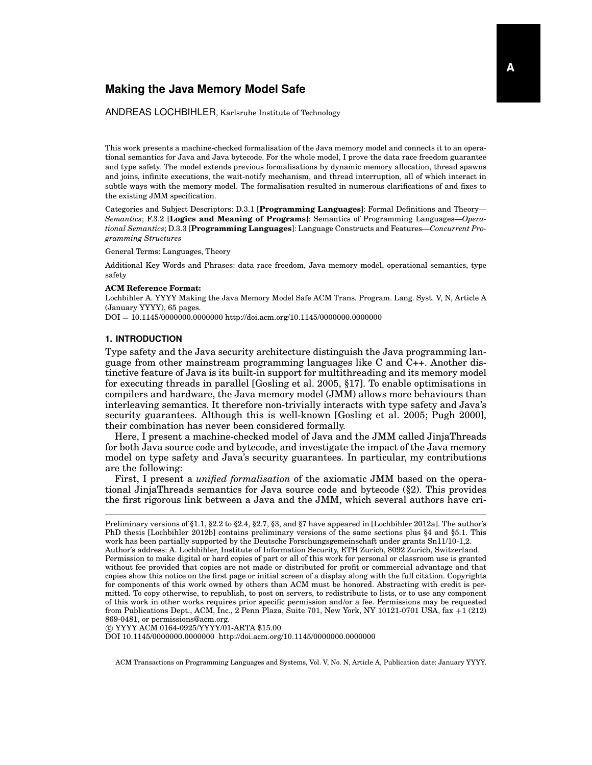# **Making the Java Memory Model Safe**

#### ANDREAS LOCHBIHLER, Karlsruhe Institute of Technology

This work presents a machine-checked formalisation of the Java memory model and connects it to an operational semantics for Java and Java bytecode. For the whole model, I prove the data race freedom guarantee and type safety. The model extends previous formalisations by dynamic memory allocation, thread spawns and joins, infinite executions, the wait-notify mechanism, and thread interruption, all of which interact in subtle ways with the memory model. The formalisation resulted in numerous clarifications of and fixes to the existing JMM specification.

Categories and Subject Descriptors: D.3.1 [**Programming Languages**]: Formal Definitions and Theory— *Semantics*; F.3.2 [**Logics and Meaning of Programs**]: Semantics of Programming Languages—*Operational Semantics*; D.3.3 [**Programming Languages**]: Language Constructs and Features—*Concurrent Programming Structures*

General Terms: Languages, Theory

Additional Key Words and Phrases: data race freedom, Java memory model, operational semantics, type safety

#### **ACM Reference Format:**

Lochbihler A. YYYY Making the Java Memory Model Safe ACM Trans. Program. Lang. Syst. V, N, Article A (January YYYY), 65 pages.

 $\mathrm{DOI} = 10.1145/0000000.0000000$  http://doi.acm.org/10.1145/000000.0000000

## **1. INTRODUCTION**

Type safety and the Java security architecture distinguish the Java programming language from other mainstream programming languages like C and C++. Another distinctive feature of Java is its built-in support for multithreading and its memory model for executing threads in parallel [\[Gosling et al. 2005,](#page-63-0) §17]. To enable optimisations in compilers and hardware, the Java memory model (JMM) allows more behaviours than interleaving semantics. It therefore non-trivially interacts with type safety and Java's security guarantees. Although this is well-known [\[Gosling et al. 2005;](#page-63-0) [Pugh 2000\]](#page-64-0), their combination has never been considered formally.

Here, I present a machine-checked model of Java and the JMM called JinjaThreads for both Java source code and bytecode, and investigate the impact of the Java memory model on type safety and Java's security guarantees. In particular, my contributions are the following:

First, I present a *unified formalisation* of the axiomatic JMM based on the operational JinjaThreads semantics for Java source code and bytecode ([§2\)](#page-10-0). This provides the first rigorous link between a Java and the JMM, which several authors have cri-

c YYYY ACM 0164-0925/YYYY/01-ARTA \$15.00

DOI 10.1145/0000000.0000000 http://doi.acm.org/10.1145/0000000.0000000

Preliminary versions of [§1.1,](#page-2-0) [§2.2](#page-14-0) to [§2.4,](#page-18-0) [§2.7,](#page-27-0) [§3,](#page-31-0) and [§7](#page-56-0) have appeared in [\[Lochbihler 2012a\]](#page-63-1). The author's PhD thesis [\[Lochbihler 2012b\]](#page-63-2) contains preliminary versions of the same sections plus [§4](#page-46-0) and [§5.1.](#page-49-0) This work has been partially supported by the Deutsche Forschungsgemeinschaft under grants Sn11/10-1,2. Author's address: A. Lochbihler, Institute of Information Security, ETH Zurich, 8092 Zurich, Switzerland. Permission to make digital or hard copies of part or all of this work for personal or classroom use is granted without fee provided that copies are not made or distributed for profit or commercial advantage and that copies show this notice on the first page or initial screen of a display along with the full citation. Copyrights for components of this work owned by others than ACM must be honored. Abstracting with credit is permitted. To copy otherwise, to republish, to post on servers, to redistribute to lists, or to use any component of this work in other works requires prior specific permission and/or a fee. Permissions may be requested from Publications Dept., ACM, Inc., 2 Penn Plaza, Suite 701, New York, NY 10121-0701 USA, fax +1 (212) 869-0481, or permissions@acm.org.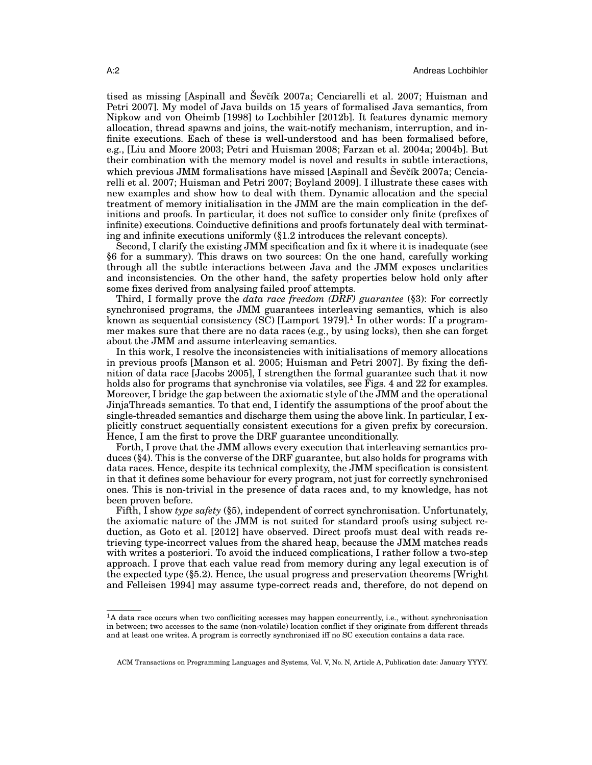tised as missing [Aspinall and Ševčík 2007a; [Cenciarelli et al. 2007;](#page-62-1) [Huisman and](#page-63-3) [Petri 2007\]](#page-63-3). My model of Java builds on 15 years of formalised Java semantics, from [Nipkow and von Oheimb \[1998\]](#page-64-1) to [Lochbihler \[2012b\]](#page-63-2). It features dynamic memory allocation, thread spawns and joins, the wait-notify mechanism, interruption, and infinite executions. Each of these is well-understood and has been formalised before, e.g., [\[Liu and Moore 2003;](#page-63-4) [Petri and Huisman 2008;](#page-64-2) [Farzan et al. 2004a;](#page-63-5) [2004b\]](#page-63-6). But their combination with the memory model is novel and results in subtle interactions, which previous JMM formalisations have missed [Aspinall and Ševčík 2007a; [Cencia](#page-62-1)[relli et al. 2007;](#page-62-1) [Huisman and Petri 2007;](#page-63-3) [Boyland 2009\]](#page-62-2). I illustrate these cases with new examples and show how to deal with them. Dynamic allocation and the special treatment of memory initialisation in the JMM are the main complication in the definitions and proofs. In particular, it does not suffice to consider only finite (prefixes of infinite) executions. Coinductive definitions and proofs fortunately deal with terminating and infinite executions uniformly ([§1.2](#page-7-0) introduces the relevant concepts).

Second, I clarify the existing JMM specification and fix it where it is inadequate (see [§6](#page-55-0) for a summary). This draws on two sources: On the one hand, carefully working through all the subtle interactions between Java and the JMM exposes unclarities and inconsistencies. On the other hand, the safety properties below hold only after some fixes derived from analysing failed proof attempts.

Third, I formally prove the *data race freedom (DRF) guarantee* ([§3\)](#page-31-0): For correctly synchronised programs, the JMM guarantees interleaving semantics, which is also known as sequential consistency (SC) [\[Lamport 1979\]](#page-63-7).<sup>1</sup> In other words: If a programmer makes sure that there are no data races (e.g., by using locks), then she can forget about the JMM and assume interleaving semantics.

In this work, I resolve the inconsistencies with initialisations of memory allocations in previous proofs [\[Manson et al. 2005;](#page-63-8) [Huisman and Petri 2007\]](#page-63-3). By fixing the definition of data race [\[Jacobs 2005\]](#page-63-9), I strengthen the formal guarantee such that it now holds also for programs that synchronise via volatiles, see Figs. [4](#page-6-0) and [22](#page-33-0) for examples. Moreover, I bridge the gap between the axiomatic style of the JMM and the operational JinjaThreads semantics. To that end, I identify the assumptions of the proof about the single-threaded semantics and discharge them using the above link. In particular, I explicitly construct sequentially consistent executions for a given prefix by corecursion. Hence, I am the first to prove the DRF guarantee unconditionally.

Forth, I prove that the JMM allows every execution that interleaving semantics produces ([§4\)](#page-46-0). This is the converse of the DRF guarantee, but also holds for programs with data races. Hence, despite its technical complexity, the JMM specification is consistent in that it defines some behaviour for every program, not just for correctly synchronised ones. This is non-trivial in the presence of data races and, to my knowledge, has not been proven before.

Fifth, I show *type safety* ([§5\)](#page-49-1), independent of correct synchronisation. Unfortunately, the axiomatic nature of the JMM is not suited for standard proofs using subject reduction, as [Goto et al. \[2012\]](#page-63-10) have observed. Direct proofs must deal with reads retrieving type-incorrect values from the shared heap, because the JMM matches reads with writes a posteriori. To avoid the induced complications, I rather follow a two-step approach. I prove that each value read from memory during any legal execution is of the expected type ([§5.2\)](#page-49-2). Hence, the usual progress and preservation theorems [\[Wright](#page-64-3) [and Felleisen 1994\]](#page-64-3) may assume type-correct reads and, therefore, do not depend on

<sup>&</sup>lt;sup>1</sup>A data race occurs when two confliciting accesses may happen concurrently, i.e., without synchronisation in between; two accesses to the same (non-volatile) location conflict if they originate from different threads and at least one writes. A program is correctly synchronised iff no SC execution contains a data race.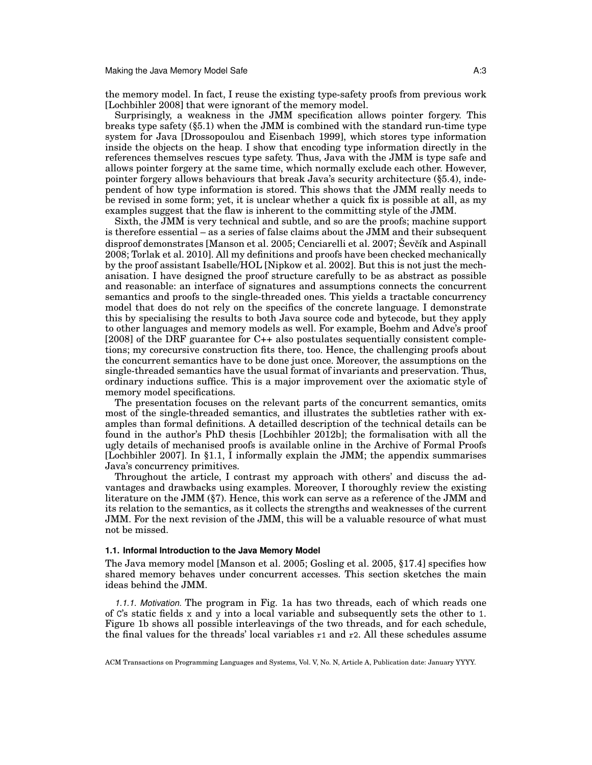the memory model. In fact, I reuse the existing type-safety proofs from previous work [\[Lochbihler 2008\]](#page-63-11) that were ignorant of the memory model.

Surprisingly, a weakness in the JMM specification allows pointer forgery. This breaks type safety ([§5.1\)](#page-49-0) when the JMM is combined with the standard run-time type system for Java [\[Drossopoulou and Eisenbach 1999\]](#page-62-3), which stores type information inside the objects on the heap. I show that encoding type information directly in the references themselves rescues type safety. Thus, Java with the JMM is type safe and allows pointer forgery at the same time, which normally exclude each other. However, pointer forgery allows behaviours that break Java's security architecture ([§5.4\)](#page-54-0), independent of how type information is stored. This shows that the JMM really needs to be revised in some form; yet, it is unclear whether a quick fix is possible at all, as my examples suggest that the flaw is inherent to the committing style of the JMM.

Sixth, the JMM is very technical and subtle, and so are the proofs; machine support is therefore essential – as a series of false claims about the JMM and their subsequent disproof demonstrates [\[Manson et al. 2005;](#page-63-8) [Cenciarelli et al. 2007;](#page-62-1) Ševčík and Aspinall [2008;](#page-64-4) [Torlak et al. 2010\]](#page-64-5). All my definitions and proofs have been checked mechanically by the proof assistant Isabelle/HOL [\[Nipkow et al. 2002\]](#page-64-6). But this is not just the mechanisation. I have designed the proof structure carefully to be as abstract as possible and reasonable: an interface of signatures and assumptions connects the concurrent semantics and proofs to the single-threaded ones. This yields a tractable concurrency model that does do not rely on the specifics of the concrete language. I demonstrate this by specialising the results to both Java source code and bytecode, but they apply to other languages and memory models as well. For example, Boehm and Adve's proof [\[2008\]](#page-62-4) of the DRF guarantee for C++ also postulates sequentially consistent completions; my corecursive construction fits there, too. Hence, the challenging proofs about the concurrent semantics have to be done just once. Moreover, the assumptions on the single-threaded semantics have the usual format of invariants and preservation. Thus, ordinary inductions suffice. This is a major improvement over the axiomatic style of memory model specifications.

The presentation focuses on the relevant parts of the concurrent semantics, omits most of the single-threaded semantics, and illustrates the subtleties rather with examples than formal definitions. A detailled description of the technical details can be found in the author's PhD thesis [\[Lochbihler 2012b\]](#page-63-2); the formalisation with all the ugly details of mechanised proofs is available online in the Archive of Formal Proofs [\[Lochbihler 2007\]](#page-63-12). In [§1.1,](#page-2-0) I informally explain the JMM; the appendix summarises Java's concurrency primitives.

Throughout the article, I contrast my approach with others' and discuss the advantages and drawbacks using examples. Moreover, I thoroughly review the existing literature on the JMM ([§7\)](#page-56-0). Hence, this work can serve as a reference of the JMM and its relation to the semantics, as it collects the strengths and weaknesses of the current JMM. For the next revision of the JMM, this will be a valuable resource of what must not be missed.

#### <span id="page-2-0"></span>**1.1. Informal Introduction to the Java Memory Model**

The Java memory model [\[Manson et al. 2005;](#page-63-8) [Gosling et al. 2005,](#page-63-0) §17.4] specifies how shared memory behaves under concurrent accesses. This section sketches the main ideas behind the JMM.

*1.1.1. Motivation.* The program in Fig. [1a](#page-3-0) has two threads, each of which reads one of C's static fields x and y into a local variable and subsequently sets the other to 1. Figure [1b](#page-3-1) shows all possible interleavings of the two threads, and for each schedule, the final values for the threads' local variables  $r1$  and  $r2$ . All these schedules assume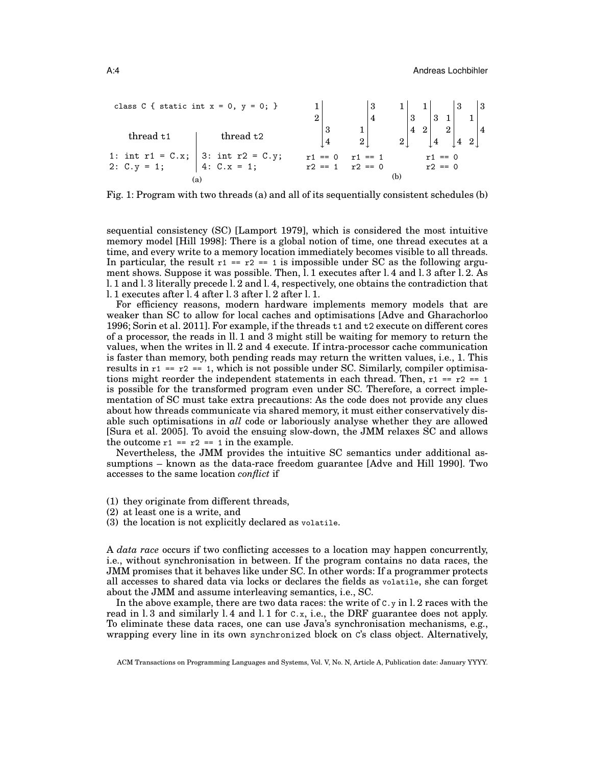<span id="page-3-2"></span><span id="page-3-0"></span>

| class C { static int $x = 0$ , $y = 0$ ; }                |               |           | -3                               |     |        |                        |  | $\vert 3$ |
|-----------------------------------------------------------|---------------|-----------|----------------------------------|-----|--------|------------------------|--|-----------|
|                                                           |               |           |                                  |     | 3      |                        |  |           |
| thread t1                                                 | thread t2     |           | 2 <sup>1</sup>                   |     | $-2^+$ |                        |  |           |
| 1: int r1 = $C.x$ ; 3: int r2 = $C.y$ ;<br>2: $C.y = 1$ ; | $4: C.x = 1;$ | $r1 == 0$ | $r1 == 1$<br>$r2 == 1$ $r2 == 0$ |     |        | $r1 == 0$<br>$r2 == 0$ |  |           |
|                                                           | (a)           |           |                                  | (b) |        |                        |  |           |

<span id="page-3-1"></span>Fig. 1: Program with two threads [\(a\)](#page-3-0) and all of its sequentially consistent schedules [\(b\)](#page-3-1)

sequential consistency (SC) [\[Lamport 1979\]](#page-63-7), which is considered the most intuitive memory model [\[Hill 1998\]](#page-63-13): There is a global notion of time, one thread executes at a time, and every write to a memory location immediately becomes visible to all threads. In particular, the result  $r1 = r2 = 1$  is impossible under SC as the following argument shows. Suppose it was possible. Then, l. 1 executes after l. 4 and l. 3 after l. 2. As l. 1 and l. 3 literally precede l. 2 and l. 4, respectively, one obtains the contradiction that l. 1 executes after l. 4 after l. 3 after l. 2 after l. 1.

For efficiency reasons, modern hardware implements memory models that are weaker than SC to allow for local caches and optimisations [\[Adve and Gharachorloo](#page-62-5) [1996;](#page-62-5) [Sorin et al. 2011\]](#page-64-7). For example, if the threads t1 and t2 execute on different cores of a processor, the reads in ll. 1 and 3 might still be waiting for memory to return the values, when the writes in ll. 2 and 4 execute. If intra-processor cache communication is faster than memory, both pending reads may return the written values, i.e., 1. This results in  $r1 = r2 == 1$ , which is not possible under SC. Similarly, compiler optimisations might reorder the independent statements in each thread. Then,  $r_1 = r_2 = 1$ is possible for the transformed program even under SC. Therefore, a correct implementation of SC must take extra precautions: As the code does not provide any clues about how threads communicate via shared memory, it must either conservatively disable such optimisations in *all* code or laboriously analyse whether they are allowed [\[Sura et al. 2005\]](#page-64-8). To avoid the ensuing slow-down, the JMM relaxes SC and allows the outcome  $r1 == r2 == 1$  in the example.

Nevertheless, the JMM provides the intuitive SC semantics under additional assumptions – known as the data-race freedom guarantee [\[Adve and Hill 1990\]](#page-62-6). Two accesses to the same location *conflict* if

- (1) they originate from different threads,
- (2) at least one is a write, and
- (3) the location is not explicitly declared as volatile.

A *data race* occurs if two conflicting accesses to a location may happen concurrently, i.e., without synchronisation in between. If the program contains no data races, the JMM promises that it behaves like under SC. In other words: If a programmer protects all accesses to shared data via locks or declares the fields as volatile, she can forget about the JMM and assume interleaving semantics, i.e., SC.

In the above example, there are two data races: the write of  $c \cdot y$  in l. 2 races with the read in 1.3 and similarly 1.4 and 1.1 for  $c.x$ , i.e., the DRF guarantee does not apply. To eliminate these data races, one can use Java's synchronisation mechanisms, e.g., wrapping every line in its own synchronized block on C's class object. Alternatively,

ACM Transactions on Programming Languages and Systems, Vol. V, No. N, Article A, Publication date: January YYYY.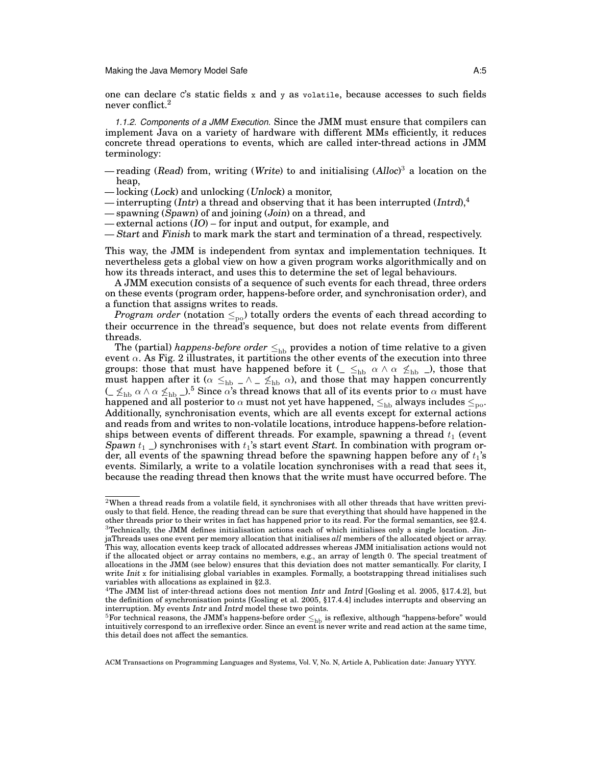Making the Java Memory Model Safe A:5

one can declare C's static fields x and y as volatile, because accesses to such fields never conflict.<sup>2</sup>

*1.1.2. Components of a JMM Execution.* Since the JMM must ensure that compilers can implement Java on a variety of hardware with different MMs efficiently, it reduces concrete thread operations to events, which are called inter-thread actions in JMM terminology:

- reading (Read) from, writing (Write) to and initialising (Alloc)<sup>[3](#page-4-0)</sup> a location on the heap,
- locking (Lock) and unlocking (Unlock) a monitor,
- interrupting (Intr) a thread and observing that it has been interrupted (Intrd),<sup>4</sup>
- spawning (Spawn) of and joining (Join) on a thread, and
- external actions (IO) for input and output, for example, and

— Start and Finish to mark mark the start and termination of a thread, respectively.

This way, the JMM is independent from syntax and implementation techniques. It nevertheless gets a global view on how a given program works algorithmically and on how its threads interact, and uses this to determine the set of legal behaviours.

A JMM execution consists of a sequence of such events for each thread, three orders on these events (program order, happens-before order, and synchronisation order), and a function that assigns writes to reads.

*Program order* (notation  $\leq_{\text{po}}$ ) totally orders the events of each thread according to their occurrence in the thread's sequence, but does not relate events from different threads.

The (partial) *happens-before order*  $\leq_{\text{hb}}$  provides a notion of time relative to a given event  $\alpha$ . As Fig. [2](#page-5-0) illustrates, it partitions the other events of the execution into three groups: those that must have happened before it (\_ $\leq_{\text{hb}} \alpha \wedge \alpha \leq_{\text{hb}}$  \_), those that must happen after it ( $\alpha \leq_{\text{hb}} \alpha \wedge \alpha = \text{\#}_{\text{hb}}(\alpha)$ , and those that may happen concurrently  $(\_ \not\leq_{\rm hb} \alpha \wedge \alpha \not\leq_{\rm hb} \_ )^5$  Since  $\alpha$ 's thread knows that all of its events prior to  $\alpha$  must have happened and all posterior to  $\alpha$  must not yet have happened,  $\leq_\text{hb}$  always includes  $\leq_\text{po}.$ Additionally, synchronisation events, which are all events except for external actions and reads from and writes to non-volatile locations, introduce happens-before relationships between events of different threads. For example, spawning a thread  $t_1$  (event Spawn  $t_1$   $\Box$  synchronises with  $t_1$ 's start event Start. In combination with program order, all events of the spawning thread before the spawning happen before any of  $t_1$ 's events. Similarly, a write to a volatile location synchronises with a read that sees it, because the reading thread then knows that the write must have occurred before. The

<span id="page-4-0"></span><sup>2</sup>When a thread reads from a volatile field, it synchronises with all other threads that have written previously to that field. Hence, the reading thread can be sure that everything that should have happened in the other threads prior to their writes in fact has happened prior to its read. For the formal semantics, see [§2.4.](#page-18-0) <sup>3</sup>Technically, the JMM defines initialisation actions each of which initialises only a single location. JinjaThreads uses one event per memory allocation that initialises *all* members of the allocated object or array. This way, allocation events keep track of allocated addresses whereas JMM initialisation actions would not if the allocated object or array contains no members, e.g., an array of length 0. The special treatment of allocations in the JMM (see below) ensures that this deviation does not matter semantically. For clarity, I write Init x for initialising global variables in examples. Formally, a bootstrapping thread initialises such variables with allocations as explained in [§2.3.](#page-16-0)

<sup>&</sup>lt;sup>4</sup>The JMM list of inter-thread actions does not mention Intr and Intrd [\[Gosling et al. 2005,](#page-63-0) §17.4.2], but the definition of synchronisation points [\[Gosling et al. 2005,](#page-63-0) §17.4.4] includes interrupts and observing an interruption. My events Intr and Intrd model these two points.

 $^5$ For technical reasons, the JMM's happens-before order  $\leq_\text{hb}$  is reflexive, although "happens-before" would<br>intuitively correspond to an irreflexive order. Since an event is never write and read action at the same this detail does not affect the semantics.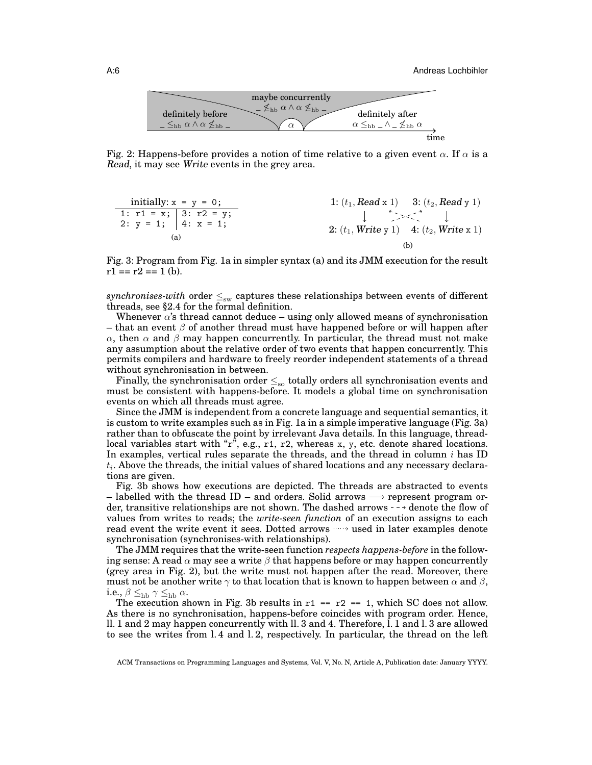<span id="page-5-0"></span>

Fig. 2: Happens-before provides a notion of time relative to a given event  $\alpha$ . If  $\alpha$  is a Read, it may see Write events in the grey area.

<span id="page-5-3"></span><span id="page-5-2"></span><span id="page-5-1"></span>

Fig. 3: Program from Fig. [1a](#page-3-0) in simpler syntax [\(a\)](#page-5-1) and its JMM execution for the result  $r1 == r2 == 1$  [\(b\).](#page-5-2)

 $synchronises-with order  $\leq_{sw}$  captures these relationships between events of different$ threads, see [§2.4](#page-18-0) for the formal definition.

Whenever  $\alpha$ 's thread cannot deduce – using only allowed means of synchronisation – that an event  $\beta$  of another thread must have happened before or will happen after  $\alpha$ , then  $\alpha$  and  $\beta$  may happen concurrently. In particular, the thread must not make any assumption about the relative order of two events that happen concurrently. This permits compilers and hardware to freely reorder independent statements of a thread without synchronisation in between.

Finally, the synchronisation order  $\leq_{\text{so}}$  totally orders all synchronisation events and must be consistent with happens-before. It models a global time on synchronisation events on which all threads must agree.

Since the JMM is independent from a concrete language and sequential semantics, it is custom to write examples such as in Fig. [1a](#page-3-0) in a simple imperative language (Fig. [3a\)](#page-5-1) rather than to obfuscate the point by irrelevant Java details. In this language, threadlocal variables start with "r", e.g., r1, r2, whereas x, y, etc. denote shared locations. In examples, vertical rules separate the threads, and the thread in column  $i$  has ID  $t_i.$  Above the threads, the initial values of shared locations and any necessary declarations are given.

Fig. [3b](#page-5-2) shows how executions are depicted. The threads are abstracted to events – labelled with the thread ID – and orders. Solid arrows  $\rightarrow$  represent program order, transitive relationships are not shown. The dashed arrows  $-\rightarrow$  denote the flow of values from writes to reads; the *write-seen function* of an execution assigns to each read event the write event it sees. Dotted arrows we used in later examples denote synchronisation (synchronises-with relationships).

The JMM requires that the write-seen function *respects happens-before* in the following sense: A read  $\alpha$  may see a write  $\beta$  that happens before or may happen concurrently (grey area in Fig. [2\)](#page-5-0), but the write must not happen after the read. Moreover, there must not be another write  $\gamma$  to that location that is known to happen between  $\alpha$  and  $\beta$ , i.e.,  $\beta \leq_{hb} \gamma \leq_{hb} \alpha$ .

The execution shown in Fig. [3b](#page-5-2) results in  $r1 = r2 = 1$ , which SC does not allow. As there is no synchronisation, happens-before coincides with program order. Hence, ll. 1 and 2 may happen concurrently with ll. 3 and 4. Therefore, l. 1 and l. 3 are allowed to see the writes from l. 4 and l. 2, respectively. In particular, the thread on the left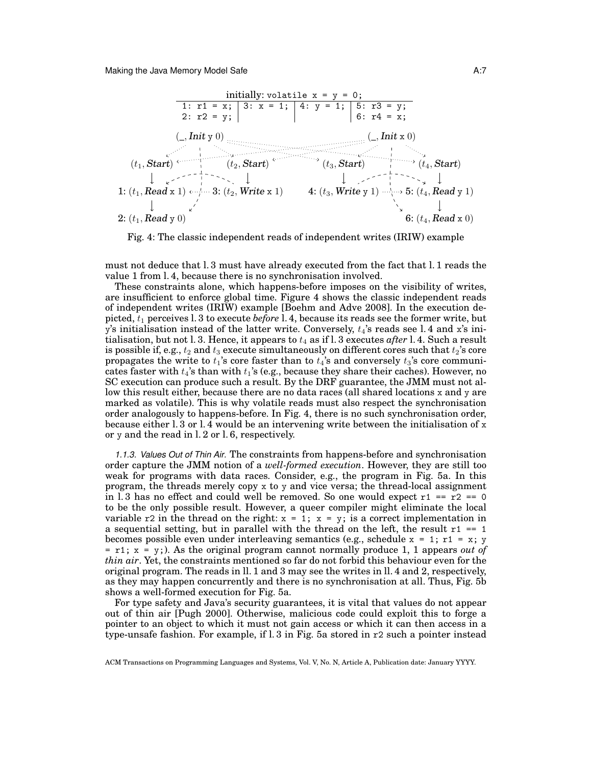<span id="page-6-0"></span>

Fig. 4: The classic independent reads of independent writes (IRIW) example

must not deduce that l. 3 must have already executed from the fact that l. 1 reads the value 1 from l. 4, because there is no synchronisation involved.

These constraints alone, which happens-before imposes on the visibility of writes, are insufficient to enforce global time. Figure [4](#page-6-0) shows the classic independent reads of independent writes (IRIW) example [\[Boehm and Adve 2008\]](#page-62-4). In the execution depicted, t<sup>1</sup> perceives l. 3 to execute *before* l. 4, because its reads see the former write, but y's initialisation instead of the latter write. Conversely,  $t_4$ 's reads see l. 4 and x's initialisation, but not l. 3. Hence, it appears to  $t_4$  as if l. 3 executes *after* l. 4. Such a result is possible if, e.g.,  $t_2$  and  $t_3$  execute simultaneously on different cores such that  $t_2$ 's core propagates the write to  $t_1$ 's core faster than to  $t_4$ 's and conversely  $t_3$ 's core communicates faster with  $t_4$ 's than with  $t_1$ 's (e.g., because they share their caches). However, no SC execution can produce such a result. By the DRF guarantee, the JMM must not allow this result either, because there are no data races (all shared locations x and y are marked as volatile). This is why volatile reads must also respect the synchronisation order analogously to happens-before. In Fig. [4,](#page-6-0) there is no such synchronisation order, because either l. 3 or l. 4 would be an intervening write between the initialisation of  $x$ or y and the read in l. 2 or l. 6, respectively.

*1.1.3. Values Out of Thin Air.* The constraints from happens-before and synchronisation order capture the JMM notion of a *well-formed execution*. However, they are still too weak for programs with data races. Consider, e.g., the program in Fig. [5a.](#page-7-1) In this program, the threads merely copy x to y and vice versa; the thread-local assignment in 1.3 has no effect and could well be removed. So one would expect  $r1 = r2 = 0$ to be the only possible result. However, a queer compiler might eliminate the local variable r2 in the thread on the right:  $x = 1$ ;  $x = y$ ; is a correct implementation in a sequential setting, but in parallel with the thread on the left, the result  $r1 == 1$ becomes possible even under interleaving semantics (e.g., schedule  $x = 1$ ;  $r1 = x$ ; y = r1; x = y;). As the original program cannot normally produce 1, 1 appears *out of thin air*. Yet, the constraints mentioned so far do not forbid this behaviour even for the original program. The reads in ll. 1 and 3 may see the writes in ll. 4 and 2, respectively, as they may happen concurrently and there is no synchronisation at all. Thus, Fig. [5b](#page-7-2) shows a well-formed execution for Fig. [5a.](#page-7-1)

For type safety and Java's security guarantees, it is vital that values do not appear out of thin air [\[Pugh 2000\]](#page-64-0). Otherwise, malicious code could exploit this to forge a pointer to an object to which it must not gain access or which it can then access in a type-unsafe fashion. For example, if l. 3 in Fig. [5a](#page-7-1) stored in r2 such a pointer instead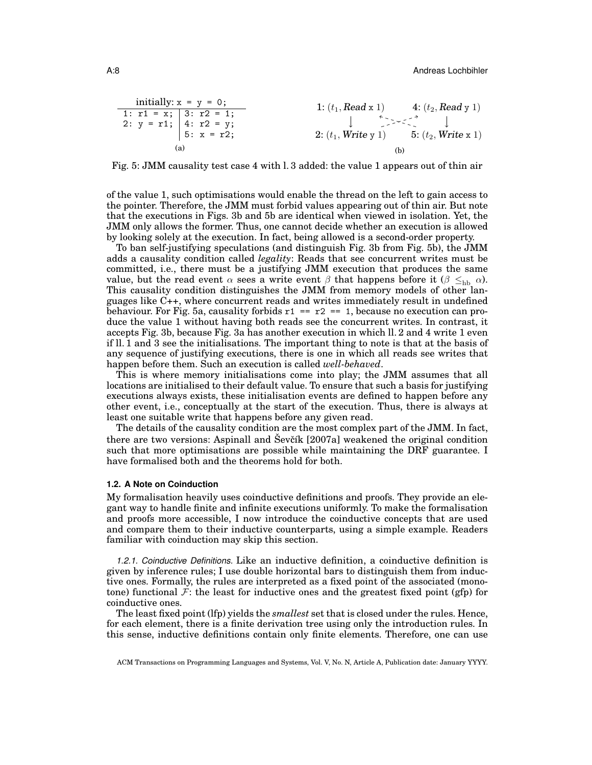<span id="page-7-3"></span><span id="page-7-2"></span><span id="page-7-1"></span>

| initially: $x = y = 0;$ | 1: $(t_1, Read \ x \ 1)$  | 4: $(t_2, Read \ y \ 1)$  |                          |
|-------------------------|---------------------------|---------------------------|--------------------------|
| 2: $y = r1;$            | 4: $r2 = y;$              | 1: $(t_1, Read \ x \ 1)$  | 4: $(t_2, Read \ y \ 1)$ |
| 3: $x = r2;$            | 2: $(t_1, Write \ y \ 1)$ | 5: $(t_2, Write \ x \ 1)$ |                          |
| (a)                     | (b)                       |                           |                          |

Fig. 5: JMM causality test case 4 with l. 3 added: the value 1 appears out of thin air

of the value 1, such optimisations would enable the thread on the left to gain access to the pointer. Therefore, the JMM must forbid values appearing out of thin air. But note that the executions in Figs. [3b](#page-5-2) and [5b](#page-7-2) are identical when viewed in isolation. Yet, the JMM only allows the former. Thus, one cannot decide whether an execution is allowed by looking solely at the execution. In fact, being allowed is a second-order property.

To ban self-justifying speculations (and distinguish Fig. [3b](#page-5-2) from Fig. [5b\)](#page-7-2), the JMM adds a causality condition called *legality*: Reads that see concurrent writes must be committed, i.e., there must be a justifying JMM execution that produces the same value, but the read event  $\alpha$  sees a write event  $\beta$  that happens before it  $(\beta \leq_{hb} \alpha)$ . This causality condition distinguishes the JMM from memory models of other languages like C++, where concurrent reads and writes immediately result in undefined behaviour. For Fig. [5a,](#page-7-1) causality forbids  $r1 = r2 == 1$ , because no execution can produce the value 1 without having both reads see the concurrent writes. In contrast, it accepts Fig. [3b,](#page-5-2) because Fig. [3a](#page-5-1) has another execution in which ll. 2 and 4 write 1 even if ll. 1 and 3 see the initialisations. The important thing to note is that at the basis of any sequence of justifying executions, there is one in which all reads see writes that happen before them. Such an execution is called *well-behaved*.

This is where memory initialisations come into play; the JMM assumes that all locations are initialised to their default value. To ensure that such a basis for justifying executions always exists, these initialisation events are defined to happen before any other event, i.e., conceptually at the start of the execution. Thus, there is always at least one suitable write that happens before any given read.

The details of the causality condition are the most complex part of the JMM. In fact, there are two versions: Aspinall and Ševčík [2007a] weakened the original condition such that more optimisations are possible while maintaining the DRF guarantee. I have formalised both and the theorems hold for both.

#### <span id="page-7-0"></span>**1.2. A Note on Coinduction**

My formalisation heavily uses coinductive definitions and proofs. They provide an elegant way to handle finite and infinite executions uniformly. To make the formalisation and proofs more accessible, I now introduce the coinductive concepts that are used and compare them to their inductive counterparts, using a simple example. Readers familiar with coinduction may skip this section.

*1.2.1. Coinductive Definitions.* Like an inductive definition, a coinductive definition is given by inference rules; I use double horizontal bars to distinguish them from inductive ones. Formally, the rules are interpreted as a fixed point of the associated (monotone) functional  $F$ : the least for inductive ones and the greatest fixed point (gfp) for coinductive ones.

The least fixed point (lfp) yields the *smallest* set that is closed under the rules. Hence, for each element, there is a finite derivation tree using only the introduction rules. In this sense, inductive definitions contain only finite elements. Therefore, one can use

ACM Transactions on Programming Languages and Systems, Vol. V, No. N, Article A, Publication date: January YYYY.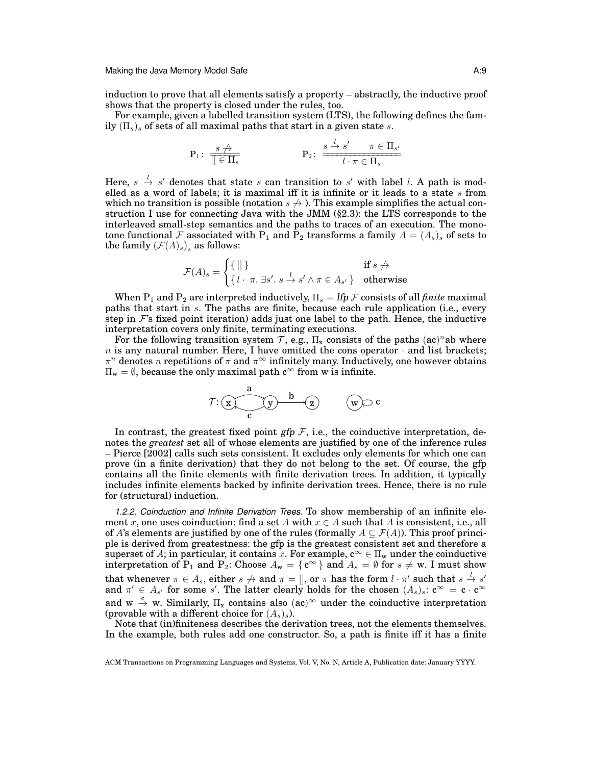induction to prove that all elements satisfy a property – abstractly, the inductive proof shows that the property is closed under the rules, too.

For example, given a labelled transition system (LTS), the following defines the family  $(\Pi_s)_s$  of sets of all maximal paths that start in a given state s.

<span id="page-8-1"></span><span id="page-8-0"></span>
$$
\mathbf{P}_1: \ \frac{s \not\to}{\mathbb{I} \in \Pi_s} \qquad \qquad \mathbf{P}_2: \ \frac{s \stackrel{l}{\to} s' \quad \pi \in \Pi_{s'}}{l \cdot \pi \in \Pi_s}
$$

Here,  $s \stackrel{l}{\rightarrow} s'$  denotes that state s can transition to s' with label l. A path is modelled as a word of labels; it is maximal iff it is infinite or it leads to a state  $s$  from which no transition is possible (notation  $s \nrightarrow$ ). This example simplifies the actual construction I use for connecting Java with the JMM ([§2.3\)](#page-16-0): the LTS corresponds to the interleaved small-step semantics and the paths to traces of an execution. The mono-tone functional F associated with [P](#page-8-1)<sub>1</sub> and P<sub>2</sub> transforms a family  $A = (A_s)_s$  of sets to the family  $(\mathcal{F}(A)_s)_s$  as follows:

$$
\mathcal{F}(A)_s = \begin{cases} \{ \left[ \right] \} & \text{if } s \neq 0 \\ \{ l \cdot \pi, \exists s'. \ s \stackrel{l}{\to} s' \land \pi \in A_{s'} \} & \text{otherwise} \end{cases}
$$

When [P](#page-8-1)<sub>1</sub> and P<sub>2</sub> are interpreted inductively,  $\Pi_s = \text{If } p \neq 0$  consists of all *finite* maximal paths that start in s. The paths are finite, because each rule application (i.e., every step in  $\mathcal{F}$ 's fixed point iteration) adds just one label to the path. Hence, the inductive interpretation covers only finite, terminating executions.

For the following transition system  $\mathcal{T}$ , e.g.,  $\Pi_{\mathbf{x}}$  consists of the paths  $(\mathbf{ac})^n\mathbf{ab}$  where  $n$  is any natural number. Here, I have omitted the cons operator  $\cdot$  and list brackets;  $\pi^n$  denotes n repetitions of  $\pi$  and  $\pi^\infty$  infinitely many. Inductively, one however obtains  $\Pi_w = \emptyset$ , because the only maximal path  $c^{\infty}$  from w is infinite.

$$
\mathcal{T} \colon \widehat{(\underline{x}) \xrightarrow{\qquad a} (\underline{y}) \xrightarrow{\qquad b} (\underline{z}) \qquad \text{and} \ c
$$

In contrast, the greatest fixed point gfp  $\mathcal F$ , i.e., the coinductive interpretation, denotes the *greatest* set all of whose elements are justified by one of the inference rules – [Pierce \[2002\]](#page-64-9) calls such sets consistent. It excludes only elements for which one can prove (in a finite derivation) that they do not belong to the set. Of course, the gfp contains all the finite elements with finite derivation trees. In addition, it typically includes infinite elements backed by infinite derivation trees. Hence, there is no rule for (structural) induction.

*1.2.2. Coinduction and Infinite Derivation Trees.* To show membership of an infinite element x, one uses coinduction: find a set A with  $x \in A$  such that A is consistent, i.e., all of A's elements are justified by one of the rules (formally  $A \subseteq \mathcal{F}(A)$ ). This proof principle is derived from greatestness: the gfp is the greatest consistent set and therefore a superset of A; in particular, it contains x. For example,  $\mathbf{c}^\infty\in\Pi_\mathrm{w}$  under the coinductive interpretation of  $P_1$  $P_1$  and  $P_2$ : Choose  $A_w = \{ c^{\infty} \}$  and  $A_s = \emptyset$  for  $s \neq w$ . I must show that whenever  $\pi\in A_s,$  either  $s\not\rightarrow$  and  $\pi=[\,]$ , or  $\pi$  has the form  $l\cdot\pi'$  such that  $s\stackrel{l}{\rightarrow}s'$ and  $\pi' \in A_{s'}$  for some s'. The latter clearly holds for the chosen  $(A_s)_s$ :  $c^{\infty} = c \cdot c^{\infty}$ and w  $\stackrel{c}{\rightarrow}$  w. Similarly,  $\Pi_x$  contains also (ac)<sup>∞</sup> under the coinductive interpretation (provable with a different choice for  $(A_s)_s$ ).

Note that (in)finiteness describes the derivation trees, not the elements themselves. In the example, both rules add one constructor. So, a path is finite iff it has a finite

ACM Transactions on Programming Languages and Systems, Vol. V, No. N, Article A, Publication date: January YYYY.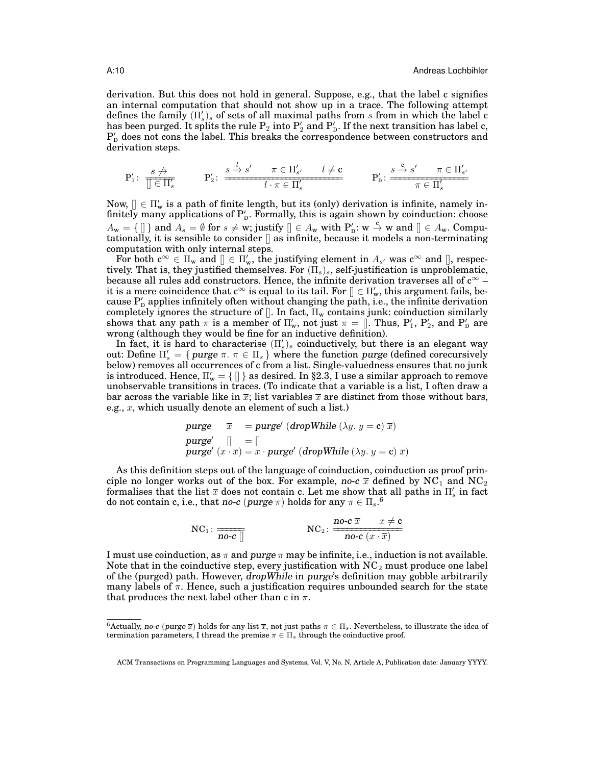derivation. But this does not hold in general. Suppose, e.g., that the label c signifies an internal computation that should not show up in a trace. The following attempt defines the family  $(\Pi_s')_s$  of sets of all maximal paths from s from in which the label c has been purged. It splits the rule  $\rm P_2$  $\rm P_2$  $\rm P_2$  into  $\rm P_2'$  and  $\rm P_2'$ . If the next transition has label c,  $P'_{D}$  $P'_{D}$  does not cons the label. This breaks the correspondence between constructors and derivation steps.

<span id="page-9-2"></span><span id="page-9-1"></span><span id="page-9-0"></span>
$$
\text{P}_1': \; \frac{s \not\to}{\text{$\parallel \in \Pi_s'$}} \qquad \quad \text{P}_2': \; \frac{s \stackrel{l}{\to} s' \quad \pi \in \Pi_{s'}' \quad \text{$l \neq \mathbf{c}$}}{l \cdot \pi \in \Pi_s'} \qquad \quad \text{P}_\text{D}'': \; \frac{s \stackrel{\mathbf{c}}{\to} s' \quad \pi \in \Pi_{s'}'}{\pi \in \Pi_s'}
$$

Now,  $[] \in \Pi'_{w}$  is a path of finite length, but its (only) derivation is infinite, namely infinitely many applications of  $P'_{D}$  $P'_{D}$ . Formally, this is again shown by coinduction: choose  $A_{\mathbf{w}} = \{ [] \}$  and  $A_s = \emptyset$  for  $s \neq \mathbf{w}$ ; justify  $[] \in A_{\mathbf{w}}$  with  $\mathbf{P'_0: w \stackrel{c}{\rightarrow} w}$  $\mathbf{P'_0: w \stackrel{c}{\rightarrow} w}$  $\mathbf{P'_0: w \stackrel{c}{\rightarrow} w}$  and  $[] \in A_{\mathbf{w}}$ . Computationally, it is sensible to consider [] as infinite, because it models a non-terminating computation with only internal steps.

For both  $c^{\infty} \in \Pi_{w}$  and  $[] \in \Pi'_{w}$ , the justifying element in  $A_{s'}$  was  $c^{\infty}$  and  $[]$ , respectively. That is, they justified themselves. For  $(\Pi_s)_s$ , self-justification is unproblematic, because all rules add constructors. Hence, the infinite derivation traverses all of  $c^{\infty}$  – it is a mere coincidence that  $c^{\infty}$  is equal to its tail. For  $[] \in \Pi'_{w}$ , this argument fails, because  $P'_{D}$  $P'_{D}$  applies infinitely often without changing the path, i.e., the infinite derivation completely ignores the structure of  $\parallel$ . In fact,  $\Pi_w$  contains junk: coinduction similarly shows that any path  $\pi$  is a member of  $\Pi'_{\rm w}$  $\Pi'_{\rm w}$  $\Pi'_{\rm w}$ , not just  $\pi = []$ . Thus,  $P'_1$ ,  $P'_2$ , and  $P'_D$  are wrong (although they would be fine for an inductive definition).

In fact, it is hard to characterise  $(\Pi'_{s})_{s}$  coinductively, but there is an elegant way out: Define  $\Pi_s' = \{ \text{pure } \pi \ldotp \pi \in \Pi_s \}$  where the function purge (defined corecursively below) removes all occurrences of c from a list. Single-valuedness ensures that no junk is introduced. Hence,  $\Pi_{\rm w}'=\{ \parallel \}$  as desired. In [§2.3,](#page-16-0) I use a similar approach to remove unobservable transitions in traces. (To indicate that a variable is a list, I often draw a bar across the variable like in  $\bar{x}$ ; list variables  $\bar{x}$  are distinct from those without bars, e.g.,  $x$ , which usually denote an element of such a list.)

\n
$$
\text{pure} \quad \bar{x} = \text{pure} \, (\text{dropWhile } (\lambda y. \, y = \mathbf{c}) \, \bar{x})
$$
\n

\n\n $\text{pure} \quad \left[ \begin{array}{c} \bar{x} \\ \bar{y} \end{array} \right] = \left[ \begin{array}{c} \bar{x} \\ \bar{y} \end{array} \right]$ \n

\n\n $\text{pure} \quad (x \cdot \bar{x}) = x \cdot \text{pure} \, (\text{dropWhile } (\lambda y. \, y = \mathbf{c}) \, \bar{x})$ \n

As this definition steps out of the language of coinduction, coinduction as proof principle no longer works out of the box. For example, no-c  $\bar{x}$  defined by [NC](#page-9-4)<sub>1</sub> and NC<sub>2</sub> formalises that the list  $\overline{x}$  does not contain c. Let me show that all paths in  $\Pi_s'$  in fact do not contain c, i.e., that no-c  $(\textit{pure}\,\pi)$  holds for any  $\pi\in\Pi_s.^6$ 

<span id="page-9-4"></span><span id="page-9-3"></span>
$$
NC_1: \frac{no\text{-}c \overline{x} \quad x \neq c}{\text{-}no\text{-}c \overline{x}}
$$

$$
NC_2: \frac{no\text{-}c \overline{x} \quad x \neq c}{\text{-}no\text{-}c \left(x \cdot \overline{x}\right)}
$$

I must use coinduction, as  $\pi$  and purge  $\pi$  may be infinite, i.e., induction is not available. Note that in the coinductive step, every justification with  $NC_2$  $NC_2$  must produce one label of the (purged) path. However, dropWhile in purge's definition may gobble arbitrarily many labels of  $\pi$ . Hence, such a justification requires unbounded search for the state that produces the next label other than c in  $\pi$ .

<sup>&</sup>lt;sup>6</sup>Actually, no-c (purge  $\overline{x}$ ) holds for any list  $\overline{x}$ , not just paths  $\pi \in \Pi_s$ . Nevertheless, to illustrate the idea of termination parameters, I thread the premise  $\pi \in \Pi_s$  through the coinductive proof.

ACM Transactions on Programming Languages and Systems, Vol. V, No. N, Article A, Publication date: January YYYY.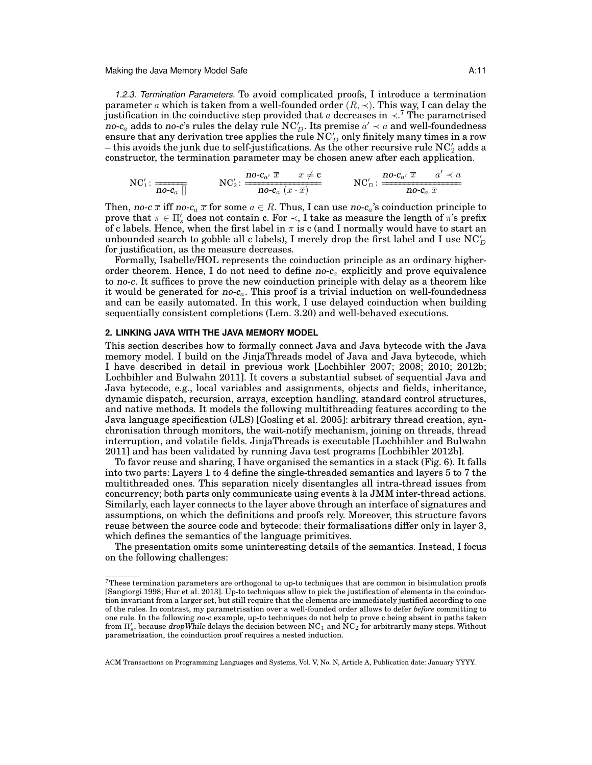<span id="page-10-3"></span>*1.2.3. Termination Parameters.* To avoid complicated proofs, I introduce a termination parameter a which is taken from a well-founded order  $(R, \prec)$ . This way, I can delay the justification in the coinductive step provided that a decreases in  $\prec$ .<sup>7</sup> The parametrised no- $c_a$  adds to no- $c$ 's rules the delay rule  $\mathrm{NC}_D'$  $\mathrm{NC}_D'$  $\mathrm{NC}_D'$ . Its premise  $a'\prec a$  and well-foundedness ensure that any derivation tree applies the rule  $\mathrm{NC}_D'$  $\mathrm{NC}_D'$  $\mathrm{NC}_D'$  only finitely many times in a row – this avoids the junk due to self-justifications. As the other recursive rule  $\mathrm{NC}_2^\prime$  $\mathrm{NC}_2^\prime$  $\mathrm{NC}_2^\prime$  adds a constructor, the termination parameter may be chosen anew after each application.

<span id="page-10-2"></span><span id="page-10-1"></span>
$$
\text{NC}'_1: \frac{\textbf{no-c}_{a'}\ \overline{x}\ \ x \neq \textbf{c}}{\textbf{no-c}_{a}\ [\ ]}\n \qquad\n \text{NC}'_2: \frac{\textbf{no-c}_{a'}\ \overline{x}\ \ x \neq \textbf{c}}{\textbf{no-c}_{a}\ (x \cdot \overline{x})}\n \qquad\n \text{NC}'_D: \frac{\textbf{no-c}_{a'}\ \overline{x}\ \ a' \prec a}{\textbf{no-c}_{a}\ \overline{x}}
$$

Then, no-c  $\bar{x}$  iff no-c<sub>a</sub>  $\bar{x}$  for some  $a \in R$ . Thus, I can use no-c<sub>a</sub>'s coinduction principle to prove that  $\pi \in \Pi_s'$  does not contain c. For  $\prec$ , I take as measure the length of  $\pi$ 's prefix of c labels. Hence, when the first label in  $\pi$  is c (and I normally would have to start an unbounded search to gobble all c labels), I merely drop the first label and I use  $\mathrm{NC}_D^\prime$  $\mathrm{NC}_D^\prime$  $\mathrm{NC}_D^\prime$ for justification, as the measure decreases.

Formally, Isabelle/HOL represents the coinduction principle as an ordinary higherorder theorem. Hence, I do not need to define  $no-c_a$  explicitly and prove equivalence to no-c. It suffices to prove the new coinduction principle with delay as a theorem like it would be generated for  $no-c_a$ . This proof is a trivial induction on well-foundedness and can be easily automated. In this work, I use delayed coinduction when building sequentially consistent completions (Lem. [3.20\)](#page-44-0) and well-behaved executions.

## <span id="page-10-0"></span>**2. LINKING JAVA WITH THE JAVA MEMORY MODEL**

This section describes how to formally connect Java and Java bytecode with the Java memory model. I build on the JinjaThreads model of Java and Java bytecode, which I have described in detail in previous work [\[Lochbihler 2007;](#page-63-12) [2008;](#page-63-11) [2010;](#page-63-14) [2012b;](#page-63-2) [Lochbihler and Bulwahn 2011\]](#page-63-15). It covers a substantial subset of sequential Java and Java bytecode, e.g., local variables and assignments, objects and fields, inheritance, dynamic dispatch, recursion, arrays, exception handling, standard control structures, and native methods. It models the following multithreading features according to the Java language specification (JLS) [\[Gosling et al. 2005\]](#page-63-0): arbitrary thread creation, synchronisation through monitors, the wait-notify mechanism, joining on threads, thread interruption, and volatile fields. JinjaThreads is executable [\[Lochbihler and Bulwahn](#page-63-15) [2011\]](#page-63-15) and has been validated by running Java test programs [\[Lochbihler 2012b\]](#page-63-2).

To favor reuse and sharing, I have organised the semantics in a stack (Fig. [6\)](#page-11-0). It falls into two parts: Layers 1 to 4 define the single-threaded semantics and layers 5 to 7 the multithreaded ones. This separation nicely disentangles all intra-thread issues from concurrency; both parts only communicate using events à la JMM inter-thread actions. Similarly, each layer connects to the layer above through an interface of signatures and assumptions, on which the definitions and proofs rely. Moreover, this structure favors reuse between the source code and bytecode: their formalisations differ only in layer 3, which defines the semantics of the language primitives.

The presentation omits some uninteresting details of the semantics. Instead, I focus on the following challenges:

<sup>7</sup>These termination parameters are orthogonal to up-to techniques that are common in bisimulation proofs [\[Sangiorgi 1998;](#page-64-10) [Hur et al. 2013\]](#page-63-16). Up-to techniques allow to pick the justification of elements in the coinduction invariant from a larger set, but still require that the elements are immediately justified according to one of the rules. In contrast, my parametrisation over a well-founded order allows to defer *before* committing to one rule. In the following no-c example, up-to techniques do not help to prove c being absent in paths taken from  $\Pi_s'$ , because dropWhile delays the decision between  $\rm NC_1$  $\rm NC_1$  $\rm NC_1$  and  $\rm NC_2$  for arbitrarily many steps. Without parametrisation, the coinduction proof requires a nested induction.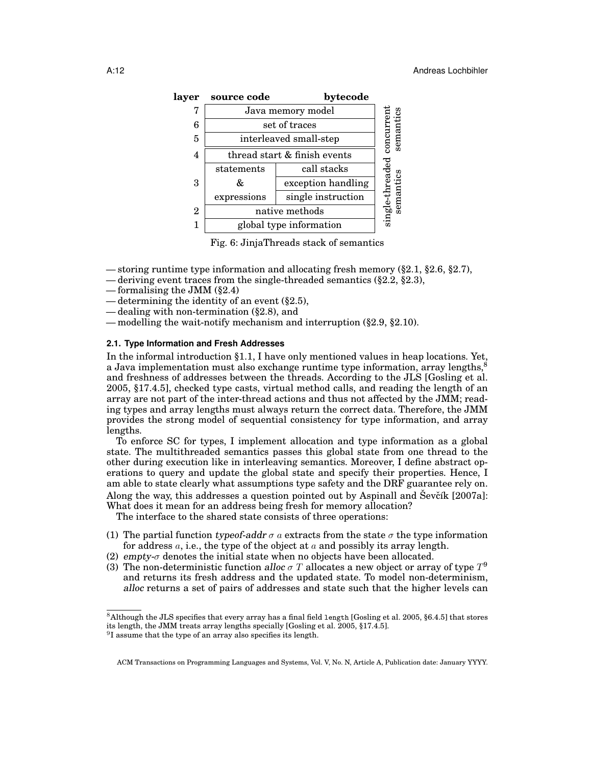<span id="page-11-0"></span>

Fig. 6: JinjaThreads stack of semantics

- storing runtime type information and allocating fresh memory ( $\S 2.1$ ,  $\S 2.6$ ,  $\S 2.7$ ),
- deriving event traces from the single-threaded semantics  $(\S2.2, \S2.3)$ ,
- formalising the JMM ([§2.4\)](#page-18-0)
- determining the identity of an event  $(\S 2.5)$ ,
- dealing with non-termination ([§2.8\)](#page-28-0), and
- modelling the wait-notify mechanism and interruption ([§2.9,](#page-29-0) [§2.10\)](#page-31-1).

## <span id="page-11-1"></span>**2.1. Type Information and Fresh Addresses**

In the informal introduction [§1.1,](#page-2-0) I have only mentioned values in heap locations. Yet, a Java implementation must also exchange runtime type information, array lengths,<sup>8</sup> and freshness of addresses between the threads. According to the JLS [\[Gosling et al.](#page-63-0) [2005,](#page-63-0) §17.4.5], checked type casts, virtual method calls, and reading the length of an array are not part of the inter-thread actions and thus not affected by the JMM; reading types and array lengths must always return the correct data. Therefore, the JMM provides the strong model of sequential consistency for type information, and array lengths.

To enforce SC for types, I implement allocation and type information as a global state. The multithreaded semantics passes this global state from one thread to the other during execution like in interleaving semantics. Moreover, I define abstract operations to query and update the global state and specify their properties. Hence, I am able to state clearly what assumptions type safety and the DRF guarantee rely on. Along the way, this addresses a question pointed out by Aspinall and Sevčík [2007a]: What does it mean for an address being fresh for memory allocation?

The interface to the shared state consists of three operations:

- (1) The partial function typeof-addr  $\sigma$  a extracts from the state  $\sigma$  the type information for address  $a$ , i.e., the type of the object at  $a$  and possibly its array length.
- (2) empty- $\sigma$  denotes the initial state when no objects have been allocated.
- (3) The non-deterministic function alloc  $\sigma$  T allocates a new object or array of type  $T^9$ and returns its fresh address and the updated state. To model non-determinism, alloc returns a set of pairs of addresses and state such that the higher levels can

<sup>8</sup>Although the JLS specifies that every array has a final field length [\[Gosling et al. 2005,](#page-63-0) §6.4.5] that stores its length, the JMM treats array lengths specially [\[Gosling et al. 2005,](#page-63-0) §17.4.5].  $9$ I assume that the type of an array also specifies its length.

ACM Transactions on Programming Languages and Systems, Vol. V, No. N, Article A, Publication date: January YYYY.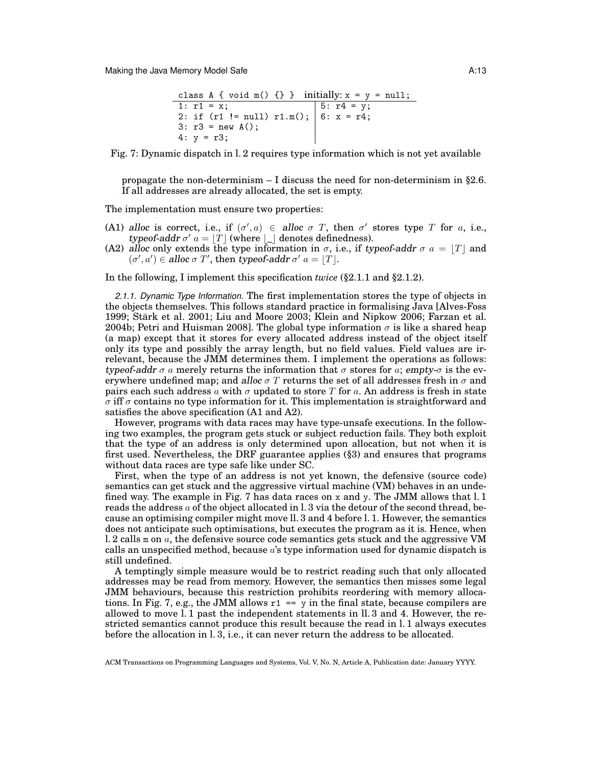<span id="page-12-3"></span>Making the Java Memory Model Safe A:13

class A { void m() {} } initially: x = y = null; 1: r1 = x; 2: if (r1 != null) r1.m(); 3: r3 = new A(); 4: y = r3; 5: r4 = y; 6: x = r4;

Fig. 7: Dynamic dispatch in l. 2 requires type information which is not yet available

propagate the non-determinism – I discuss the need for non-determinism in  $\S 2.6$ . If all addresses are already allocated, the set is empty.

The implementation must ensure two properties:

- <span id="page-12-1"></span>(A1) alloc is correct, i.e., if  $(\sigma', a) \in$  alloc  $\sigma T$ , then  $\sigma'$  stores type T for a, i.e., typeof-addr  $\sigma'$   $a = |T|$  (where  $| \_ |$  denotes definedness).
- <span id="page-12-2"></span>(A2) alloc only extends the type information in  $\sigma$ , i.e., if typeof-addr  $\sigma$  a =  $|T|$  and  $(\sigma', a') \in$  alloc  $\sigma T'$ , then typeof-addr  $\sigma'$   $a = |T|$ .

In the following, I implement this specification *twice* ([§2.1.1](#page-12-0) and [§2.1.2\)](#page-13-0).

<span id="page-12-0"></span>*2.1.1. Dynamic Type Information.* The first implementation stores the type of objects in the objects themselves. This follows standard practice in formalising Java [\[Alves-Foss](#page-62-7) [1999;](#page-62-7) [Stärk et al. 2001;](#page-64-11) [Liu and Moore 2003;](#page-63-4) [Klein and Nipkow 2006;](#page-63-17) [Farzan et al.](#page-63-6) [2004b;](#page-63-6) [Petri and Huisman 2008\]](#page-64-2). The global type information  $\sigma$  is like a shared heap (a map) except that it stores for every allocated address instead of the object itself only its type and possibly the array length, but no field values. Field values are irrelevant, because the JMM determines them. I implement the operations as follows: typeof-addr  $\sigma$  a merely returns the information that  $\sigma$  stores for a; empty- $\sigma$  is the everywhere undefined map; and alloc  $\sigma T$  returns the set of all addresses fresh in  $\sigma$  and pairs each such address a with  $\sigma$  updated to store T for a. An address is fresh in state  $\sigma$  iff  $\sigma$  contains no type information for it. This implementation is straightforward and satisfies the above specification [\(A1](#page-12-1) and [A2\)](#page-12-2).

However, programs with data races may have type-unsafe executions. In the following two examples, the program gets stuck or subject reduction fails. They both exploit that the type of an address is only determined upon allocation, but not when it is first used. Nevertheless, the DRF guarantee applies ([§3\)](#page-31-0) and ensures that programs without data races are type safe like under SC.

First, when the type of an address is not yet known, the defensive (source code) semantics can get stuck and the aggressive virtual machine (VM) behaves in an unde-fined way. The example in Fig. [7](#page-12-3) has data races on x and y. The JMM allows that  $l, 1$ reads the address a of the object allocated in l. 3 via the detour of the second thread, because an optimising compiler might move ll. 3 and 4 before l. 1. However, the semantics does not anticipate such optimisations, but executes the program as it is. Hence, when l. 2 calls m on a, the defensive source code semantics gets stuck and the aggressive VM calls an unspecified method, because a's type information used for dynamic dispatch is still undefined.

A temptingly simple measure would be to restrict reading such that only allocated addresses may be read from memory. However, the semantics then misses some legal JMM behaviours, because this restriction prohibits reordering with memory alloca-tions. In Fig. [7,](#page-12-3) e.g., the JMM allows  $r1 = y$  in the final state, because compilers are allowed to move l. 1 past the independent statements in ll. 3 and 4. However, the restricted semantics cannot produce this result because the read in l. 1 always executes before the allocation in l. 3, i.e., it can never return the address to be allocated.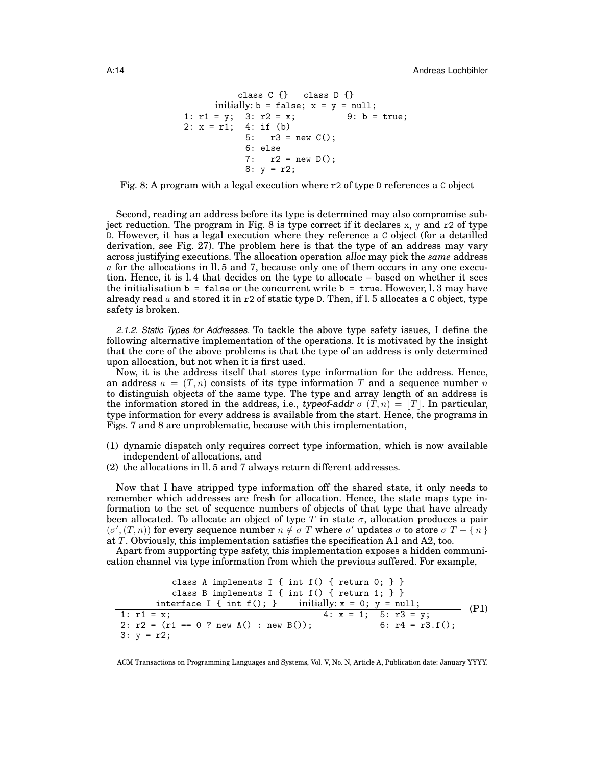<span id="page-13-1"></span>class C {} class D {} initially: b = false; x = y = null; 1: r1 = y; 2: x = r1; 3: r2 = x; 4: if (b) 5: r3 = new C(); 6: else 7: r2 = new D(); 8: y = r2; 9: b = true;

Fig. 8: A program with a legal execution where r2 of type D references a C object

Second, reading an address before its type is determined may also compromise sub-ject reduction. The program in Fig. [8](#page-13-1) is type correct if it declares  $x, y$  and  $r2$  of type D. However, it has a legal execution where they reference a C object (for a detailled derivation, see Fig. [27\)](#page-50-0). The problem here is that the type of an address may vary across justifying executions. The allocation operation alloc may pick the *same* address a for the allocations in ll. 5 and 7, because only one of them occurs in any one execution. Hence, it is l. 4 that decides on the type to allocate – based on whether it sees the initialisation  $b = false$  or the concurrent write  $b = true$ . However, l. 3 may have already read a and stored it in r2 of static type D. Then, if l. 5 allocates a C object, type safety is broken.

<span id="page-13-0"></span>*2.1.2. Static Types for Addresses.* To tackle the above type safety issues, I define the following alternative implementation of the operations. It is motivated by the insight that the core of the above problems is that the type of an address is only determined upon allocation, but not when it is first used.

Now, it is the address itself that stores type information for the address. Hence, an address  $a = (T, n)$  consists of its type information T and a sequence number n to distinguish objects of the same type. The type and array length of an address is the information stored in the address, i.e., type of-addr  $\sigma(T, n) = |T|$ . In particular, type information for every address is available from the start. Hence, the programs in Figs. [7](#page-12-3) and [8](#page-13-1) are unproblematic, because with this implementation,

- (1) dynamic dispatch only requires correct type information, which is now available independent of allocations, and
- (2) the allocations in ll. 5 and 7 always return different addresses.

Now that I have stripped type information off the shared state, it only needs to remember which addresses are fresh for allocation. Hence, the state maps type information to the set of sequence numbers of objects of that type that have already been allocated. To allocate an object of type T in state  $\sigma$ , allocation produces a pair  $(\sigma', (T, n))$  for every sequence number  $n \notin \sigma T$  where  $\sigma'$  updates  $\sigma$  to store  $\sigma T - \{n\}$ at T. Obviously, this implementation satisfies the specification [A1](#page-12-1) and [A2,](#page-12-2) too.

Apart from supporting type safety, this implementation exposes a hidden communication channel via type information from which the previous suffered. For example,

<span id="page-13-2"></span>class A implements I { int f() { return 0; } } class B implements I { int f() { return 1; } } interface I { int f(); } initially: x = 0; y = null; 1: r1 = x; 2: r2 = (r1 == 0 ? new A() : new B()); 3: y = r2; 4: x = 1; 5: r3 = y; 6: r4 = r3.f(); (P1)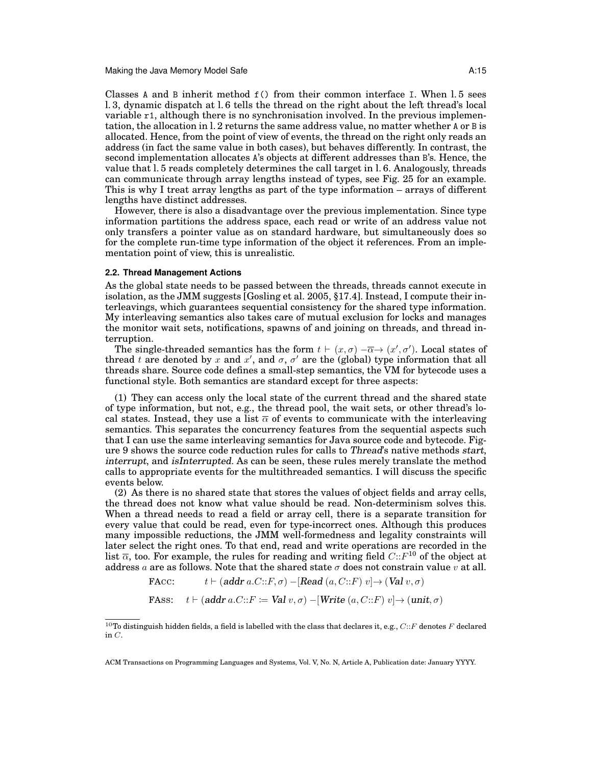Making the Java Memory Model Safe A:15

Classes A and B inherit method  $f()$  from their common interface I. When l.5 sees l. 3, dynamic dispatch at l. 6 tells the thread on the right about the left thread's local variable r1, although there is no synchronisation involved. In the previous implementation, the allocation in l. 2 returns the same address value, no matter whether A or B is allocated. Hence, from the point of view of events, the thread on the right only reads an address (in fact the same value in both cases), but behaves differently. In contrast, the second implementation allocates A's objects at different addresses than B's. Hence, the value that l. 5 reads completely determines the call target in l. 6. Analogously, threads can communicate through array lengths instead of types, see Fig. [25](#page-43-0) for an example. This is why I treat array lengths as part of the type information – arrays of different lengths have distinct addresses.

However, there is also a disadvantage over the previous implementation. Since type information partitions the address space, each read or write of an address value not only transfers a pointer value as on standard hardware, but simultaneously does so for the complete run-time type information of the object it references. From an implementation point of view, this is unrealistic.

## <span id="page-14-0"></span>**2.2. Thread Management Actions**

As the global state needs to be passed between the threads, threads cannot execute in isolation, as the JMM suggests [\[Gosling et al. 2005,](#page-63-0) §17.4]. Instead, I compute their interleavings, which guarantees sequential consistency for the shared type information. My interleaving semantics also takes care of mutual exclusion for locks and manages the monitor wait sets, notifications, spawns of and joining on threads, and thread interruption.

The single-threaded semantics has the form  $t \vdash (x, \sigma) - \overline{\alpha} \rightarrow (x', \sigma')$ . Local states of thread t are denoted by x and x', and  $\sigma$ ,  $\sigma'$  are the (global) type information that all threads share. Source code defines a small-step semantics, the VM for bytecode uses a functional style. Both semantics are standard except for three aspects:

(1) They can access only the local state of the current thread and the shared state of type information, but not, e.g., the thread pool, the wait sets, or other thread's local states. Instead, they use a list  $\bar{\alpha}$  of events to communicate with the interleaving semantics. This separates the concurrency features from the sequential aspects such that I can use the same interleaving semantics for Java source code and bytecode. Figure [9](#page-15-0) shows the source code reduction rules for calls to Thread's native methods start, interrupt, and isInterrupted. As can be seen, these rules merely translate the method calls to appropriate events for the multithreaded semantics. I will discuss the specific events below.

(2) As there is no shared state that stores the values of object fields and array cells, the thread does not know what value should be read. Non-determinism solves this. When a thread needs to read a field or array cell, there is a separate transition for every value that could be read, even for type-incorrect ones. Although this produces many impossible reductions, the JMM well-formedness and legality constraints will later select the right ones. To that end, read and write operations are recorded in the list  $\overline{\alpha}$ , too. For example, the rules for reading and writing field  $C::F^{10}$  of the object at address a are as follows. Note that the shared state  $\sigma$  does not constrain value v at all.

**FAcc:** 
$$
t \vdash (addr\ a.C::F, \sigma) - [Read\ (a, C::F)\ v] \rightarrow (Val\ v, \sigma)
$$

FASS:  $t \vdash (addr \ a.C::F := Val \ v, \sigma) - [Write (a, C::F) \ v] \rightarrow (unit, \sigma)$ 

<sup>&</sup>lt;sup>10</sup>To distinguish hidden fields, a field is labelled with the class that declares it, e.g.,  $C::F$  denotes  $F$  declared in C.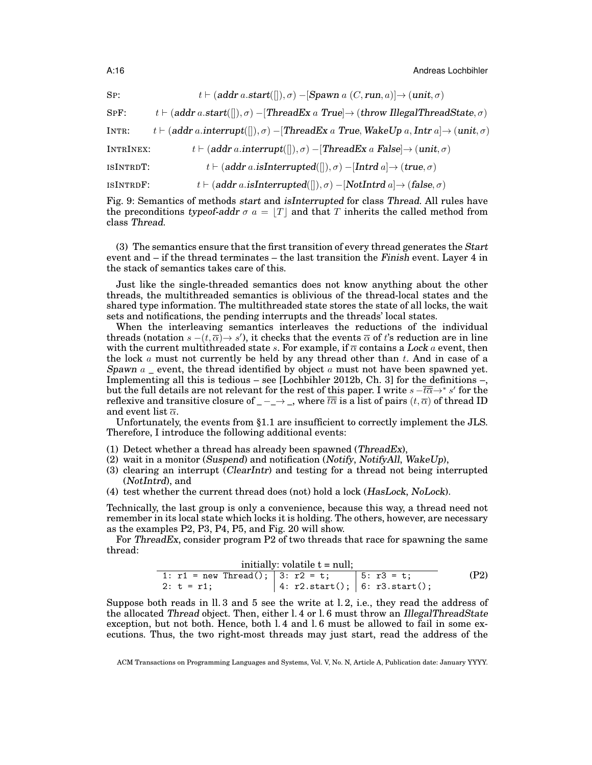A:16 Andreas Lochbihler

<span id="page-15-0"></span>
$$
\text{SP:} \quad t \vdash (addr \, a.start([\,]), \sigma) \, -[Spawn \, a \, (C, run, a)] \rightarrow (unit, \sigma)
$$

 $SPF: \t t \vdash (addr \, a.start([\,]), \sigma) -[ThreadEx \, a \, True] \rightarrow (throw \, IllegalThreadState, \sigma)$ 

<span id="page-15-2"></span>INTR: t  $t \vdash (addr \ a.interrupt([], \sigma) - [ThreadEx \ a \ True, MakeUp \ a, Intr \ a] \rightarrow (unit, \sigma)$ 

INTRINEX:  $t \vdash (addr \ a.interrupt([], \sigma) - [ThreadEx \ a \ False] \rightarrow (unit, \sigma)$ 

ISINTRDT:  $t \vdash (addr \ a.isInterrupted([\,, \sigma) -[Intro \ a] \rightarrow (true, \sigma)$ 

ISINTRDF:  $t \vdash (addr \ a \ .isInterrupted([]), \sigma) - [NotIntrd \ a] \rightarrow (false, \sigma)$ 

Fig. 9: Semantics of methods start and isInterrupted for class Thread. All rules have the preconditions typeof-addr  $\sigma$  a = |T| and that T inherits the called method from class Thread.

(3) The semantics ensure that the first transition of every thread generates the Start event and – if the thread terminates – the last transition the Finish event. Layer 4 in the stack of semantics takes care of this.

Just like the single-threaded semantics does not know anything about the other threads, the multithreaded semantics is oblivious of the thread-local states and the shared type information. The multithreaded state stores the state of all locks, the wait sets and notifications, the pending interrupts and the threads' local states.

When the interleaving semantics interleaves the reductions of the individual threads (notation  $s-(t, \overline{\alpha}) \rightarrow s'$ ), it checks that the events  $\overline{\alpha}$  of  $t$ 's reduction are in line with the current multithreaded state s. For example, if  $\overline{\alpha}$  contains a Lock a event, then the lock a must not currently be held by any thread other than  $t$ . And in case of a Spawn  $a_{\perp}$  event, the thread identified by object a must not have been spawned yet. Implementing all this is tedious – see [\[Lochbihler 2012b,](#page-63-2) Ch. 3] for the definitions –, but the full details are not relevant for the rest of this paper. I write  $s-\overline{t\overline{\alpha}}\rightarrow^* s'$  for the reflexive and transitive closure of  $\_\text{--}\_\rightarrow$ , where  $\overline{t\overline{\alpha}}$  is a list of pairs  $(t,\overline{\alpha})$  of thread ID and event list  $\overline{\alpha}$ .

Unfortunately, the events from [§1.1](#page-2-0) are insufficient to correctly implement the JLS. Therefore, I introduce the following additional events:

- (1) Detect whether a thread has already been spawned (ThreadEx),
- (2) wait in a monitor (Suspend) and notification (Notify, NotifyAll, WakeUp),
- (3) clearing an interrupt (ClearIntr) and testing for a thread not being interrupted (NotIntrd), and
- (4) test whether the current thread does (not) hold a lock (HasLock, NoLock).

Technically, the last group is only a convenience, because this way, a thread need not remember in its local state which locks it is holding. The others, however, are necessary as the examples [P2,](#page-15-1) [P3,](#page-16-1) [P4,](#page-30-0) [P5,](#page-31-2) and Fig. [20](#page-30-1) will show.

For ThreadEx, consider program [P2](#page-15-1) of two threads that race for spawning the same thread:

<span id="page-15-1"></span>

|                                        | initially: volatile $t = null$ ;      |               |                   |
|----------------------------------------|---------------------------------------|---------------|-------------------|
| 1: $r1 = new Thread()$ ; 3: $r2 = t$ ; |                                       | $ 5: r3 = t:$ | (P <sub>2</sub> ) |
| $2: t = r1:$                           | 4: $r2.start()$ ;   6: $r3.start()$ ; |               |                   |

Suppose both reads in ll. 3 and 5 see the write at l. 2, i.e., they read the address of the allocated Thread object. Then, either l. 4 or l. 6 must throw an IllegalThreadState exception, but not both. Hence, both l. 4 and l. 6 must be allowed to fail in some executions. Thus, the two right-most threads may just start, read the address of the

ACM Transactions on Programming Languages and Systems, Vol. V, No. N, Article A, Publication date: January YYYY.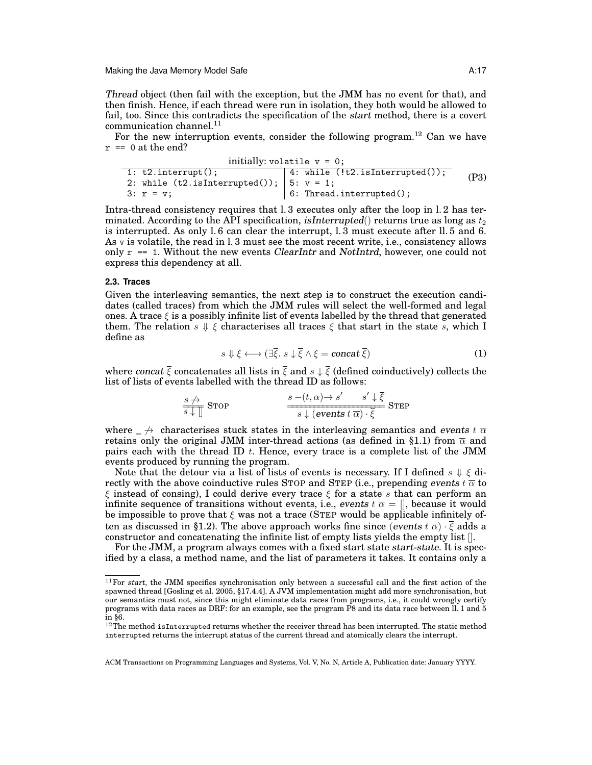Thread object (then fail with the exception, but the JMM has no event for that), and then finish. Hence, if each thread were run in isolation, they both would be allowed to fail, too. Since this contradicts the specification of the start method, there is a covert communication channel.<sup>11</sup>

For the new interruption events, consider the following program.<sup>12</sup> Can we have  $r = 0$  at the end?

initially: volatile  $v = 0$ ; 1: t2.interrupt(); 2: while (t2.isInterrupted());  $3: r = v$ : 4: while (!t2.isInterrupted()); 5:  $v = 1$ ; 6: Thread.interrupted(); (P3)

Intra-thread consistency requires that l. 3 executes only after the loop in l. 2 has terminated. According to the API specification, isInterrupted() returns true as long as  $t_2$ is interrupted. As only l. 6 can clear the interrupt, l. 3 must execute after ll. 5 and 6. As v is volatile, the read in l. 3 must see the most recent write, i.e., consistency allows only  $r = 1$ . Without the new events *ClearIntr* and *NotIntrd*, however, one could not express this dependency at all.

#### <span id="page-16-0"></span>**2.3. Traces**

Given the interleaving semantics, the next step is to construct the execution candidates (called traces) from which the JMM rules will select the well-formed and legal ones. A trace  $\xi$  is a possibly infinite list of events labelled by the thread that generated them. The relation  $s \Downarrow \xi$  characterises all traces  $\xi$  that start in the state s, which I define as

<span id="page-16-3"></span><span id="page-16-1"></span>
$$
s \Downarrow \xi \longleftrightarrow (\exists \overline{\xi}, s \downarrow \overline{\xi} \land \xi = \text{concat} \overline{\xi}) \tag{1}
$$

where concat  $\bar{\xi}$  concatenates all lists in  $\bar{\xi}$  and  $s \downarrow \bar{\xi}$  (defined coinductively) collects the list of lists of events labelled with the thread ID as follows:

<span id="page-16-2"></span>
$$
\frac{s \not\to}{s \downarrow \parallel} \text{STOP} \qquad \qquad \frac{s-(t,\overline{\alpha}) \to s' \quad s' \downarrow \overline{\xi}}{s \downarrow (\text{events } t \overline{\alpha}) \cdot \overline{\xi}} \text{ STEP}
$$

where  $\rightarrow$  6 characterises stuck states in the interleaving semantics and events t  $\overline{\alpha}$ retains only the original JMM inter-thread actions (as defined in [§1.1\)](#page-2-0) from  $\bar{\alpha}$  and pairs each with the thread ID  $t$ . Hence, every trace is a complete list of the JMM events produced by running the program.

Note that the detour via a list of lists of events is necessary. If I defined  $s \Downarrow \xi$  di-rectly with the above coinductive rules S[TOP](#page-16-2) and S[TEP](#page-16-3) (i.e., prepending events  $t \bar{\alpha}$  to ξ instead of consing), I could derive every trace ξ for a state s that can perform an infinite sequence of transitions without events, i.e., events  $t \overline{\alpha} = ||$ , because it would be impossible to prove that  $\xi$  was not a trace (S[TEP](#page-16-3) would be applicable infinitely of-ten as discussed in [§1.2\)](#page-7-0). The above approach works fine since (events  $t \overline{\alpha}$ ) ·  $\overline{\xi}$  adds a constructor and concatenating the infinite list of empty lists yields the empty list [].

For the JMM, a program always comes with a fixed start state start-state. It is specified by a class, a method name, and the list of parameters it takes. It contains only a

 $11$ For start, the JMM specifies synchronisation only between a successful call and the first action of the spawned thread [\[Gosling et al. 2005,](#page-63-0) §17.4.4]. A JVM implementation might add more synchronisation, but our semantics must not, since this might eliminate data races from programs, i.e., it could wrongly certify programs with data races as DRF: for an example, see the program [P8](#page-58-0) and its data race between ll. 1 and 5 in [§6.](#page-55-0)

 $12$ The method isInterrupted returns whether the receiver thread has been interrupted. The static method interrupted returns the interrupt status of the current thread and atomically clears the interrupt.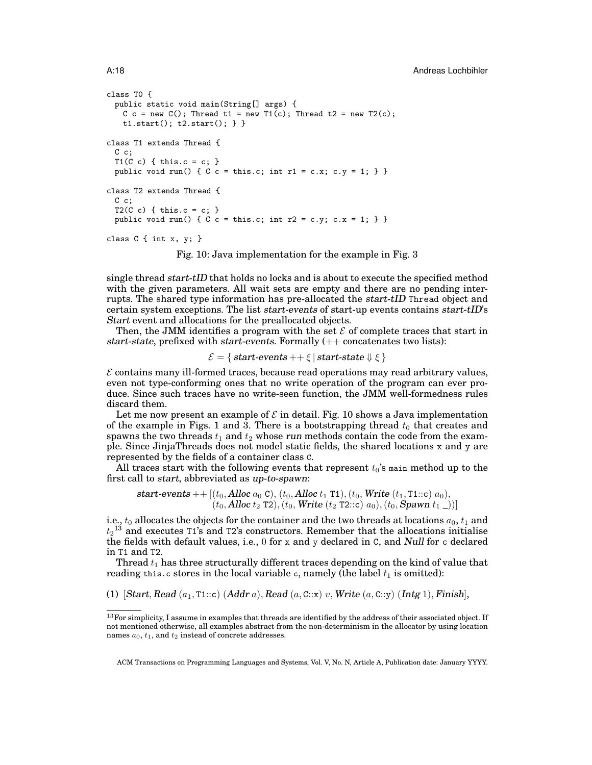```
class T0 {
 public static void main(String[] args) {
   C c = new C(); Thread t1 = new T1(c); Thread t2 = new T2(c);
   t1.start(); t2.start(); } }
class T1 extends Thread {
 C c;
 T1(C c) { this.c = c; }
 public void run() { C c = this.c; int r1 = c.x; c.y = 1; } }
class T2 extends Thread {
 C c;
 T2(C c) { this.c = c; }
 public void run() { C c = this.c; int r2 = c.y; c.x = 1; } }
class C { int x, y; }
               Fig. 10: Java implementation for the example in Fig. 3
```
single thread start-tID that holds no locks and is about to execute the specified method with the given parameters. All wait sets are empty and there are no pending interrupts. The shared type information has pre-allocated the start-tID Thread object and certain system exceptions. The list start-events of start-up events contains start-tID's Start event and allocations for the preallocated objects.

Then, the JMM identifies a program with the set  $\mathcal E$  of complete traces that start in start-state, prefixed with start-events. Formally  $(+)$  concatenates two lists):

 $\mathcal{E} = \{ start\text{-}events +\in \mathcal{E} \mid start\text{-}state \Downarrow \in \mathcal{E} \}$ 

 $\mathcal E$  contains many ill-formed traces, because read operations may read arbitrary values, even not type-conforming ones that no write operation of the program can ever produce. Since such traces have no write-seen function, the JMM well-formedness rules discard them.

Let me now present an example of  $\mathcal E$  in detail. Fig. [10](#page-17-0) shows a Java implementation of the example in Figs. [1](#page-3-2) and [3.](#page-5-3) There is a bootstrapping thread  $t_0$  that creates and spawns the two threads  $t_1$  and  $t_2$  whose run methods contain the code from the example. Since JinjaThreads does not model static fields, the shared locations x and y are represented by the fields of a container class C.

All traces start with the following events that represent  $t_0$ 's main method up to the first call to start, abbreviated as up-to-spawn:

start-events ++  $[(t_0,$  Alloc  $a_0$  C),  $(t_0,$  Alloc  $t_1$  T1),  $(t_0,$  Write  $(t_1,$  T1:: $c)$   $a_0)$ ,  $(t_0, \text{Alloc } t_2 \text{ T2}), (t_0, \text{Write } (t_2 \text{ T2::c}) \text{ } a_0), (t_0, \text{Spawn } t_1 \text{ } ))]$ 

i.e.,  $t_0$  allocates the objects for the container and the two threads at locations  $a_0$ ,  $t_1$  and  $t_2$ <sup>13</sup> and executes T1's and T2's constructors. Remember that the allocations initialise the fields with default values, i.e., 0 for x and y declared in C, and Null for c declared in T1 and T2.

Thread  $t_1$  has three structurally different traces depending on the kind of value that reading this.c stores in the local variable c, namely (the label  $t_1$  is omitted):

(1) [Start, Read  $(a_1, T1::c)$  (Addr a), Read  $(a, C::x)$  v, Write  $(a, C::y)$  (Intg 1), Finish],

 $13$ For simplicity, I assume in examples that threads are identified by the address of their associated object. If not mentioned otherwise, all examples abstract from the non-determinism in the allocator by using location names  $a_0, t_1$ , and  $t_2$  instead of concrete addresses.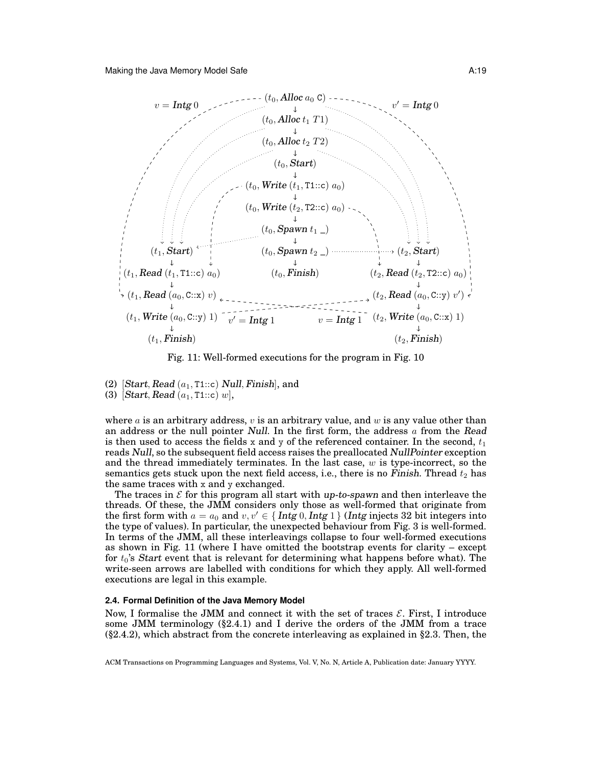Making the Java Memory Model Safe A:19 A:19

<span id="page-18-1"></span>

Fig. 11: Well-formed executions for the program in Fig. [10](#page-17-0)

(2) [Start, Read  $(a_1, T1::c)$  Null, Finish], and

(3) [Start, Read  $(a_1, T1::c)$  w],

where a is an arbitrary address,  $v$  is an arbitrary value, and  $w$  is any value other than an address or the null pointer Null. In the first form, the address a from the Read is then used to access the fields x and y of the referenced container. In the second,  $t_1$ reads Null, so the subsequent field access raises the preallocated NullPointer exception and the thread immediately terminates. In the last case,  $w$  is type-incorrect, so the semantics gets stuck upon the next field access, i.e., there is no Finish. Thread  $t_2$  has the same traces with x and y exchanged.

The traces in  $\mathcal E$  for this program all start with up-to-spawn and then interleave the threads. Of these, the JMM considers only those as well-formed that originate from the first form with  $a = a_0$  and  $v, v' \in \{Intg 0, Intg 1\}$  (Intg injects 32 bit integers into the type of values). In particular, the unexpected behaviour from Fig. [3](#page-5-3) is well-formed. In terms of the JMM, all these interleavings collapse to four well-formed executions as shown in Fig. [11](#page-18-1) (where I have omitted the bootstrap events for clarity – except for  $t_0$ 's Start event that is relevant for determining what happens before what). The write-seen arrows are labelled with conditions for which they apply. All well-formed executions are legal in this example.

## <span id="page-18-0"></span>**2.4. Formal Definition of the Java Memory Model**

Now, I formalise the JMM and connect it with the set of traces  $\mathcal{E}$ . First, I introduce some JMM terminology  $(\S2.4.1)$  and I derive the orders of the JMM from a trace ([§2.4.2\)](#page-19-1), which abstract from the concrete interleaving as explained in [§2.3.](#page-16-0) Then, the

ACM Transactions on Programming Languages and Systems, Vol. V, No. N, Article A, Publication date: January YYYY.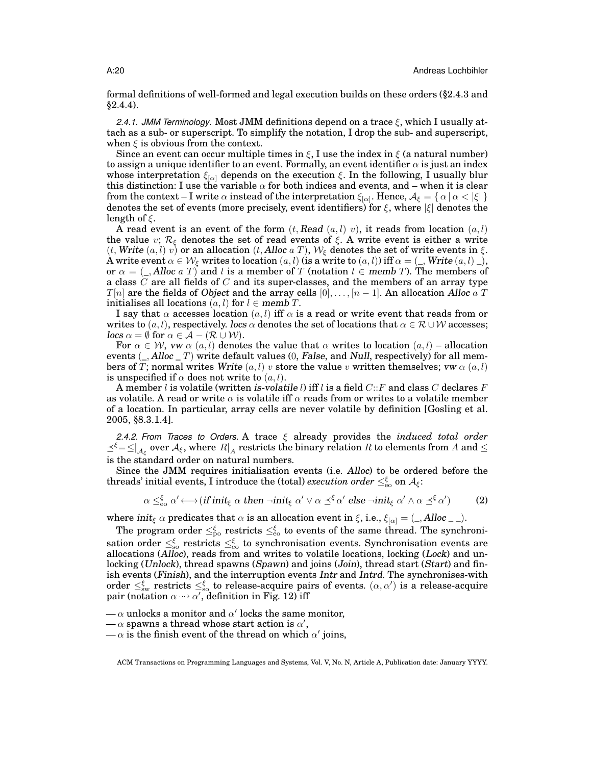formal definitions of well-formed and legal execution builds on these orders ([§2.4.3](#page-20-0) and [§2.4.4\)](#page-21-0).

<span id="page-19-0"></span>*2.4.1. JMM Terminology.* Most JMM definitions depend on a trace ξ, which I usually attach as a sub- or superscript. To simplify the notation, I drop the sub- and superscript, when  $\xi$  is obvious from the context.

Since an event can occur multiple times in  $\xi$ , I use the index in  $\xi$  (a natural number) to assign a unique identifier to an event. Formally, an event identifier  $\alpha$  is just an index whose interpretation  $\xi_{[\alpha]}$  depends on the execution  $\xi$ . In the following, I usually blur this distinction: I use the variable  $\alpha$  for both indices and events, and – when it is clear from the context – I write  $\alpha$  instead of the interpretation  $\xi_{[\alpha]}$ . Hence,  $\mathcal{A}_{\xi} = \{\alpha \,|\, \alpha < |\xi|\}$ denotes the set of events (more precisely, event identifiers) for  $\xi$ , where  $|\xi|$  denotes the length of  $\xi$ .

A read event is an event of the form  $(t, Read (a, l) v)$ , it reads from location  $(a, l)$ the value v;  $\mathcal{R}_{\xi}$  denotes the set of read events of  $\xi$ . A write event is either a write (t, Write  $(a, l)$  v) or an allocation  $(t,$  Alloc  $a T$ ),  $W_{\xi}$  denotes the set of write events in  $\xi$ . A write event  $\alpha \in \mathcal{W}_{\xi}$  writes to location  $(a, l)$  (is a write to  $(a, l)$ ) iff  $\alpha = (\_,$  Write  $(a, l) \_)$ , or  $\alpha = (-$ , Alloc a T) and l is a member of T (notation  $l \in \text{memb } T$ ). The members of a class  $C$  are all fields of  $C$  and its super-classes, and the members of an array type  $T[n]$  are the fields of Object and the array cells  $[0], \ldots, [n-1]$ . An allocation Alloc a T initialises all locations  $(a, l)$  for  $l \in \text{memb } T$ .

I say that  $\alpha$  accesses location  $(a, l)$  iff  $\alpha$  is a read or write event that reads from or writes to  $(a, l)$ , respectively. locs  $\alpha$  denotes the set of locations that  $\alpha \in \mathcal{R} \cup \mathcal{W}$  accesses;  $\text{locs } \alpha = \emptyset \text{ for } \alpha \in \mathcal{A} - (\mathcal{R} \cup \mathcal{W}).$ 

For  $\alpha \in \mathcal{W}$ , vw  $\alpha$   $(a, l)$  denotes the value that  $\alpha$  writes to location  $(a, l)$  – allocation events  $(\_, \text{Alice } \_T)$  write default values  $(0, \text{False}, \text{and Null}, \text{respectively})$  for all members of T; normal writes Write  $(a, l)$  v store the value v written themselves; vw  $\alpha$   $(a, l)$ is unspecified if  $\alpha$  does not write to  $(a, l)$ .

A member l is volatile (written is-volatile l) iff l is a field  $C::F$  and class C declares F as volatile. A read or write  $\alpha$  is volatile iff  $\alpha$  reads from or writes to a volatile member of a location. In particular, array cells are never volatile by definition [\[Gosling et al.](#page-63-0) [2005,](#page-63-0) §8.3.1.4].

<span id="page-19-1"></span>*2.4.2. From Traces to Orders.* A trace ξ already provides the *induced total order*  $\leq^{\xi}=\leq|_{\mathcal{A}_\xi}$  over  $\mathcal{A}_\xi$ , where  $R|_A$  restricts the binary relation  $R$  to elements from  $A$  and  $\leq$ is the standard order on natural numbers.

Since the JMM requires initialisation events (i.e. Alloc) to be ordered before the  ${\rm threads'}$  initial events, I introduce the (total) *execution order*  $\leq_{\rm{eo}}^\xi$  on  ${\cal A}_\xi$ :

<span id="page-19-2"></span>
$$
\alpha \leq_{\text{e}^6}^{\xi} \alpha' \longleftrightarrow (\text{if init}_{\xi} \alpha \text{ then } \neg \text{init}_{\xi} \alpha' \lor \alpha \preceq^{\xi} \alpha' \text{ else } \neg \text{init}_{\xi} \alpha' \land \alpha \preceq^{\xi} \alpha')
$$
 (2)

where  $\text{init}_{\xi}$   $\alpha$  predicates that  $\alpha$  is an allocation event in  $\xi$ , i.e.,  $\xi_{[\alpha]} = (\_, \text{Alloc}\_ \_)$ .

The program order  $\leq^{\xi}_{\text{po}}$  restricts  $\leq^{\xi}_{\text{eo}}$  to events of the same thread. The synchronisation order  $\leq^{\xi}_{\rm so}$  restricts  $\leq^{\xi}_{\rm eo}$  to synchronisation events. Synchronisation events are allocations (Alloc), reads from and writes to volatile locations, locking (Lock) and unlocking (Unlock), thread spawns (Spawn) and joins (Join), thread start (Start) and finish events (Finish), and the interruption events Intr and Intrd. The synchronises-with order  $\leq^{\xi}_{\rm sw}$  restricts  $\leq^{\xi}_{\rm so}$  to release-acquire pairs of events.  $(\alpha,\alpha')$  is a release-acquire pair (notation  $\alpha \rightarrow \alpha'$ , definition in Fig. [12\)](#page-20-1) iff

 $-\alpha$  unlocks a monitor and  $\alpha'$  locks the same monitor,

 $-\alpha$  spawns a thread whose start action is  $\alpha'$ ,

 $-\alpha$  is the finish event of the thread on which  $\alpha'$  joins,

ACM Transactions on Programming Languages and Systems, Vol. V, No. N, Article A, Publication date: January YYYY.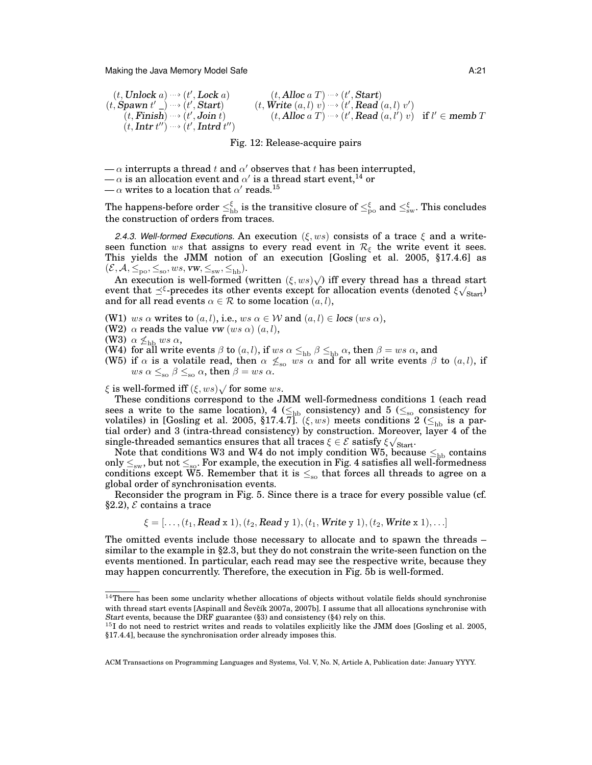Making the Java Memory Model Safe A:21 A:21

<span id="page-20-1"></span>
$$
(t, \text{Unlock } a) \longrightarrow (t', \text{Lock } a) \qquad \qquad (t, \text{Alloc } a \ T) \longrightarrow (t', \text{Start})
$$
\n
$$
(t, \text{Span } t' \_) \longrightarrow (t', \text{Start}) \qquad \qquad (t, \text{Write } (a, l) \ v) \longrightarrow (t', \text{Read } (a, l) \ v')
$$
\n
$$
(t, \text{Finish}) \longrightarrow (t', \text{Join } t) \qquad \qquad (t, \text{Alloc } a \ T) \longrightarrow (t', \text{Read } (a, l') \ v) \quad \text{if } l' \in \text{memb } T
$$

Fig. 12: Release-acquire pairs

 $-\alpha$  interrupts a thread t and  $\alpha'$  observes that t has been interrupted,

 $-\alpha$  is an allocation event and  $\alpha'$  is a thread start event,  $^{14}$  or

 $-\alpha$  writes to a location that  $\alpha'$  reads.  $^{15}$ 

The happens-before order  $\leq^{\xi}_{\rm hb}$  is the transitive closure of  $\leq^{\xi}_{\rm po}$  and  $\leq^{\xi}_{\rm sw}.$  This concludes the construction of orders from traces.

<span id="page-20-0"></span>2.4.3. Well-formed Executions. An execution  $(\xi, ws)$  consists of a trace  $\xi$  and a writeseen function ws that assigns to every read event in  $\mathcal{R}_{\xi}$  the write event it sees. This yields the JMM notion of an execution [\[Gosling et al. 2005,](#page-63-0) §17.4.6] as  $(\mathcal{E}, \mathcal{A}, \leq_{\text{po}}, \leq_{\text{so}}, ws, \mathbf{vw}, \leq_{\text{sw}}, \leq_{\text{hb}}).$ 

An execution is well-formed (written  $(\xi, ws) \sqrt{\ }$ ) iff every thread has a thread start event that  $\preceq^{\xi}$ -precedes its other events except for allocation events (denoted  $\xi_{\sqrt{\text{Start}}}$ ) and for all read events  $\alpha \in \mathcal{R}$  to some location  $(a, l)$ ,

<span id="page-20-6"></span>(W1) ws  $\alpha$  writes to  $(a, l)$ , i.e., ws  $\alpha \in \mathcal{W}$  and  $(a, l) \in \text{locs } (ws \alpha)$ ,

- <span id="page-20-5"></span>(W2)  $\alpha$  reads the value vw (ws  $\alpha$ ) (a, l),
- <span id="page-20-2"></span>(W3)  $\alpha \nleq_{\text{hb}} ws \alpha$ ,

<span id="page-20-3"></span>(W4) for all write events  $\beta$  to  $(a, l)$ , if  $ws$   $\alpha \leq_{\text{hb}} \beta \leq_{\text{hb}} \alpha$ , then  $\beta = ws$   $\alpha$ , and

<span id="page-20-4"></span>(W5) if  $\alpha$  is a volatile read, then  $\alpha \not\leq_{\text{so}} ws \alpha$  and for all write events  $\beta$  to  $(a, l)$ , if ws  $\alpha \leq_{\text{so}} \beta \leq_{\text{so}} \alpha$ , then  $\beta = ws \alpha$ .

 $\xi$  is well-formed iff  $(\xi, ws) \sqrt{\text{ for some } ws}.$ 

These conditions correspond to the JMM well-formedness conditions 1 (each read sees a write to the same location), 4 ( $\leq_{hb}$  consistency) and 5 ( $\leq_{so}$  consistency for volatiles) in [\[Gosling et al. 2005,](#page-63-0) §17.4.7].  $(\xi, ws)$  meets conditions 2 ( $\leq_{\text{hb}}$  is a partial order) and 3 (intra-thread consistency) by construction. Moreover, layer 4 of the single-threaded semantics ensures that all traces  $\xi \in \mathcal{E}$  satisfy  $\xi/\xi_{\text{start}}$ .

Note that conditions [W3](#page-20-2) and [W4](#page-20-3) do not imply condition [W5,](#page-20-4) because  $\leq_\textnormal{hb}$  contains only  $\leq_{\rm sw}$ , but not  $\leq_{\rm so}$ . For example, the execution in Fig. [4](#page-6-0) satisfies all well-formedness conditions except [W5.](#page-20-4) Remember that it is  $\leq_{\text{so}}$  that forces all threads to agree on a global order of synchronisation events.

Reconsider the program in Fig. [5.](#page-7-3) Since there is a trace for every possible value (cf. [§2.2\)](#page-14-0),  $\varepsilon$  contains a trace

 $\xi = [\ldots, (t_1, Read \times 1), (t_2, Read \times 1), (t_1, Write \times 1), (t_2, Write \times 1), \ldots]$ 

The omitted events include those necessary to allocate and to spawn the threads – similar to the example in [§2.3,](#page-16-0) but they do not constrain the write-seen function on the events mentioned. In particular, each read may see the respective write, because they may happen concurrently. Therefore, the execution in Fig. [5b](#page-7-2) is well-formed.

 $^{14}$  There has been some unclarity whether allocations of objects without volatile fields should synchronise with thread start events [Aspinall and Ševčík 2007a, [2007b\]](#page-62-8). I assume that all allocations synchronise with Start events, because the DRF guarantee ([§3\)](#page-31-0) and consistency ([§4\)](#page-46-0) rely on this.

 $^{15}$ I do not need to restrict writes and reads to volatiles explicitly like the JMM does [\[Gosling et al. 2005,](#page-63-0) §17.4.4], because the synchronisation order already imposes this.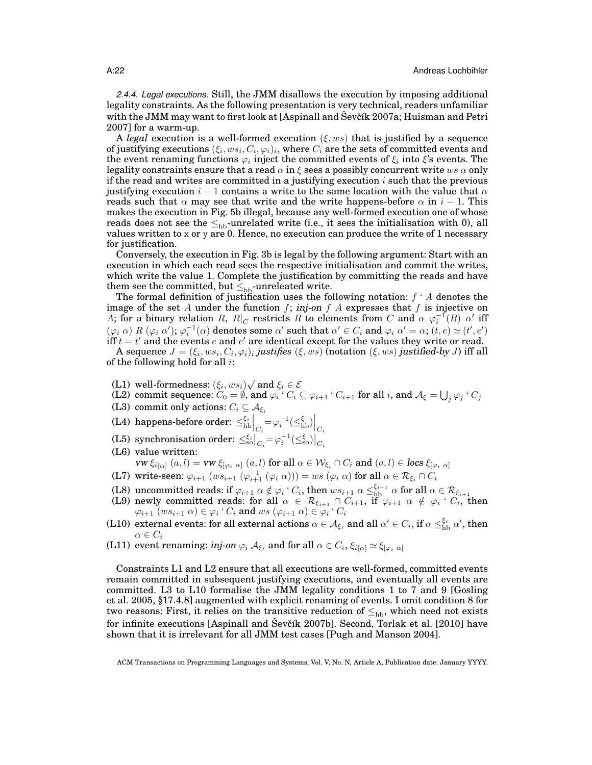<span id="page-21-0"></span>*2.4.4. Legal executions.* Still, the JMM disallows the execution by imposing additional legality constraints. As the following presentation is very technical, readers unfamiliar with the JMM may want to first look at [Aspinall and Ševčík 2007a; [Huisman and Petri](#page-63-3) [2007\]](#page-63-3) for a warm-up.

A *legal* execution is a well-formed execution  $(\xi, ws)$  that is justified by a sequence of justifying executions  $(\xi_i, ws_i, C_i, \varphi_i)_i,$  where  $C_i$  are the sets of committed events and the event renaming functions  $\varphi_i$  inject the committed events of  $\xi_i$  into  $\xi$ 's events. The legality constraints ensure that a read  $\alpha$  in  $\xi$  sees a possibly concurrent write  $ws \alpha$  only if the read and writes are committed in a justifying execution  $i$  such that the previous justifying execution i – 1 contains a write to the same location with the value that  $\alpha$ reads such that  $\alpha$  may see that write and the write happens-before  $\alpha$  in  $i - 1$ . This makes the execution in Fig. [5b](#page-7-2) illegal, because any well-formed execution one of whose reads does not see the  $\leq_{\text{hh}}$ -unrelated write (i.e., it sees the initialisation with 0), all values written to x or y are  $0$ . Hence, no execution can produce the write of 1 necessary for justification.

Conversely, the execution in Fig. [3b](#page-5-2) is legal by the following argument: Start with an execution in which each read sees the respective initialisation and commit the writes, which write the value 1. Complete the justification by committing the reads and have them see the committed, but  $\leq_{\text{hb}}$ -unreleated write.

The formal definition of justification uses the following notation:  $f \nmid A$  denotes the image of the set A under the function  $f$ ; inj-on  $f$  A expresses that  $f$  is injective on A; for a binary relation R,  $R|_C$  restricts R to elements from C and  $\alpha \varphi_i^{-1}(R)$   $\alpha'$  iff  $(\varphi_i \alpha) \mathrel{R} (\varphi_i \alpha') ; \varphi_i^{-1}(\alpha)$  denotes some  $\alpha'$  such that  $\alpha' \in C_i$  and  $\varphi_i \alpha' = \alpha; (t, e) \simeq (t', e')$ iff  $t = t'$  and the events e and e' are identical except for the values they write or read.

A sequence  $J=(\xi_i,ws_i,C_i,\varphi_i)_i$  *justifies*  $(\xi,ws)$  (notation  $(\xi,ws)$  *justified-by J*) iff all of the following hold for all  $i$ :

- <span id="page-21-1"></span>(L1) well-formedness:  $(\xi_i, ws_i) \sqrt{\text{and } \xi_i} \in \mathcal{E}$
- <span id="page-21-2"></span>(L2) commit sequence:  $C_0=\emptyset$ , and  $\varphi_i\cdot C_i\subseteq \varphi_{i+1}\cdot C_{i+1}$  for all  $i$ , and  $\mathcal{A}_\xi=\bigcup_j\varphi_j\cdot C_j$
- <span id="page-21-3"></span>(L3) commit only actions:  $C_i \subseteq \mathcal{A}_{\xi_i}$
- <span id="page-21-8"></span>(L4) happens-before order:  $\leq_{\text{hb}}^{\xi_i}\Big|_{C_i} = \varphi_i^{-1}(\leq_{\text{hb}}^{\xi})\Big|_{C_i}$
- <span id="page-21-7"></span>(L5) synchronisation order:  $\leq_{\text{so}}^{\xi_i}\big|_{C_i} = \varphi_i^{-1}(\leq_{\text{so}}^{\xi})\big|_{C_i}$
- <span id="page-21-11"></span>(L6) value written:

 $vw \xi_{i[\alpha]}(a,l) = vw \xi_{[\varphi_i \alpha]}(a,l) \text{ for all } \alpha \in \mathcal{W}_{\xi_i} \cap C_i \text{ and } (a,l) \in \text{locs } \xi_{[\varphi_i \alpha]}$ 

- <span id="page-21-10"></span>(L7) write-seen:  $\varphi_{i+1}$   $(ws_{i+1}$   $(\varphi_{i+1}^{-1}$   $(\varphi_i \alpha))) = ws \ (\varphi_i \alpha)$  for all  $\alpha \in \mathcal{R}_{\xi_i} \cap C_i$
- <span id="page-21-6"></span>(L8) uncommitted reads: if  $\varphi_{i+1} \alpha \notin \varphi_i$  '  $C_i$ , then  $ws_{i+1} \alpha \leq_{\text{hb}}^{\xi_{i+1}} \alpha$  for all  $\alpha \in \mathcal{R}_{\xi_{i+1}}$
- <span id="page-21-9"></span>(L9) newly committed reads: for all  $\alpha \in \mathcal{R}_{\xi_{i+1}} \cap C_{i+1}$ , if  $\varphi_{i+1} \alpha \notin \varphi_i \cdot C_i$ , then  $\varphi_{i+1} (ws_{i+1} \alpha) \in \varphi_i \cdot C_i$  and  $ws (\varphi_{i+1} \alpha) \in \varphi_i \cdot C_i$
- <span id="page-21-4"></span>(L10) external events: for all external actions  $\alpha\in\mathcal{A}_{\xi_i}$  and all  $\alpha'\in C_i,$  if  $\alpha\leq^{\xi_i}_{\text{hb}}\alpha',$  then  $\alpha \in C_i$
- <span id="page-21-5"></span>(L11) event renaming: *inj-on*  $\varphi_i$  *A<sub>Ei</sub>* and for all  $\alpha \in C_i,$   $\xi_{i[\alpha]} \simeq \xi_{[\varphi_i \; \alpha]}$

Constraints [L1](#page-21-1) and [L2](#page-21-2) ensure that all executions are well-formed, committed events remain committed in subsequent justifying executions, and eventually all events are committed. [L3](#page-21-3) to [L10](#page-21-4) formalise the JMM legality conditions 1 to 7 and 9 [\[Gosling](#page-63-0) [et al. 2005,](#page-63-0) §17.4.8] augmented with explicit renaming of events. I omit condition 8 for two reasons: First, it relies on the transitive reduction of  $\leq_{\text{hb}}$ , which need not exists for infinite executions [Aspinall and Ševčík 2007b]. Second, [Torlak et al. \[2010\]](#page-64-5) have shown that it is irrelevant for all JMM test cases [\[Pugh and Manson 2004\]](#page-64-12).

ACM Transactions on Programming Languages and Systems, Vol. V, No. N, Article A, Publication date: January YYYY.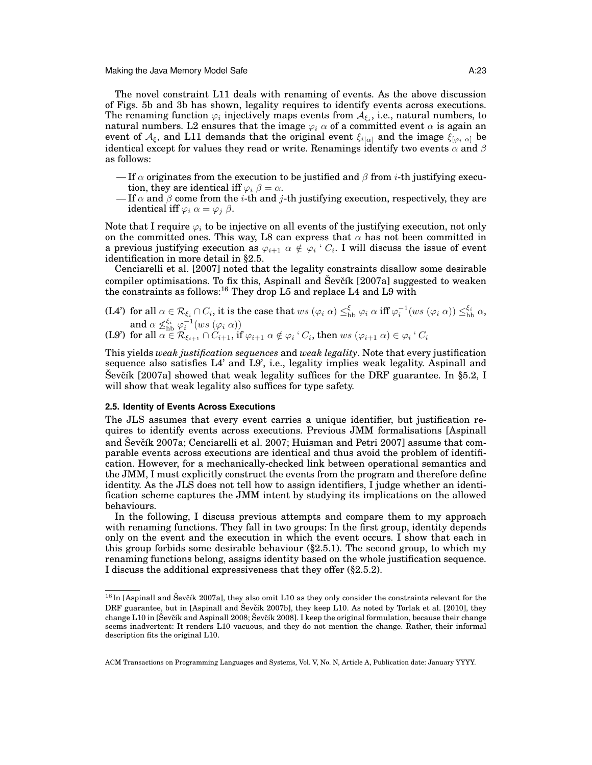#### Making the Java Memory Model Safe A:23 A:23

The novel constraint [L11](#page-21-5) deals with renaming of events. As the above discussion of Figs. [5b](#page-7-2) and [3b](#page-5-2) has shown, legality requires to identify events across executions. The renaming function  $\varphi_i$  injectively maps events from  $\mathcal{A}_{\xi_i}$ , i.e., natural numbers, to natural numbers. [L2](#page-21-2) ensures that the image  $\varphi_i$   $\alpha$  of a committed event  $\alpha$  is again an event of  $\mathcal{A}_\xi$ , and [L11](#page-21-5) demands that the original event  $\xi_{i[\alpha]}$  and the image  $\xi_{[\varphi_i\ \alpha]}$  be identical except for values they read or write. Renamings identify two events  $\alpha$  and  $\beta$ as follows:

- If  $\alpha$  originates from the execution to be justified and  $\beta$  from *i*-th justifying execution, they are identical iff  $\varphi_i \beta = \alpha$ .
- If  $\alpha$  and  $\beta$  come from the *i*-th and *j*-th justifying execution, respectively, they are identical iff  $\varphi_i \alpha = \varphi_j \beta$ .

Note that I require  $\varphi_i$  to be injective on all events of the justifying execution, not only on the committed ones. This way, [L8](#page-21-6) can express that  $\alpha$  has not been committed in a previous justifying execution as  $\varphi_{i+1} \alpha \notin \varphi_i \cdot C_i$ . I will discuss the issue of event identification in more detail in [§2.5.](#page-22-0)

[Cenciarelli et al. \[2007\]](#page-62-1) noted that the legality constraints disallow some desirable compiler optimisations. To fix this, Aspinall and Ševčík [2007a] suggested to weaken the constraints as follows:<sup>16</sup> They drop [L5](#page-21-7) and replace [L4](#page-21-8) and [L9](#page-21-9) with

<span id="page-22-1"></span>[\(L4'](#page-21-8)) for all  $\alpha \in \mathcal{R}_{\xi_i} \cap C_i$ , it is the case that  $ws (\varphi_i|\alpha) \leq_{\text{hb}}^{\xi} \varphi_i|\alpha \text{ iff } \varphi_i^{-1}(ws (\varphi_i|\alpha)) \leq_{\text{hb}}^{\xi_i} \alpha$ , and  $\alpha \nleq^{ \xi_i}_\text{hb} \varphi_i^{-1}(ws (\varphi_i \alpha))$ [\(L9'](#page-21-9)) for all  $\alpha \in \mathcal{R}_{\xi_{i+1}} \cap C_{i+1}$ , if  $\varphi_{i+1} \alpha \notin \varphi_i$  '  $C_i$ , then  $ws \ (\varphi_{i+1} \alpha) \in \varphi_i$  '  $C_i$ 

<span id="page-22-2"></span>This yields *weak justification sequences* and *weak legality*. Note that every justification sequence also satisfies [L4'](#page-22-1) and [L9',](#page-22-2) i.e., legality implies weak legality. [Aspinall and](#page-62-0) Ševčík  $[2007a]$  showed that weak legality suffices for the DRF guarantee. In [§5.2,](#page-49-2) I will show that weak legality also suffices for type safety.

#### <span id="page-22-0"></span>**2.5. Identity of Events Across Executions**

The JLS assumes that every event carries a unique identifier, but justification requires to identify events across executions. Previous JMM formalisations [\[Aspinall](#page-62-0) and Ševčík 2007a; [Cenciarelli et al. 2007;](#page-62-1) [Huisman and Petri 2007\]](#page-63-3) assume that comparable events across executions are identical and thus avoid the problem of identification. However, for a mechanically-checked link between operational semantics and the JMM, I must explicitly construct the events from the program and therefore define identity. As the JLS does not tell how to assign identifiers, I judge whether an identification scheme captures the JMM intent by studying its implications on the allowed behaviours.

In the following, I discuss previous attempts and compare them to my approach with renaming functions. They fall in two groups: In the first group, identity depends only on the event and the execution in which the event occurs. I show that each in this group forbids some desirable behaviour  $(\S 2.5.1)$ . The second group, to which my renaming functions belong, assigns identity based on the whole justification sequence. I discuss the additional expressiveness that they offer ([§2.5.2\)](#page-24-0).

 $^{16}$ In [Aspinall and Ševčík 2007a], they also omit [L10](#page-21-4) as they only consider the constraints relevant for the DRF guarantee, but in [Aspinall and Ševčík 2007b], they keep [L10.](#page-21-4) As noted by [Torlak et al. \[2010\]](#page-64-5), they change [L10](#page-21-4) in [Ševčík and Aspinall 2008; Ševčík 2008]. I keep the original formulation, because their change seems inadvertent: It renders [L10](#page-21-4) vacuous, and they do not mention the change. Rather, their informal description fits the original [L10.](#page-21-4)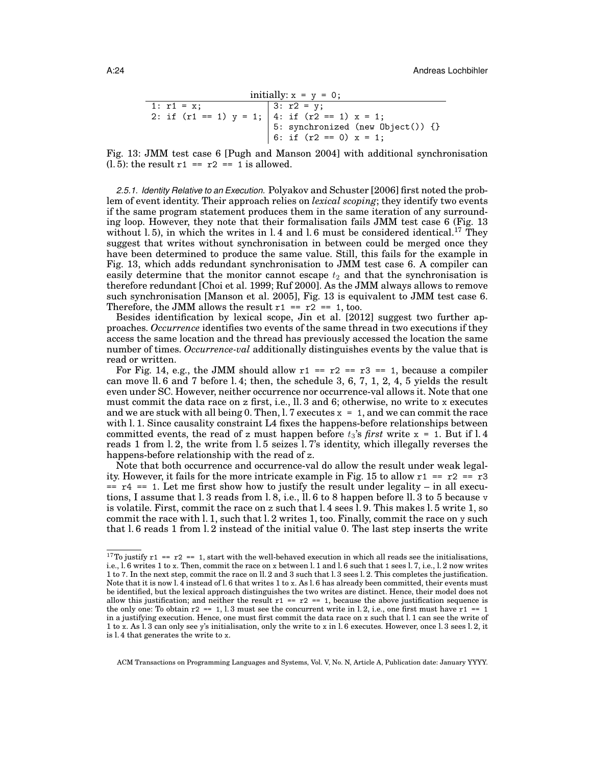<span id="page-23-1"></span>

| initially: $x = y = 0$ ;                                  |                                       |  |  |  |  |
|-----------------------------------------------------------|---------------------------------------|--|--|--|--|
| 1: $r1 = x$ ;                                             | $3: r2 = y;$                          |  |  |  |  |
| 2: if $(r1 == 1)$ $y = 1$ ; $4:$ if $(r2 == 1)$ $x = 1$ ; |                                       |  |  |  |  |
|                                                           | 5: synchronized (new Object()) $\{\}$ |  |  |  |  |
|                                                           | 6: if $(r2 == 0)$ x = 1;              |  |  |  |  |

Fig. 13: JMM test case 6 [\[Pugh and Manson 2004\]](#page-64-12) with additional synchronisation  $(l. 5)$ : the result r1 == r2 == 1 is allowed.

<span id="page-23-0"></span>*2.5.1. Identity Relative to an Execution.* [Polyakov and Schuster \[2006\]](#page-64-14) first noted the problem of event identity. Their approach relies on *lexical scoping*; they identify two events if the same program statement produces them in the same iteration of any surrounding loop. However, they note that their formalisation fails JMM test case 6 (Fig. [13](#page-23-1) without l. 5), in which the writes in l. 4 and l. 6 must be considered identical.<sup>17</sup> They suggest that writes without synchronisation in between could be merged once they have been determined to produce the same value. Still, this fails for the example in Fig. [13,](#page-23-1) which adds redundant synchronisation to JMM test case 6. A compiler can easily determine that the monitor cannot escape  $t_2$  and that the synchronisation is therefore redundant [\[Choi et al. 1999;](#page-62-9) [Ruf 2000\]](#page-64-15). As the JMM always allows to remove such synchronisation [\[Manson et al. 2005\]](#page-63-8), Fig. [13](#page-23-1) is equivalent to JMM test case 6. Therefore, the JMM allows the result  $r1 = r2 == 1$ , too.

Besides identification by lexical scope, [Jin et al. \[2012\]](#page-63-18) suggest two further approaches. *Occurrence* identifies two events of the same thread in two executions if they access the same location and the thread has previously accessed the location the same number of times. *Occurrence-val* additionally distinguishes events by the value that is read or written.

For Fig. [14,](#page-24-1) e.g., the JMM should allow  $r_1 = r_2 = r_3 = 1$ , because a compiler can move ll. 6 and 7 before l. 4; then, the schedule 3, 6, 7, 1, 2, 4, 5 yields the result even under SC. However, neither occurrence nor occurrence-val allows it. Note that one must commit the data race on z first, i.e., ll. 3 and 6; otherwise, no write to x executes and we are stuck with all being 0. Then,  $l. 7$  executes  $x = 1$ , and we can commit the race with l. 1. Since causality constraint [L4](#page-21-8) fixes the happens-before relationships between committed events, the read of z must happen before  $t_3$ 's *first* write  $x = 1$ . But if l. 4 reads 1 from l. 2, the write from l. 5 seizes l. 7's identity, which illegally reverses the happens-before relationship with the read of z.

Note that both occurrence and occurrence-val do allow the result under weak legal-ity. However, it fails for the more intricate example in Fig. [15](#page-24-2) to allow  $r1 = r2 = r3$  $=$  r4  $=$  1. Let me first show how to justify the result under legality – in all executions, I assume that l. 3 reads from l. 8, i.e., ll. 6 to 8 happen before ll. 3 to 5 because v is volatile. First, commit the race on z such that l. 4 sees l. 9. This makes l. 5 write 1, so commit the race with l. 1, such that l. 2 writes 1, too. Finally, commit the race on y such that l. 6 reads 1 from l. 2 instead of the initial value 0. The last step inserts the write

<sup>&</sup>lt;sup>17</sup>To justify r1 == r2 == 1, start with the well-behaved execution in which all reads see the initialisations, i.e., l. 6 writes 1 to x. Then, commit the race on x between l. 1 and l. 6 such that 1 sees l. 7, i.e., l. 2 now writes 1 to 7. In the next step, commit the race on ll. 2 and 3 such that l. 3 sees l. 2. This completes the justification. Note that it is now l. 4 instead of l. 6 that writes 1 to x. As l. 6 has already been committed, their events must be identified, but the lexical approach distinguishes the two writes are distinct. Hence, their model does not allow this justification; and neither the result  $r1 = r2 == 1$ , because the above justification sequence is the only one: To obtain  $r2 == 1, 1, 3$  must see the concurrent write in 1, 2, i.e., one first must have  $r1 == 1$ in a justifying execution. Hence, one must first commit the data race on x such that l. 1 can see the write of 1 to x. As l. 3 can only see y's initialisation, only the write to x in l. 6 executes. However, once l. 3 sees l. 2, it is l. 4 that generates the write to x.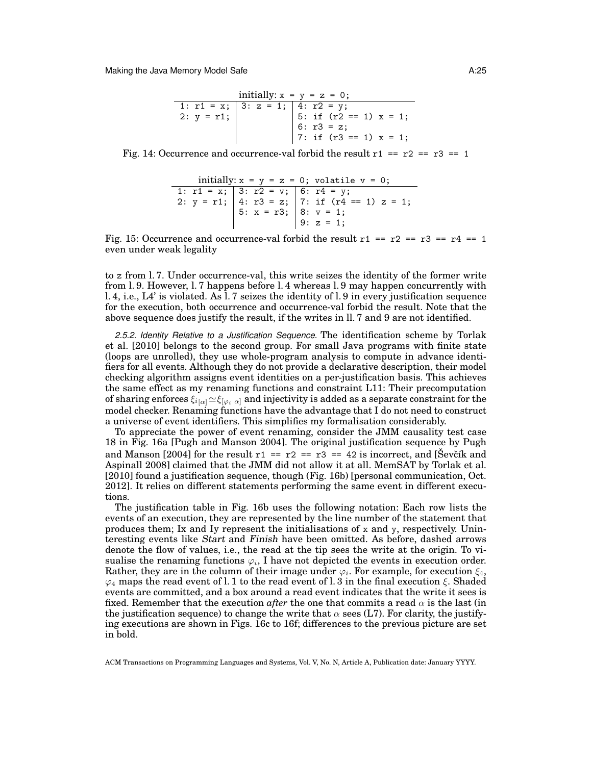$$
\begin{array}{c|cccc}\n & \text{initially: } x = y = z = 0; \\
\hline\n1: r1 = x; & 3: z = 1; & 4: r2 = y; \\
2: y = r1; & 5: if (r2 == 1) x = 1; \\
 & 6: r3 = z; \\
7: if (r3 == 1) x = 1; & \\
\end{array}
$$

<span id="page-24-2"></span><span id="page-24-1"></span>Fig. 14: Occurrence and occurrence-val forbid the result  $r1 = r2 = r3 == 1$ 

initially: 
$$
x = y = z = 0
$$
; volatile  $v = 0$ ;

\n1:  $r1 = x$ ;  $3: r2 = v$ ;  $6: r4 = y$ ;

\n2:  $y = r1$ ;  $4: r3 = z$ ;  $7: \text{if } (r4 == 1) \ z = 1$ ;

\n5:  $x = r3$ ;  $8: v = 1$ ;

\n9:  $z = 1$ ;

Fig. 15: Occurrence and occurrence-val forbid the result  $r1 = r2 = r3 = r4 = 1$ even under weak legality

to z from l. 7. Under occurrence-val, this write seizes the identity of the former write from l. 9. However, l. 7 happens before l. 4 whereas l. 9 may happen concurrently with l. 4, i.e., [L4'](#page-22-1) is violated. As l. 7 seizes the identity of l. 9 in every justification sequence for the execution, both occurrence and occurrence-val forbid the result. Note that the above sequence does justify the result, if the writes in ll. 7 and 9 are not identified.

<span id="page-24-0"></span>*2.5.2. Identity Relative to a Justification Sequence.* The identification scheme by [Torlak](#page-64-5) [et al. \[2010\]](#page-64-5) belongs to the second group. For small Java programs with finite state (loops are unrolled), they use whole-program analysis to compute in advance identifiers for all events. Although they do not provide a declarative description, their model checking algorithm assigns event identities on a per-justification basis. This achieves the same effect as my renaming functions and constraint [L11:](#page-21-5) Their precomputation of sharing enforces  $\xi_{i[\alpha]} \simeq \xi_{[\varphi_i,\alpha]}$  and injectivity is added as a separate constraint for the model checker. Renaming functions have the advantage that I do not need to construct a universe of event identifiers. This simplifies my formalisation considerably.

To appreciate the power of event renaming, consider the JMM causality test case 18 in Fig. [16a](#page-25-0) [\[Pugh and Manson 2004\]](#page-64-12). The original justification sequence by [Pugh](#page-64-12) [and Manson \[2004\]](#page-64-12) for the result  $r1 = r2 = r3 = 42$  is incorrect, and [Sevčík and [Aspinall 2008\]](#page-64-4) claimed that the JMM did not allow it at all. MemSAT by [Torlak et al.](#page-64-5) [\[2010\]](#page-64-5) found a justification sequence, though (Fig. [16b\)](#page-25-1) [personal communication, Oct. 2012]. It relies on different statements performing the same event in different executions.

The justification table in Fig. [16b](#page-25-1) uses the following notation: Each row lists the events of an execution, they are represented by the line number of the statement that produces them; Ix and Iy represent the initialisations of x and y, respectively. Uninteresting events like Start and Finish have been omitted. As before, dashed arrows denote the flow of values, i.e., the read at the tip sees the write at the origin. To visualise the renaming functions  $\varphi_i$ , I have not depicted the events in execution order. Rather, they are in the column of their image under  $\varphi_i.$  For example, for execution  $\xi_4,$  $\varphi_4$  maps the read event of l. 1 to the read event of l. 3 in the final execution  $\xi$ . Shaded events are committed, and a box around a read event indicates that the write it sees is fixed. Remember that the execution *after* the one that commits a read  $\alpha$  is the last (in the justification sequence) to change the write that  $\alpha$  sees [\(L7\)](#page-21-10). For clarity, the justifying executions are shown in Figs. [16c](#page-25-2) to [16f;](#page-25-3) differences to the previous picture are set in bold.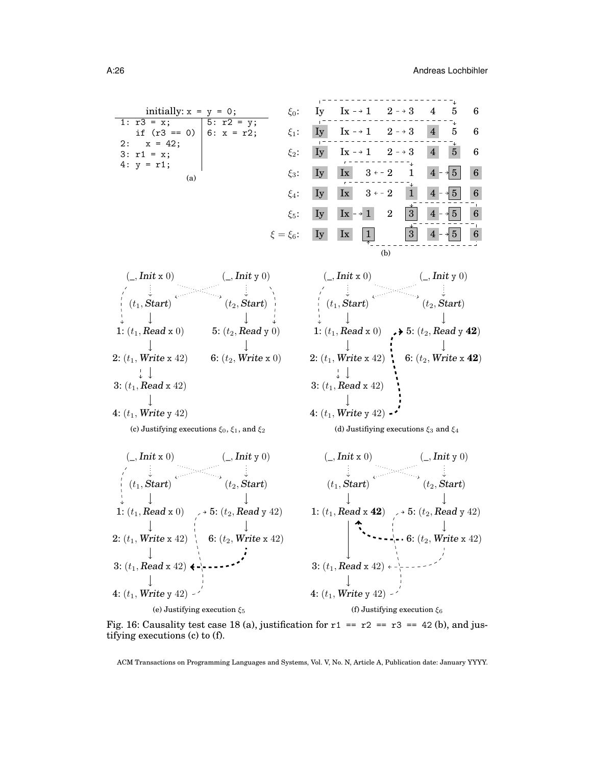<span id="page-25-2"></span><span id="page-25-1"></span><span id="page-25-0"></span>

<span id="page-25-3"></span>Fig. 16: Causality test case 18 [\(a\),](#page-25-0) justification for  $r1 = r2 = r3 == 42$  [\(b\),](#page-25-1) and justifying executions [\(c\)](#page-25-2) to [\(f\).](#page-25-3)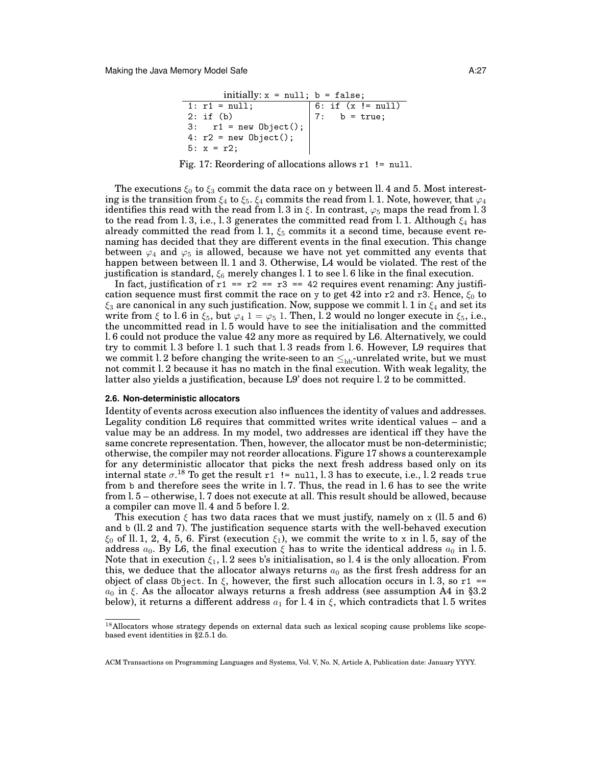```
initially: x = null; b = false;
1: r1 = null;2: if (b)
3: r1 = new Object();
4: r2 = new Object();
5: x = r2;
                         6: if (x := null)7: b = true;
```
Fig. 17: Reordering of allocations allows r1 != null.

The executions  $\xi_0$  to  $\xi_3$  commit the data race on y between ll. 4 and 5. Most interesting is the transition from  $\xi_4$  to  $\xi_5$ .  $\xi_4$  commits the read from l. 1. Note, however, that  $\varphi_4$ identifies this read with the read from l. 3 in  $\xi$ . In contrast,  $\varphi_5$  maps the read from l. 3 to the read from l. 3, i.e., l. 3 generates the committed read from l. 1. Although  $\xi_4$  has already committed the read from l. 1,  $\xi_5$  commits it a second time, because event renaming has decided that they are different events in the final execution. This change between  $\varphi_4$  and  $\varphi_5$  is allowed, because we have not yet committed any events that happen between between ll. 1 and 3. Otherwise, [L4](#page-21-8) would be violated. The rest of the justification is standard,  $\xi_6$  merely changes l. 1 to see l. 6 like in the final execution.

In fact, justification of  $r1 = r2 = r3 == 42$  requires event renaming: Any justification sequence must first commit the race on y to get 42 into r2 and r3. Hence,  $\xi_0$  to  $\xi_3$  are canonical in any such justification. Now, suppose we commit l. 1 in  $\xi_4$  and set its write from  $\xi$  to l. 6 in  $\xi_5$ , but  $\varphi_4$  1 =  $\varphi_5$  1. Then, l. 2 would no longer execute in  $\xi_5$ , i.e., the uncommitted read in l. 5 would have to see the initialisation and the committed l. 6 could not produce the value 42 any more as required by [L6.](#page-21-11) Alternatively, we could try to commit l. 3 before l. 1 such that l. 3 reads from l. 6. However, [L9](#page-21-9) requires that we commit l. 2 before changing the write-seen to an  $\leq_\mathrm{hb}$ -unrelated write, but we must not commit l. 2 because it has no match in the final execution. With weak legality, the latter also yields a justification, because [L9'](#page-22-2) does not require l. 2 to be committed.

## <span id="page-26-0"></span>**2.6. Non-deterministic allocators**

Identity of events across execution also influences the identity of values and addresses. Legality condition [L6](#page-21-11) requires that committed writes write identical values – and a value may be an address. In my model, two addresses are identical iff they have the same concrete representation. Then, however, the allocator must be non-deterministic; otherwise, the compiler may not reorder allocations. Figure [17](#page-26-1) shows a counterexample for any deterministic allocator that picks the next fresh address based only on its internal state  $\sigma$ .<sup>18</sup> To get the result r1 != null, l. 3 has to execute, i.e., l. 2 reads true from b and therefore sees the write in l. 7. Thus, the read in l. 6 has to see the write from l. 5 – otherwise, l. 7 does not execute at all. This result should be allowed, because a compiler can move ll. 4 and 5 before l. 2.

This execution  $\xi$  has two data races that we must justify, namely on x (ll. 5 and 6) and b (ll. 2 and 7). The justification sequence starts with the well-behaved execution  $\xi_0$  of ll. 1, 2, 4, 5, 6. First (execution  $\xi_1$ ), we commit the write to x in 1.5, say of the address  $a_0$ . By [L6,](#page-21-11) the final execution  $\xi$  has to write the identical address  $a_0$  in l.5. Note that in execution  $\xi_1$ , l. 2 sees b's initialisation, so l. 4 is the only allocation. From this, we deduce that the allocator always returns  $a_0$  as the first fresh address for an object of class 0bject. In  $\xi$ , however, the first such allocation occurs in l. 3, so r1 =  $a_0$  in ξ. As the allocator always returns a fresh address (see assumption [A4](#page-37-0) in [§3.2](#page-36-0) below), it returns a different address  $a_1$  for l. 4 in  $\xi$ , which contradicts that l. 5 writes

<sup>&</sup>lt;sup>18</sup>Allocators whose strategy depends on external data such as lexical scoping cause problems like scopebased event identities in [§2.5.1](#page-23-0) do.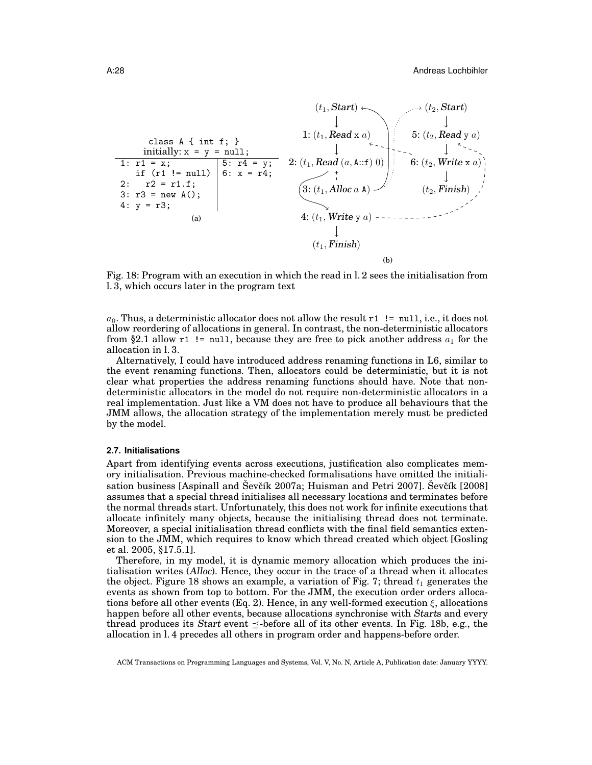<span id="page-27-3"></span><span id="page-27-2"></span><span id="page-27-1"></span>class  $A \{ int f; \}$ initially:  $x = y = null;$ 1:  $r1 = x$ ; if (r1 != null) 2:  $r2 = r1.f;$  $3: r3 = new A()$ ;  $4: y = r3;$ 5:  $\overline{r4} = y;$ 6:  $x = r4$ ; (a)  $(t_1,\textit{Start})$  + 1:  $(t_1, Read \times a)$ 2:  $(t_1, Read (a, A::f) 0)$  $\hat{B}$ :  $(t_1,$  Alloc a A)  $4:$   $(t_1, Write y a)$  $(t_1, \text{Finish})$  $(t_2, Start)$ 5:  $(t_2, Read\ y\ a)$ 6:  $(t_2, Write \times a)$  $(t_2, \textit{Finish})$ (b)

Fig. 18: Program with an execution in which the read in l. 2 sees the initialisation from l. 3, which occurs later in the program text

 $a_0$ . Thus, a deterministic allocator does not allow the result r1  $\cdot$  ! = null, i.e., it does not allow reordering of allocations in general. In contrast, the non-deterministic allocators from [§2.1](#page-11-1) allow r1 != null, because they are free to pick another address  $a_1$  for the allocation in l. 3.

Alternatively, I could have introduced address renaming functions in [L6,](#page-21-11) similar to the event renaming functions. Then, allocators could be deterministic, but it is not clear what properties the address renaming functions should have. Note that nondeterministic allocators in the model do not require non-deterministic allocators in a real implementation. Just like a VM does not have to produce all behaviours that the JMM allows, the allocation strategy of the implementation merely must be predicted by the model.

#### <span id="page-27-0"></span>**2.7. Initialisations**

Apart from identifying events across executions, justification also complicates memory initialisation. Previous machine-checked formalisations have omitted the initiali-sation business [Aspinall and Ševčík 2007a; [Huisman and Petri 2007\]](#page-63-3). Ševčík [2008] assumes that a special thread initialises all necessary locations and terminates before the normal threads start. Unfortunately, this does not work for infinite executions that allocate infinitely many objects, because the initialising thread does not terminate. Moreover, a special initialisation thread conflicts with the final field semantics extension to the JMM, which requires to know which thread created which object [\[Gosling](#page-63-0) [et al. 2005,](#page-63-0) §17.5.1].

Therefore, in my model, it is dynamic memory allocation which produces the initialisation writes (Alloc). Hence, they occur in the trace of a thread when it allocates the object. Figure [18](#page-27-1) shows an example, a variation of Fig. [7;](#page-12-3) thread  $t_1$  generates the events as shown from top to bottom. For the JMM, the execution order orders alloca-tions before all other events (Eq. [2\)](#page-19-2). Hence, in any well-formed execution  $\xi$ , allocations happen before all other events, because allocations synchronise with Starts and every thread produces its *Start* event  $\prec$ -before all of its other events. In Fig. [18b,](#page-27-2) e.g., the allocation in l. 4 precedes all others in program order and happens-before order.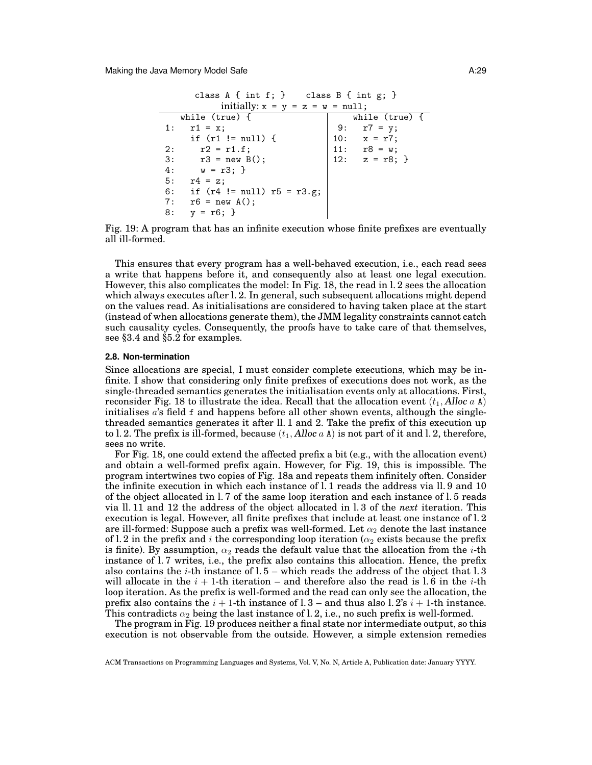<span id="page-28-1"></span>Making the Java Memory Model Safe A: 29 A: 29

|    | class $A \{ int f; \}$ class $B \{ int g; \}$ |  |                  |  |  |
|----|-----------------------------------------------|--|------------------|--|--|
|    | initially: $x = y = z = w = null;$            |  |                  |  |  |
|    | while $(true)$ {                              |  | while $(true)$ { |  |  |
|    | 1: $r1 = x;$                                  |  | 9: $r7 = y;$     |  |  |
|    | if $(r1 != null)$ {                           |  | $10: x = r7;$    |  |  |
| 2: | $r2 = r1.f;$                                  |  | 11: $r8 = w;$    |  |  |
| 3: | $r3 = new B()$ ;                              |  | 12: $z = r8;$ }  |  |  |
| 4: | $w = r3;$ }                                   |  |                  |  |  |
| 5: | $r4 = z$ ;                                    |  |                  |  |  |
|    | 6: if $(r4 != null)$ $r5 = r3.g;$             |  |                  |  |  |
|    | 7: $r6 = new A();$                            |  |                  |  |  |
| 8: |                                               |  |                  |  |  |

Fig. 19: A program that has an infinite execution whose finite prefixes are eventually all ill-formed.

This ensures that every program has a well-behaved execution, i.e., each read sees a write that happens before it, and consequently also at least one legal execution. However, this also complicates the model: In Fig. [18,](#page-27-1) the read in l. 2 sees the allocation which always executes after l. 2. In general, such subsequent allocations might depend on the values read. As initialisations are considered to having taken place at the start (instead of when allocations generate them), the JMM legality constraints cannot catch such causality cycles. Consequently, the proofs have to take care of that themselves, see [§3.4](#page-39-0) and [§5.2](#page-49-2) for examples.

## <span id="page-28-0"></span>**2.8. Non-termination**

Since allocations are special, I must consider complete executions, which may be infinite. I show that considering only finite prefixes of executions does not work, as the single-threaded semantics generates the initialisation events only at allocations. First, reconsider Fig. [18](#page-27-1) to illustrate the idea. Recall that the allocation event  $(t_1,$  Alloc  $a \Lambda$ ) initialises a's field f and happens before all other shown events, although the singlethreaded semantics generates it after ll. 1 and 2. Take the prefix of this execution up to l. 2. The prefix is ill-formed, because  $(t_1,$  Alloc  $a \Lambda)$  is not part of it and l. 2, therefore, sees no write.

For Fig. [18,](#page-27-1) one could extend the affected prefix a bit (e.g., with the allocation event) and obtain a well-formed prefix again. However, for Fig. [19,](#page-28-1) this is impossible. The program intertwines two copies of Fig. [18a](#page-27-3) and repeats them infinitely often. Consider the infinite execution in which each instance of l. 1 reads the address via ll. 9 and 10 of the object allocated in l. 7 of the same loop iteration and each instance of l. 5 reads via ll. 11 and 12 the address of the object allocated in l. 3 of the *next* iteration. This execution is legal. However, all finite prefixes that include at least one instance of l. 2 are ill-formed: Suppose such a prefix was well-formed. Let  $\alpha_2$  denote the last instance of l. 2 in the prefix and i the corresponding loop iteration ( $\alpha_2$  exists because the prefix is finite). By assumption,  $\alpha_2$  reads the default value that the allocation from the *i*-th instance of l. 7 writes, i.e., the prefix also contains this allocation. Hence, the prefix also contains the *i*-th instance of  $l, 5$  – which reads the address of the object that  $l, 3$ will allocate in the  $i + 1$ -th iteration – and therefore also the read is 1.6 in the *i*-th loop iteration. As the prefix is well-formed and the read can only see the allocation, the prefix also contains the  $i + 1$ -th instance of l. 3 – and thus also l. 2's  $i + 1$ -th instance. This contradicts  $\alpha_2$  being the last instance of l. 2, i.e., no such prefix is well-formed.

The program in Fig. [19](#page-28-1) produces neither a final state nor intermediate output, so this execution is not observable from the outside. However, a simple extension remedies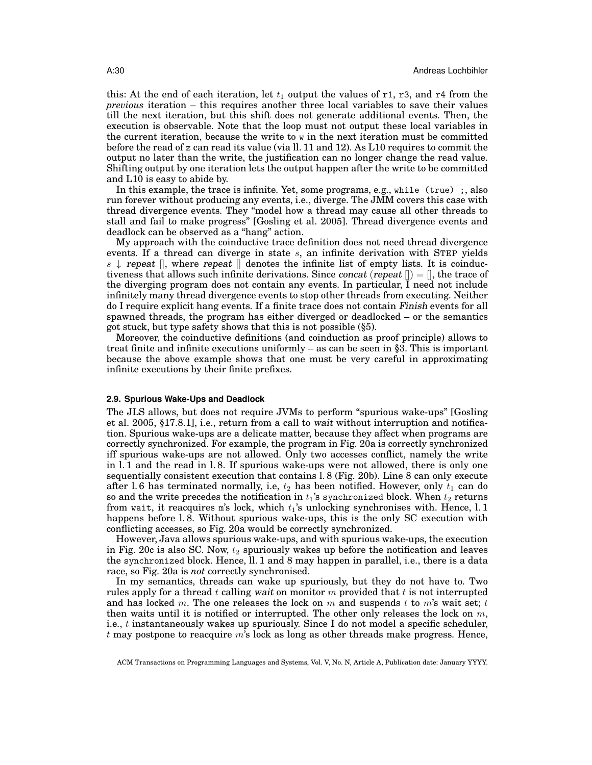this: At the end of each iteration, let  $t_1$  output the values of r1, r3, and r4 from the *previous* iteration – this requires another three local variables to save their values till the next iteration, but this shift does not generate additional events. Then, the execution is observable. Note that the loop must not output these local variables in the current iteration, because the write to w in the next iteration must be committed before the read of z can read its value (via ll. 11 and 12). As [L10](#page-21-4) requires to commit the output no later than the write, the justification can no longer change the read value. Shifting output by one iteration lets the output happen after the write to be committed and [L10](#page-21-4) is easy to abide by.

In this example, the trace is infinite. Yet, some programs, e.g., while (true) ;, also run forever without producing any events, i.e., diverge. The JMM covers this case with thread divergence events. They "model how a thread may cause all other threads to stall and fail to make progress" [\[Gosling et al. 2005\]](#page-63-0). Thread divergence events and deadlock can be observed as a "hang" action.

My approach with the coinductive trace definition does not need thread divergence events. If a thread can diverge in state  $s$ , an infinite derivation with S[TEP](#page-16-3) yields s  $\downarrow$  repeat  $\parallel$ , where repeat  $\parallel$  denotes the infinite list of empty lists. It is coinductiveness that allows such infinite derivations. Since concat (repeat  $\lbrack \rbrack$ ) =  $\lbrack \rbrack$ , the trace of the diverging program does not contain any events. In particular, I need not include infinitely many thread divergence events to stop other threads from executing. Neither do I require explicit hang events. If a finite trace does not contain Finish events for all spawned threads, the program has either diverged or deadlocked – or the semantics got stuck, but type safety shows that this is not possible ([§5\)](#page-49-1).

Moreover, the coinductive definitions (and coinduction as proof principle) allows to treat finite and infinite executions uniformly – as can be seen in [§3.](#page-31-0) This is important because the above example shows that one must be very careful in approximating infinite executions by their finite prefixes.

#### <span id="page-29-0"></span>**2.9. Spurious Wake-Ups and Deadlock**

The JLS allows, but does not require JVMs to perform "spurious wake-ups" [\[Gosling](#page-63-0) [et al. 2005,](#page-63-0) §17.8.1], i.e., return from a call to wait without interruption and notification. Spurious wake-ups are a delicate matter, because they affect when programs are correctly synchronized. For example, the program in Fig. [20a](#page-30-2) is correctly synchronized iff spurious wake-ups are not allowed. Only two accesses conflict, namely the write in l. 1 and the read in l. 8. If spurious wake-ups were not allowed, there is only one sequentially consistent execution that contains l. 8 (Fig. [20b\)](#page-30-3). Line 8 can only execute after 1.6 has terminated normally, i.e,  $t_2$  has been notified. However, only  $t_1$  can do so and the write precedes the notification in  $t_1$ 's synchronized block. When  $t_2$  returns from wait, it reacquires m's lock, which  $t_1$ 's unlocking synchronises with. Hence, l. 1 happens before l. 8. Without spurious wake-ups, this is the only SC execution with conflicting accesses, so Fig. [20a](#page-30-2) would be correctly synchronized.

However, Java allows spurious wake-ups, and with spurious wake-ups, the execution in Fig. [20c](#page-30-4) is also SC. Now,  $t_2$  spuriously wakes up before the notification and leaves the synchronized block. Hence, ll. 1 and 8 may happen in parallel, i.e., there is a data race, so Fig. [20a](#page-30-2) is *not* correctly synchronised.

In my semantics, threads can wake up spuriously, but they do not have to. Two rules apply for a thread t calling wait on monitor m provided that t is not interrupted and has locked m. The one releases the lock on m and suspends t to m's wait set; t then waits until it is notified or interrupted. The other only releases the lock on  $m$ , i.e., t instantaneously wakes up spuriously. Since I do not model a specific scheduler,  $t$  may postpone to reacquire  $m$ 's lock as long as other threads make progress. Hence,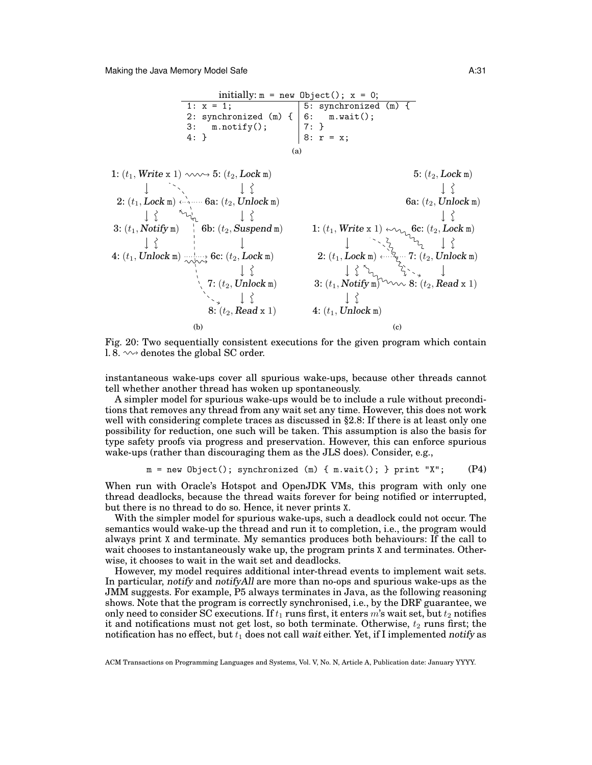<span id="page-30-4"></span><span id="page-30-3"></span><span id="page-30-2"></span><span id="page-30-1"></span>

Fig. 20: Two sequentially consistent executions for the given program which contain 1.8.  $\rightsquigarrow$  denotes the global SC order.

instantaneous wake-ups cover all spurious wake-ups, because other threads cannot tell whether another thread has woken up spontaneously.

A simpler model for spurious wake-ups would be to include a rule without preconditions that removes any thread from any wait set any time. However, this does not work well with considering complete traces as discussed in [§2.8:](#page-28-0) If there is at least only one possibility for reduction, one such will be taken. This assumption is also the basis for type safety proofs via progress and preservation. However, this can enforce spurious wake-ups (rather than discouraging them as the JLS does). Consider, e.g.,

<span id="page-30-0"></span>
$$
\verb|m = new Object(); synchronized (m) { m.wait(); }\ print "X"; (P4)
$$

When run with Oracle's Hotspot and OpenJDK VMs, this program with only one thread deadlocks, because the thread waits forever for being notified or interrupted, but there is no thread to do so. Hence, it never prints X.

With the simpler model for spurious wake-ups, such a deadlock could not occur. The semantics would wake-up the thread and run it to completion, i.e., the program would always print X and terminate. My semantics produces both behaviours: If the call to wait chooses to instantaneously wake up, the program prints X and terminates. Otherwise, it chooses to wait in the wait set and deadlocks.

However, my model requires additional inter-thread events to implement wait sets. In particular, notify and notifyAll are more than no-ops and spurious wake-ups as the JMM suggests. For example, [P5](#page-31-2) always terminates in Java, as the following reasoning shows. Note that the program is correctly synchronised, i.e., by the DRF guarantee, we only need to consider SC executions. If  $t_1$  runs first, it enters m's wait set, but  $t_2$  notifies it and notifications must not get lost, so both terminate. Otherwise,  $t_2$  runs first; the notification has no effect, but  $t_1$  does not call wait either. Yet, if I implemented notify as

ACM Transactions on Programming Languages and Systems, Vol. V, No. N, Article A, Publication date: January YYYY.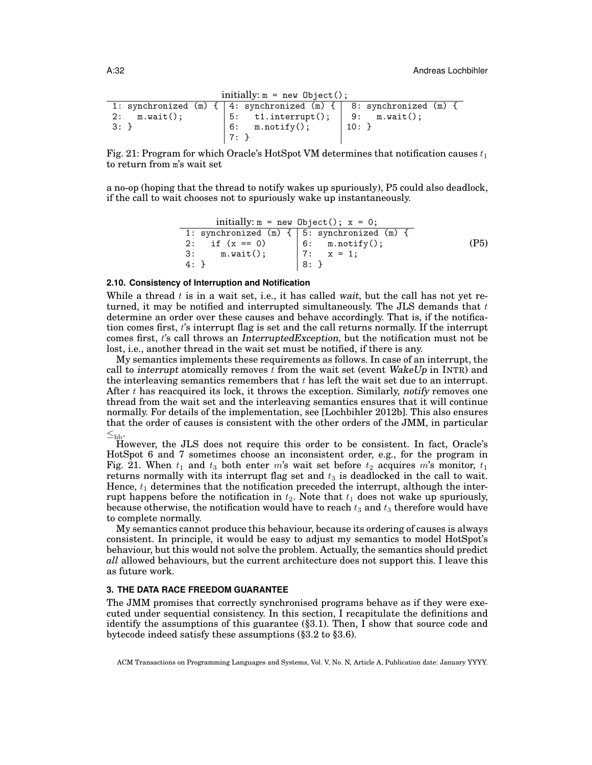<span id="page-31-3"></span>

| $initially: m = new Object();$ |                 |  |             |                                                                                                                                     |          |  |  |  |
|--------------------------------|-----------------|--|-------------|-------------------------------------------------------------------------------------------------------------------------------------|----------|--|--|--|
|                                |                 |  |             | 1: synchronized (m) $\{ \vert 4: \text{ synchronized (m) } \{ \vert 8: \text{ synchronized (m) } \{ \vert 6: \vert 1 \vert 1 \} \}$ |          |  |  |  |
|                                | $2: m.wait()$ ; |  |             | $\vert 5:$ t1.interrupt(); $\vert 9:$ m.wait();                                                                                     |          |  |  |  |
| $3: \mathcal{F}$               |                 |  |             | $6:$ m.notify();                                                                                                                    | $10: \}$ |  |  |  |
|                                |                 |  | $7 \cdot 7$ |                                                                                                                                     |          |  |  |  |

Fig. 21: Program for which Oracle's HotSpot VM determines that notification causes  $t_1$ to return from m's wait set

a no-op (hoping that the thread to notify wakes up spuriously), [P5](#page-31-2) could also deadlock, if the call to wait chooses not to spuriously wake up instantaneously.

<span id="page-31-2"></span>
$$
\begin{array}{ll}\n\text{initially: } m = \text{new Object(); } x = 0; \\
\text{1: synchronized (m) { 5: synchronized (m) {}} \\
\text{2: if (x == 0)} & 6: \text{ m.notify();} \\
\text{3: m.wait();} & 7: x = 1; \\
\text{4: } & 8: \end{array} \tag{P5}
$$

## <span id="page-31-1"></span>**2.10. Consistency of Interruption and Notification**

While a thread  $t$  is in a wait set, i.e., it has called wait, but the call has not yet returned, it may be notified and interrupted simultaneously. The JLS demands that  $t$ determine an order over these causes and behave accordingly. That is, if the notification comes first, t's interrupt flag is set and the call returns normally. If the interrupt comes first, t's call throws an InterruptedException, but the notification must not be lost, i.e., another thread in the wait set must be notified, if there is any.

My semantics implements these requirements as follows. In case of an interrupt, the call to interrupt atomically removes  $t$  from the wait set (event WakeUp in I[NTR](#page-15-2)) and the interleaving semantics remembers that  $t$  has left the wait set due to an interrupt. After t has reacquired its lock, it throws the exception. Similarly, notify removes one thread from the wait set and the interleaving semantics ensures that it will continue normally. For details of the implementation, see [\[Lochbihler 2012b\]](#page-63-2). This also ensures that the order of causes is consistent with the other orders of the JMM, in particular  $\leq_{\text{hb}}$ .

However, the JLS does not require this order to be consistent. In fact, Oracle's HotSpot 6 and 7 sometimes choose an inconsistent order, e.g., for the program in Fig. [21.](#page-31-3) When  $t_1$  and  $t_3$  both enter m's wait set before  $t_2$  acquires m's monitor,  $t_1$ returns normally with its interrupt flag set and  $t_3$  is deadlocked in the call to wait. Hence,  $t_1$  determines that the notification preceded the interrupt, although the interrupt happens before the notification in  $t_2$ . Note that  $t_1$  does not wake up spuriously, because otherwise, the notification would have to reach  $t_3$  and  $t_3$  therefore would have to complete normally.

My semantics cannot produce this behaviour, because its ordering of causes is always consistent. In principle, it would be easy to adjust my semantics to model HotSpot's behaviour, but this would not solve the problem. Actually, the semantics should predict *all* allowed behaviours, but the current architecture does not support this. I leave this as future work.

## <span id="page-31-0"></span>**3. THE DATA RACE FREEDOM GUARANTEE**

The JMM promises that correctly synchronised programs behave as if they were executed under sequential consistency. In this section, I recapitulate the definitions and identify the assumptions of this guarantee ([§3.1\)](#page-32-0). Then, I show that source code and bytecode indeed satisfy these assumptions ([§3.2](#page-36-0) to [§3.6\)](#page-45-0).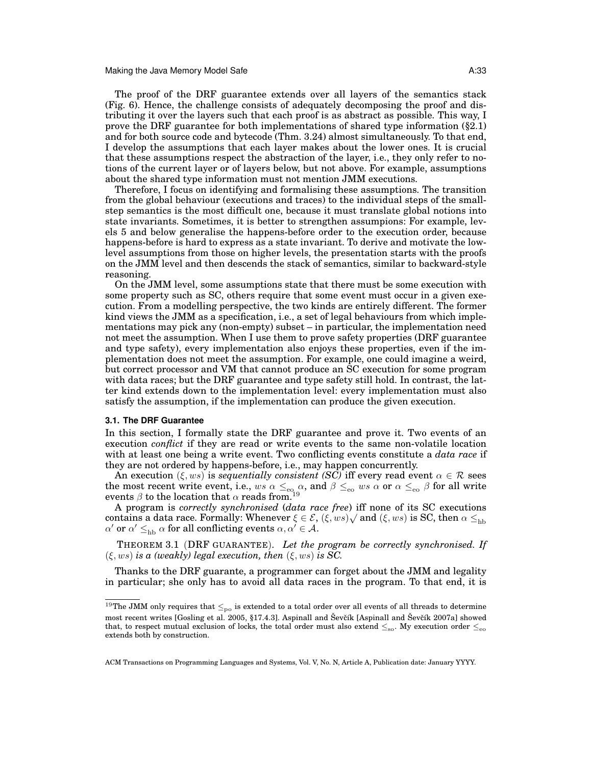The proof of the DRF guarantee extends over all layers of the semantics stack (Fig. [6\)](#page-11-0). Hence, the challenge consists of adequately decomposing the proof and distributing it over the layers such that each proof is as abstract as possible. This way, I prove the DRF guarantee for both implementations of shared type information ([§2.1\)](#page-11-1) and for both source code and bytecode (Thm. [3.24\)](#page-46-1) almost simultaneously. To that end, I develop the assumptions that each layer makes about the lower ones. It is crucial that these assumptions respect the abstraction of the layer, i.e., they only refer to notions of the current layer or of layers below, but not above. For example, assumptions about the shared type information must not mention JMM executions.

Therefore, I focus on identifying and formalising these assumptions. The transition from the global behaviour (executions and traces) to the individual steps of the smallstep semantics is the most difficult one, because it must translate global notions into state invariants. Sometimes, it is better to strengthen assumpions: For example, levels 5 and below generalise the happens-before order to the execution order, because happens-before is hard to express as a state invariant. To derive and motivate the lowlevel assumptions from those on higher levels, the presentation starts with the proofs on the JMM level and then descends the stack of semantics, similar to backward-style reasoning.

On the JMM level, some assumptions state that there must be some execution with some property such as SC, others require that some event must occur in a given execution. From a modelling perspective, the two kinds are entirely different. The former kind views the JMM as a specification, i.e., a set of legal behaviours from which implementations may pick any (non-empty) subset – in particular, the implementation need not meet the assumption. When I use them to prove safety properties (DRF guarantee and type safety), every implementation also enjoys these properties, even if the implementation does not meet the assumption. For example, one could imagine a weird, but correct processor and VM that cannot produce an SC execution for some program with data races; but the DRF guarantee and type safety still hold. In contrast, the latter kind extends down to the implementation level: every implementation must also satisfy the assumption, if the implementation can produce the given execution.

#### <span id="page-32-0"></span>**3.1. The DRF Guarantee**

In this section, I formally state the DRF guarantee and prove it. Two events of an execution *conflict* if they are read or write events to the same non-volatile location with at least one being a write event. Two conflicting events constitute a *data race* if they are not ordered by happens-before, i.e., may happen concurrently.

An execution  $(\xi, ws)$  is *sequentially consistent (SC)* iff every read event  $\alpha \in \mathcal{R}$  sees the most recent write event, i.e.,  $ws$   $\alpha \leq_{\rm{eo}}\alpha$ , and  $\beta \leq_{\rm{eo}}ws$   $\alpha$  or  $\alpha \leq_{\rm{eo}}\beta$  for all write events  $\beta$  to the location that  $\alpha$  reads from.<sup>[19](#page-32-1)</sup>

A program is *correctly synchronised* (*data race free*) iff none of its SC executions √ contains a data race. Formally: Whenever  $\xi\in\mathcal{E}$ ,  $(\xi,ws)\sqrt{}$  and  $(\xi,ws)$  is SC, then  $\alpha\leq_{\text{hb}}$  $\alpha'$  or  $\alpha' \leq_{\text{hb}} \alpha$  for all conflicting events  $\alpha, \alpha' \in A$ .

<span id="page-32-2"></span>THEOREM 3.1 (DRF GUARANTEE). *Let the program be correctly synchronised. If* (ξ, ws) *is a (weakly) legal execution, then* (ξ, ws) *is SC.*

Thanks to the DRF guarante, a programmer can forget about the JMM and legality in particular; she only has to avoid all data races in the program. To that end, it is

<span id="page-32-1"></span><sup>&</sup>lt;sup>19</sup>The JMM only requires that  $\leq_{\rm po}$  is extended to a total order over all events of all threads to determine most recent writes [\[Gosling et al. 2005,](#page-63-0) §17.4.3]. Aspinall and Ševčík [Aspinall and Ševčík 2007a] showed that, to respect mutual exclusion of locks, the total order must also extend  $\leq_{\text{so}}$ . My execution order  $\leq_{\text{eo}}$ extends both by construction.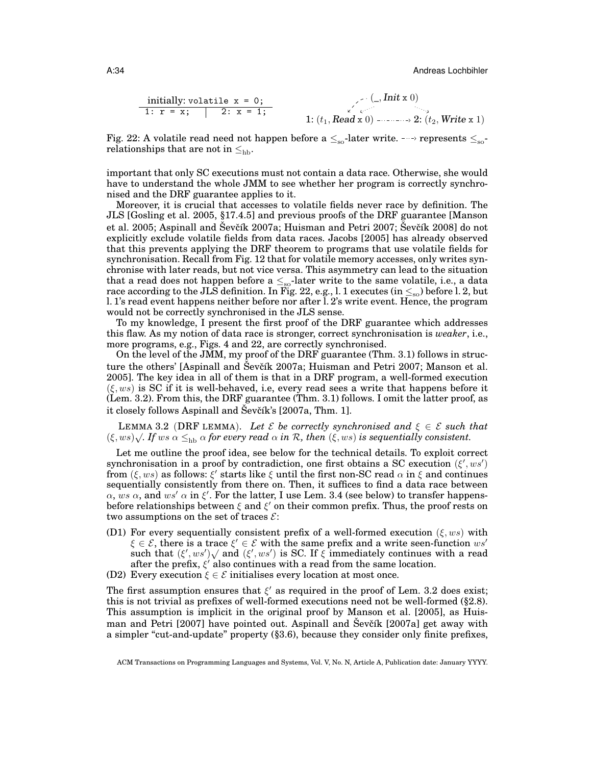<span id="page-33-0"></span>A:34 Andreas Lochbihler

$$
\begin{array}{c|c}\n\text{initially: volatile } x = 0; \\
\hline\n1: r = x; \quad 2: x = 1; \\
\end{array}\n\qquad\n\begin{array}{c}\n\text{(1, init x 0)} \\
\text{(1, Read x 0)}\n\end{array}\n\qquad\n\begin{array}{c}\n\text{(2, Write x 1)}\n\end{array}
$$

Fig. 22: A volatile read need not happen before a  $\leq_{\text{so}}$ -later write.  $\cdots$  represents  $\leq_{\text{so}}$ relationships that are not in  $\leq_{\text{hb}}$ .

important that only SC executions must not contain a data race. Otherwise, she would have to understand the whole JMM to see whether her program is correctly synchronised and the DRF guarantee applies to it.

Moreover, it is crucial that accesses to volatile fields never race by definition. The JLS [\[Gosling et al. 2005,](#page-63-0) §17.4.5] and previous proofs of the DRF guarantee [\[Manson](#page-63-8) [et al. 2005;](#page-63-8) Aspinall and Ševčík 2007a; [Huisman and Petri 2007;](#page-63-3) Ševčík 2008] do not explicitly exclude volatile fields from data races. [Jacobs \[2005\]](#page-63-9) has already observed that this prevents applying the DRF theorem to programs that use volatile fields for synchronisation. Recall from Fig. [12](#page-20-1) that for volatile memory accesses, only writes synchronise with later reads, but not vice versa. This asymmetry can lead to the situation that a read does not happen before a  $\leq_{\text{so}}$ -later write to the same volatile, i.e., a data race according to the JLS definition. In Fig. [22,](#page-33-0) e.g., l. 1 executes (in  $\leq_{\text{so}}$ ) before l. 2, but l. 1's read event happens neither before nor after l. 2's write event. Hence, the program would not be correctly synchronised in the JLS sense.

To my knowledge, I present the first proof of the DRF guarantee which addresses this flaw. As my notion of data race is stronger, correct synchronisation is *weaker*, i.e., more programs, e.g., Figs. [4](#page-6-0) and [22,](#page-33-0) are correctly synchronised.

On the level of the JMM, my proof of the DRF guarantee (Thm. [3.1\)](#page-32-2) follows in struc-ture the others' [Aspinall and Ševčík 2007a; [Huisman and Petri 2007;](#page-63-3) [Manson et al.](#page-63-8) [2005\]](#page-63-8). The key idea in all of them is that in a DRF program, a well-formed execution  $(\xi, ws)$  is SC if it is well-behaved, i.e, every read sees a write that happens before it (Lem. [3.2\)](#page-33-1). From this, the DRF guarantee (Thm. [3.1\)](#page-32-2) follows. I omit the latter proof, as it closely follows Aspinall and Ševčík's [[2007a,](#page-62-0) Thm. 1].

<span id="page-33-1"></span>LEMMA 3.2 (DRF LEMMA). Let  $\mathcal{E}$  be correctly synchronised and  $\xi \in \mathcal{E}$  such that  $(\xi, ws) \sqrt{ }$ . If ws  $\alpha \leq_{\text{hb}} \alpha$  for every read  $\alpha$  in  $\mathcal{R}$ , then  $(\xi, ws)$  is sequentially consistent.

Let me outline the proof idea, see below for the technical details. To exploit correct synchronisation in a proof by contradiction, one first obtains a SC execution  $(\xi', ws')$ from (ξ, ws) as follows:  $\xi'$  starts like ξ until the first non-SC read  $\alpha$  in ξ and continues sequentially consistently from there on. Then, it suffices to find a data race between  $\alpha$ , ws  $\alpha$ , and ws'  $\alpha$  in  $\xi'$ . For the latter, I use Lem. [3.4](#page-34-0) (see below) to transfer happensbefore relationships between  $\xi$  and  $\xi'$  on their common prefix. Thus, the proof rests on two assumptions on the set of traces  $\mathcal{E}$ :

- <span id="page-33-3"></span>(D1) For every sequentially consistent prefix of a well-formed execution  $(\xi, ws)$  with  $\xi \in \mathcal{E}$ , there is a trace  $\xi' \in \mathcal{E}$  with the same prefix and a write seen-function ws<sup>o</sup> such that  $(\xi', ws')\sqrt{m}$  and  $(\xi', ws')$  is SC. If  $\xi$  immediately continues with a read after the prefix,  $\xi'$  also continues with a read from the same location.
- <span id="page-33-2"></span>(D2) Every execution  $\xi \in \mathcal{E}$  initialises every location at most once.

The first assumption ensures that  $\xi'$  as required in the proof of Lem. [3.2](#page-33-1) does exist; this is not trivial as prefixes of well-formed executions need not be well-formed ([§2.8\)](#page-28-0). This assumption is implicit in the original proof by [Manson et al. \[2005\]](#page-63-8), as [Huis](#page-63-3)man and Petri  $[2007]$  have pointed out. Aspinall and Sevčík  $[2007a]$  get away with a simpler "cut-and-update" property ([§3.6\)](#page-45-0), because they consider only finite prefixes,

ACM Transactions on Programming Languages and Systems, Vol. V, No. N, Article A, Publication date: January YYYY.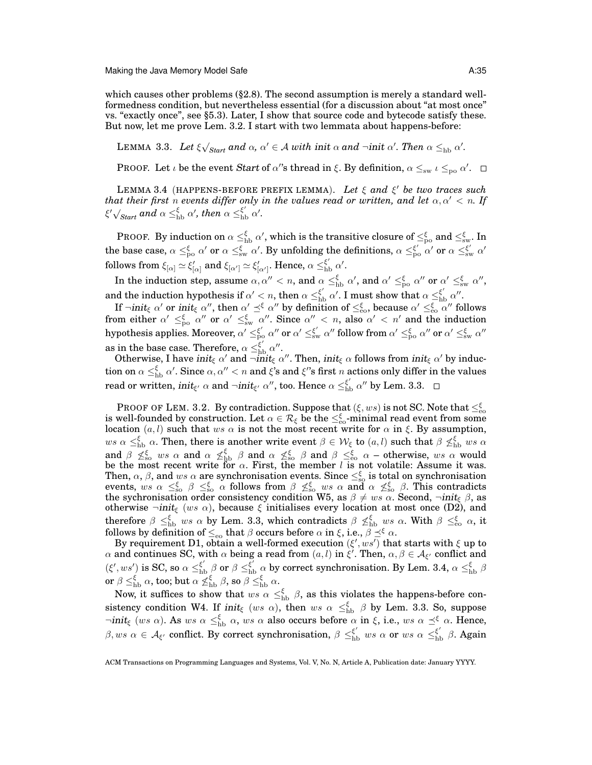Making the Java Memory Model Safe A:35

which causes other problems ([§2.8\)](#page-28-0). The second assumption is merely a standard wellformedness condition, but nevertheless essential (for a discussion about "at most once" vs. "exactly once", see [§5.3\)](#page-53-0). Later, I show that source code and bytecode satisfy these. But now, let me prove Lem. [3.2.](#page-33-1) I start with two lemmata about happens-before:

<span id="page-34-1"></span>LEMMA 3.3. Let  $\xi \sqrt{\frac{S_{\text{start}}}{n}}$  and  $\alpha$ ,  $\alpha' \in \mathcal{A}$  with init  $\alpha$  and  $\neg$  init  $\alpha'$ . Then  $\alpha \leq_{\text{hb}} \alpha'$ .

PROOF. Let  $\iota$  be the event Start of  $\alpha$ 's thread in ξ. By definition,  $\alpha \leq_{\rm sw} \iota \leq_{\rm po} \alpha'.$ 

<span id="page-34-0"></span>LEMMA 3.4 (HAPPENS-BEFORE PREFIX LEMMA). Let  $\xi$  and  $\xi'$  be two traces such *that their first* n *events differ only in the values read or written, and let*  $\alpha, \alpha' < n$ . If  $\zeta' \sqrt{s_{\text{tart}}}$  and  $\alpha \leq_{\text{hb}}^{\xi} \alpha'$ , then  $\alpha \leq_{\text{hb}}^{\xi'} \alpha'$ .

PROOF. By induction on  $\alpha\leq^{\xi}_{\text{hb}}\alpha'$ , which is the transitive closure of  $\leq^{\xi}_{\text{po}}$  and  $\leq^{\xi}_{\text{sw}}$ . In the base case,  $\alpha\leq^{\xi}_{\rm po}\alpha'$  or  $\alpha\leq^{\xi}_{\rm sw}\alpha'$ . By unfolding the definitions,  $\alpha\leq^{\xi'}_{\rm po}\alpha'$  or  $\alpha\leq^{\xi'}_{\rm sw}\alpha'$ follows from  $\xi_{[\alpha]} \simeq \xi'_{[\alpha]}$  and  $\xi_{[\alpha']} \simeq \xi'_{[\alpha']}$ . Hence,  $\alpha \leq_{\rm hb}^{\xi'} \alpha'$ .

In the induction step, assume  $\alpha, \alpha'' < n$ , and  $\alpha \leq_{\text{hb}}^{\xi} \alpha'$ , and  $\alpha' \leq_{\text{po}}^{\xi} \alpha''$  or  $\alpha' \leq_{\text{sw}}^{\xi} \alpha''$ , and the induction hypothesis if  $\alpha' < n$ , then  $\alpha \leq_{\text{hb}}^{\xi'} \alpha'.$  I must show that  $\alpha \leq_{\text{hb}}^{\xi'} \alpha''.$ 

If  $\lnot init_\xi\ \alpha'$  or  $\text{init}_\xi\ \alpha'',$  then  $\alpha'\preceq^\xi\alpha''$  by definition of  $\leq^\xi_\text{eo}$ , because  $\alpha'\leq^\xi_\text{eo}\alpha''$  follows from either  $\alpha' \leq_{\text{po}}^{\xi} \alpha''$  or  $\alpha' \leq_{\text{sw}}^{\xi} \alpha''$ . Since  $\alpha'' < n$ , also  $\alpha' < n'$  and the induction hypothesis applies. Moreover,  $\alpha'\leq_{\rm po}^{\xi'}\alpha''$  or  $\alpha'\leq_{\rm sw}^{\xi'}\alpha''$  follow from  $\alpha'\leq_{\rm po}^{\xi}\alpha''$  or  $\alpha'\leq_{\rm sw}^{\xi}\alpha''$ as in the base case. Therefore,  $\alpha \leq_{\text{hb}}^{\xi'} \alpha''$ .

Otherwise, I have  $\text{init}_{\xi}$   $\alpha'$  and  $\neg \text{init}_{\xi}$   $\alpha''$ . Then,  $\text{init}_{\xi}$   $\alpha$  follows from  $\text{init}_{\xi}$   $\alpha'$  by induction on  $\alpha \leq_{\text{hb}}^{\xi} \alpha'$ . Since  $\alpha, \alpha'' < n$  and  $\xi$ 's and  $\xi$ 's first  $n$  actions only differ in the values read or written,  $init_{\xi'} \alpha$  and  $\neg init_{\xi'} \alpha''$ , too. Hence  $\alpha \leq_{\text{hb}}^{\xi'} \alpha''$  by Lem. [3.3.](#page-34-1)

PROOF OF LEM. [3.2.](#page-33-1) By contradiction. Suppose that  $(\xi, ws)$  is not SC. Note that  $\leq^{\xi}_{\text{eo}}$ is well-founded by construction. Let  $\alpha \in \mathcal{R}_\xi$  be the  $\leq_{\rm eo}^\xi$ -minimal read event from some location  $(a, l)$  such that ws  $\alpha$  is not the most recent write for  $\alpha$  in  $\xi$ . By assumption,  $ws\alpha\leq^{\xi}_{\text{hb}}\alpha$ . Then, there is another write event  $\beta\in\mathcal{W}_{\xi}$  to  $(a,l)$  such that  $\beta\nleq^{\xi}_{\text{hb}}ws\alpha$ and  $\beta \leq_{so}^{\xi}$  ws  $\alpha$  and  $\alpha \leq_{hb}^{\xi}$   $\beta$  and  $\alpha \leq_{so}^{\xi}$   $\beta$  and  $\beta \leq_{eo}^{\xi}$   $\alpha$  – otherwise, ws  $\alpha$  would be the most recent write for  $\alpha$ . First, the member l is not volatile: Assume it was. Then,  $\alpha$ ,  $\beta$ , and  $ws$   $\alpha$  are synchronisation events. Since  $\leq^{\xi}_{\rm so}$  is total on synchronisation events, ws  $\alpha \leq_{\text{so}}^{\xi} \beta \leq_{\text{so}}^{\xi} \alpha$  follows from  $\beta \leq_{\text{so}}^{\xi}$  ws  $\alpha$  and  $\alpha \leq_{\text{so}}^{\xi} \beta$ . This contradicts the sychronisation order consistency condition [W5,](#page-20-4) as  $\beta\neq ws$   $\alpha.$  Second,  $\neg\mathsf{init}_\xi\beta$ , as otherwise  $\neg init_{\xi}$  (ws  $\alpha$ ), because  $\xi$  initialises every location at most once [\(D2\)](#page-33-2), and therefore  $\beta \leq_{\text{hb}}^{\xi}$  ws  $\alpha$  by Lem. [3.3,](#page-34-1) which contradicts  $\beta \nleq_{\text{hb}}^{\xi}$  ws  $\alpha$ . With  $\beta \leq_{\text{eo}}^{\xi}$   $\alpha$ , it follows by definition of  $\leq_{\text{eo}}$  that  $\beta$  occurs before  $\alpha$  in  $\xi$ , i.e.,  $\beta \preceq^{\xi} \alpha$ .

By requirement [D1,](#page-33-3) obtain a well-formed execution  $(\xi', ws')$  that starts with  $\xi$  up to  $\alpha$  and continues SC, with  $\alpha$  being a read from  $(a,l)$  in  $\dot{\xi}'$ . Then,  $\alpha,\beta\in\mathcal{A}_{\xi'}$  conflict and  $(\xi',\textit{ws}')$  is SC, so  $\alpha \leq_{\text{hb}}^{\xi'} \beta$  or  $\beta \leq_{\text{hb}}^{\xi'} \alpha$  by correct synchronisation. By Lem. [3.4,](#page-34-0)  $\alpha \leq_{\text{hb}}^{\xi} \beta$ or  $\beta \leq^{\xi}_{hb} \alpha$ , too; but  $\alpha \not\leq^{\xi}_{hb} \beta$ , so  $\beta \leq^{\xi}_{hb} \alpha$ .

Now, it suffices to show that  $ws \alpha \leq_{\text{hb}}^{\xi} \beta$ , as this violates the happens-before con-sistency condition [W4.](#page-20-3) If  $init_{\xi}$   $(ws\ \alpha)$ , then  $ws\ \alpha \leq_{\text{hb}}^{\xi} \beta$  by Lem. [3.3.](#page-34-1) So, suppose  $\lnot init_\xi$  (ws  $\alpha$ ). As ws  $\alpha \leq_{\text{hb}}^{\xi} \alpha$ , ws  $\alpha$  also occurs before  $\alpha$  in  $\xi$ , i.e., ws  $\alpha \preceq^{\xi} \alpha$ . Hence,  $\beta, ws \alpha \in \mathcal{A}_{\xi'}$  conflict. By correct synchronisation,  $\beta \leq_{hb}^{\xi'}$  ws  $\alpha$  or ws  $\alpha \leq_{hb}^{\xi'} \beta$ . Again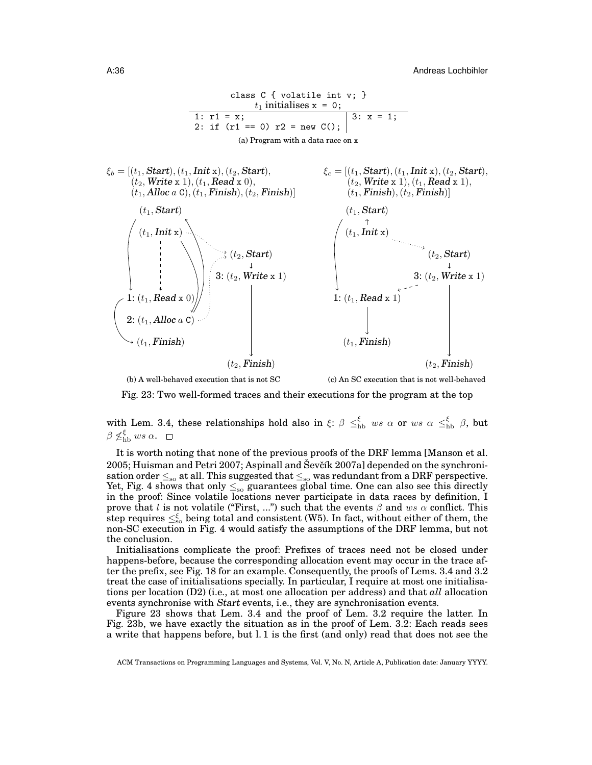<span id="page-35-1"></span><span id="page-35-0"></span>class C { volatile int v; }\n
$$
t_1
$$
 initialises x = 0;\n
$$
t_2
$$
 if (r1 == 0) r2 = new C();\n
$$
\begin{array}{c}\n\text{if } (r1 == 0) \text{ r2 = new C();}\n\\
\text{(a) Program with a data race on x}\n\end{array}
$$
\n
$$
\xi_b = [(t_1, Start), (t_1,Init x), (t_2, Start), (t_2, Start), (t_2, First), (t_2, First), (t_1, Read x 1), (t_1, Alloc a C), (t_1, Finish), (t_2, Finish)]\n\tag{1, Start}\n\end{array}
$$
\n
$$
(t_1, Hint x) = (t_1, Start)
$$
\n
$$
(t_1, Hint x) = (t_1, Start)
$$
\n
$$
(t_1, Hint x) = (t_1, Start)
$$
\n
$$
(t_1, Hint x) = (t_1, Start)
$$
\n
$$
(t_1,Init x) = (t_1, Part)
$$
\n
$$
(t_1,Init x) = (t_1, Part)
$$
\n
$$
(t_1, Hint x) = (t_1, Part)
$$
\n
$$
(t_1, Hint x) = (t_1, Heat x 1)
$$
\n
$$
(t_1, Find x 1)
$$
\n
$$
(t_1, Find x 1)
$$
\n
$$
(t_1, Find x 1)
$$
\n
$$
(t_1, Finish)
$$
\n
$$
(t_1, Finish)
$$
\n
$$
(t_2, Finish)
$$
\n
$$
(t_2, Finish)
$$
\n
$$
(t_2, Finish)
$$

(b) A well-behaved execution that is not SC

<span id="page-35-2"></span>(c) An SC execution that is not well-behaved

Fig. 23: Two well-formed traces and their executions for the program at the top

with Lem. [3.4,](#page-34-0) these relationships hold also in  $\xi$ :  $\beta \leq_{hb}^{\xi}$  ws  $\alpha$  or ws  $\alpha \leq_{hb}^{\xi} \beta$ , but  $\beta \nleq_{\text{hb}}^{\xi}$  ws  $\alpha$ .

It is worth noting that none of the previous proofs of the DRF lemma [\[Manson et al.](#page-63-8) [2005;](#page-63-8) [Huisman and Petri 2007;](#page-63-3) Aspinall and Ševčík 2007a] depended on the synchronisation order  $\leq_{\text{so}}$  at all. This suggested that  $\leq_{\text{so}}$  was redundant from a DRF perspective. Yet, Fig. [4](#page-6-0) shows that only  $\leq_{\text{so}}$  guarantees global time. One can also see this directly in the proof: Since volatile locations never participate in data races by definition, I prove that l is not volatile ("First, ...") such that the events  $\beta$  and ws  $\alpha$  conflict. This step requires  $\leq^{\xi}_{\rm so}$  being total and consistent [\(W5\)](#page-20-4). In fact, without either of them, the non-SC execution in Fig. [4](#page-6-0) would satisfy the assumptions of the DRF lemma, but not the conclusion.

Initialisations complicate the proof: Prefixes of traces need not be closed under happens-before, because the corresponding allocation event may occur in the trace after the prefix, see Fig. [18](#page-27-1) for an example. Consequently, the proofs of Lems. [3.4](#page-34-0) and [3.2](#page-33-1) treat the case of initialisations specially. In particular, I require at most one initialisations per location [\(D2\)](#page-33-2) (i.e., at most one allocation per address) and that *all* allocation events synchronise with Start events, i.e., they are synchronisation events.

Figure [23](#page-35-0) shows that Lem. [3.4](#page-34-0) and the proof of Lem. [3.2](#page-33-1) require the latter. In Fig. [23b,](#page-35-1) we have exactly the situation as in the proof of Lem. [3.2:](#page-33-1) Each reads sees a write that happens before, but l. 1 is the first (and only) read that does not see the

ACM Transactions on Programming Languages and Systems, Vol. V, No. N, Article A, Publication date: January YYYY.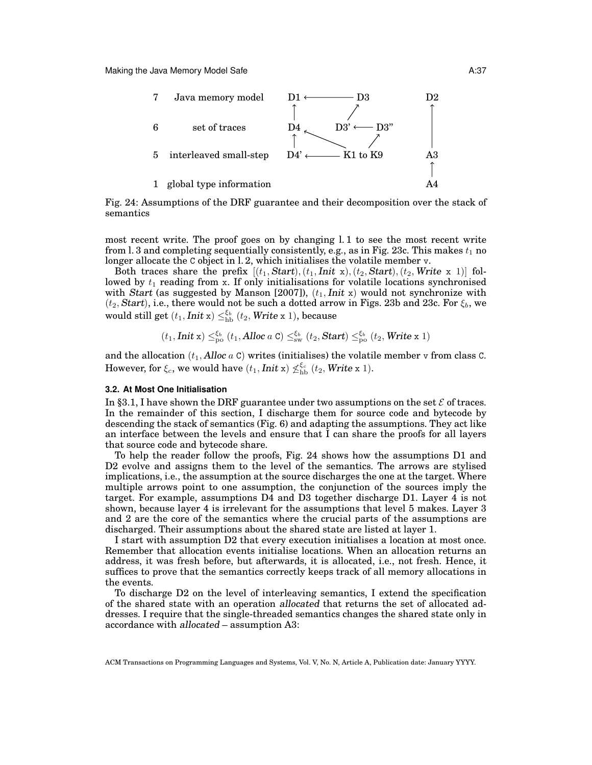<span id="page-36-2"></span>Making the Java Memory Model Safe A:37 A:37



Fig. 24: Assumptions of the DRF guarantee and their decomposition over the stack of semantics

most recent write. The proof goes on by changing l. 1 to see the most recent write from 1.3 and completing sequentially consistently, e.g., as in Fig. [23c.](#page-35-2) This makes  $t_1$  no longer allocate the C object in l. 2, which initialises the volatile member v.

Both traces share the prefix  $[(t_1, Start), (t_1,Init x), (t_2, Start), (t_2, Write x 1)]$  followed by  $t_1$  reading from x. If only initialisations for volatile locations synchronised with Start (as suggested by [Manson \[2007\]](#page-63-19)),  $(t_1, \text{Init } x)$  would not synchronize with ( $t_2$ , Start), i.e., there would not be such a dotted arrow in Figs. [23b](#page-35-1) and [23c.](#page-35-2) For  $\xi_b$ , we would still get  $(t_1, \textit{Init} \; \textbf{x}) \leq^{\xi_b}_{\text{hb}} (t_2, \textit{Write} \; \textbf{x} \; 1),$  because

$$
(t_1, \text{Init } x) \leq_{\text{po}}^{ \xi_b} (t_1, \text{Alloc } a \text{ C}) \leq_{\text{sw}}^{ \xi_b} (t_2, \text{Start}) \leq_{\text{po}}^{ \xi_b} (t_2, \text{Write } x \text{ 1})
$$

and the allocation  $(t_1,$  Alloc  $a$  C) writes (initialises) the volatile member v from class C. However, for  $\xi_c$ , we would have  $(t_1, \textit{Init} \; \text{x}) \not\leq^{\xi_c}_{\text{hb}} (t_2, \textit{Write} \; \text{x} \; 1).$ 

#### <span id="page-36-0"></span>**3.2. At Most One Initialisation**

In [§3.1,](#page-32-0) I have shown the DRF guarantee under two assumptions on the set  $\mathcal E$  of traces. In the remainder of this section, I discharge them for source code and bytecode by descending the stack of semantics (Fig. [6\)](#page-11-0) and adapting the assumptions. They act like an interface between the levels and ensure that I can share the proofs for all layers that source code and bytecode share.

To help the reader follow the proofs, Fig. [24](#page-36-2) shows how the assumptions [D1](#page-33-3) and [D2](#page-33-2) evolve and assigns them to the level of the semantics. The arrows are stylised implications, i.e., the assumption at the source discharges the one at the target. Where multiple arrows point to one assumption, the conjunction of the sources imply the target. For example, assumptions [D4](#page-44-1) and [D3](#page-38-0) together discharge [D1.](#page-33-3) Layer 4 is not shown, because layer 4 is irrelevant for the assumptions that level 5 makes. Layer 3 and 2 are the core of the semantics where the crucial parts of the assumptions are discharged. Their assumptions about the shared state are listed at layer 1.

I start with assumption [D2](#page-33-2) that every execution initialises a location at most once. Remember that allocation events initialise locations. When an allocation returns an address, it was fresh before, but afterwards, it is allocated, i.e., not fresh. Hence, it suffices to prove that the semantics correctly keeps track of all memory allocations in the events.

To discharge [D2](#page-33-2) on the level of interleaving semantics, I extend the specification of the shared state with an operation allocated that returns the set of allocated addresses. I require that the single-threaded semantics changes the shared state only in accordance with allocated – assumption [A3:](#page-36-1)

<span id="page-36-1"></span>ACM Transactions on Programming Languages and Systems, Vol. V, No. N, Article A, Publication date: January YYYY.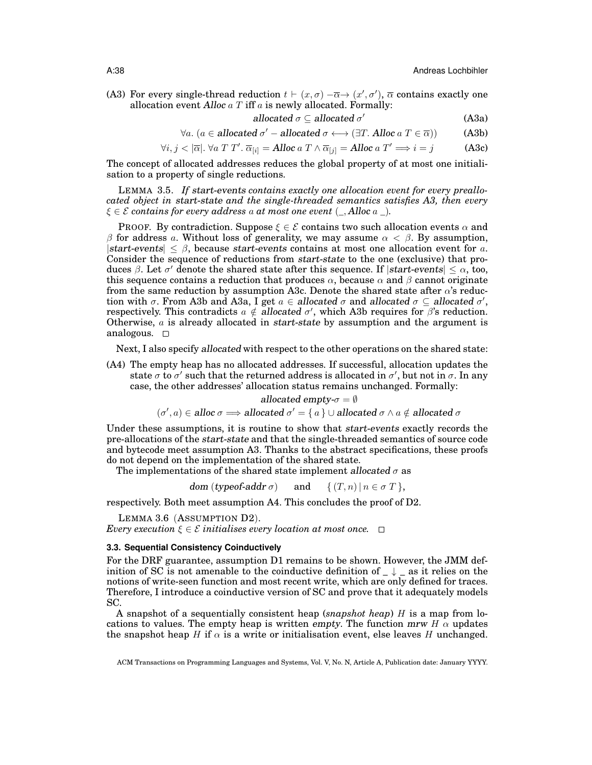(A3) For every single-thread reduction  $t \vdash (x, \sigma) - \overline{\alpha} \rightarrow (x', \sigma')$ ,  $\overline{\alpha}$  contains exactly one allocation event Alloc  $a T$  iff  $a$  is newly allocated. Formally:

<span id="page-37-3"></span><span id="page-37-2"></span><span id="page-37-1"></span>
$$
allocated \sigma \subseteq allocated \sigma' \qquad (A3a)
$$

$$
\forall a. \ (a \in \text{ allocated } \sigma' - \text{ allocated } \sigma \longleftrightarrow (\exists T. \text{ Alice } a \ T \in \overline{\alpha})) \tag{A3b}
$$

$$
\forall i, j < |\overline{\alpha}|. \ \forall a \ T \ T'. \ \overline{\alpha}_{[i]} = \text{Alice } a \ T \land \overline{\alpha}_{[j]} = \text{Alice } a \ T' \Longrightarrow i = j \tag{A3c}
$$

The concept of allocated addresses reduces the global property of at most one initialisation to a property of single reductions.

<span id="page-37-4"></span>LEMMA 3.5. *If* start-events *contains exactly one allocation event for every preallocated object in* start-state *and the single-threaded semantics satisfies [A3,](#page-36-1) then every*  $\xi \in \mathcal{E}$  contains for every address a at most one event  $(\lambda)$ . Alloc a  $\lambda$ .

PROOF. By contradiction. Suppose  $\xi \in \mathcal{E}$  contains two such allocation events  $\alpha$  and β for address a. Without loss of generality, we may assume  $\alpha < \beta$ . By assumption, |start-events|  $\leq \beta$ , because start-events contains at most one allocation event for a. Consider the sequence of reductions from start-state to the one (exclusive) that produces  $\beta$ . Let  $\sigma'$  denote the shared state after this sequence. If  $|start\text{-}events| \leq \alpha$ , too, this sequence contains a reduction that produces  $\alpha$ , because  $\alpha$  and  $\beta$  cannot originate from the same reduction by assumption [A3c.](#page-37-1) Denote the shared state after  $\alpha$ 's reduction with  $\sigma$ . From [A3b](#page-37-2) and [A3a,](#page-37-3) I get  $a \in$  allocated  $\sigma$  and allocated  $\sigma \subseteq$  allocated  $\sigma'$ , respectively. This contradicts  $a \notin allocated \sigma'$ , which [A3b](#page-37-2) requires for  $\beta$ 's reduction. Otherwise,  $a$  is already allocated in start-state by assumption and the argument is analogous.  $\square$ 

Next, I also specify allocated with respect to the other operations on the shared state:

<span id="page-37-0"></span>(A4) The empty heap has no allocated addresses. If successful, allocation updates the state  $\sigma$  to  $\sigma'$  such that the returned address is allocated in  $\sigma'$ , but not in  $\sigma$ . In any case, the other addresses' allocation status remains unchanged. Formally:

allocated empty- $\sigma = \emptyset$ 

 $(\sigma', a) \in$  alloc $\sigma \Longrightarrow$  allocated  $\sigma' = \{a\} \cup$  allocated  $\sigma \wedge a \notin$  allocated  $\sigma$ 

Under these assumptions, it is routine to show that start-events exactly records the pre-allocations of the start-state and that the single-threaded semantics of source code and bytecode meet assumption [A3.](#page-36-1) Thanks to the abstract specifications, these proofs do not depend on the implementation of the shared state.

The implementations of the shared state implement allocated  $\sigma$  as

dom (typeof-addr  $\sigma$ ) and  $\{(T, n) | n \in \sigma T\}$ ,

respectively. Both meet assumption [A4.](#page-37-0) This concludes the proof of [D2.](#page-33-2)

LEMMA 3.6 (ASSUMPTION [D2](#page-33-2)). *Every execution*  $\xi \in \mathcal{E}$  *initialises every location at most once.*  $\Box$ 

## **3.3. Sequential Consistency Coinductively**

For the DRF guarantee, assumption [D1](#page-33-3) remains to be shown. However, the JMM definition of SC is not amenable to the coinductive definition of  $\perp \perp$  as it relies on the notions of write-seen function and most recent write, which are only defined for traces. Therefore, I introduce a coinductive version of SC and prove that it adequately models SC.

A snapshot of a sequentially consistent heap (*snapshot heap*) H is a map from locations to values. The empty heap is written empty. The function mrw H  $\alpha$  updates the snapshot heap H if  $\alpha$  is a write or initialisation event, else leaves H unchanged.

ACM Transactions on Programming Languages and Systems, Vol. V, No. N, Article A, Publication date: January YYYY.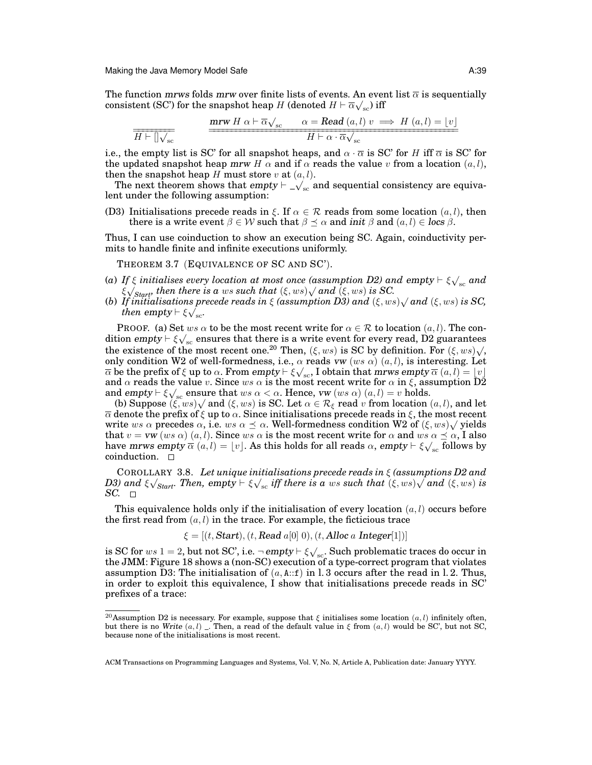Making the Java Memory Model Safe A:39 A:39

The function mrws folds mrw over finite lists of events. An event list  $\overline{\alpha}$  is sequentially consistent (SC') for the snapshot heap  $H$  (denoted  $H \vdash \overline{\alpha}_{\bigvee_{\mathrm{SC}}})$  iff

$$
\frac{\text{mrw } H \alpha \vdash \overline{\alpha}_{\text{v}_{\text{sc}}} \qquad \alpha = \text{Read}(a, l) \ v \implies H(a, l) = \lfloor v \rfloor}{H \vdash \alpha \cdot \overline{\alpha}_{\text{v}_{\text{sc}}}}
$$

i.e., the empty list is SC' for all snapshot heaps, and  $\alpha \cdot \overline{\alpha}$  is SC' for H iff  $\overline{\alpha}$  is SC' for the updated snapshot heap mrw H  $\alpha$  and if  $\alpha$  reads the value v from a location  $(a, l)$ , then the snapshot heap H must store v at  $(a, l)$ .

The next theorem shows that  $empty \vdash \sqrt{\ }_{\text{sc}}$  and sequential consistency are equivalent under the following assumption:

<span id="page-38-0"></span>(D3) Initialisations precede reads in  $\xi$ . If  $\alpha \in \mathcal{R}$  reads from some location  $(a, l)$ , then there is a write event  $\beta \in W$  such that  $\beta \preceq \alpha$  and init  $\beta$  and  $(a, l) \in \text{locs } \beta$ .

Thus, I can use coinduction to show an execution being SC. Again, coinductivity permits to handle finite and infinite executions uniformly.

<span id="page-38-3"></span>THEOREM 3.7 (EQUIVALENCE OF SC AND SC').

- <span id="page-38-1"></span>(*a*) If  $\xi$  *initialises every location at most once (assumption [D2\)](#page-33-2) and empty*  $\vdash \xi \sqrt{\xi}$  and  $\xi \sqrt{_{Start}}$ *, then there is a ws such that*  $(\xi, ws) \sqrt{and}$   $(\xi, ws)$  *is SC.*
- <span id="page-38-2"></span>(*b*) *If initialisations precede reads in* ξ *(assumption [D3\)](#page-38-0) and* (ξ, ws) √ *and* (ξ, ws) *is SC,* √ *then* empty  $\vdash \xi \sqrt{\epsilon}$ <sub>sc</sub>.

PROOF. [\(a\)](#page-38-1) Set  $ws \alpha$  to be the most recent write for  $\alpha \in \mathcal{R}$  to location  $(a, l)$ . The condition empty  $\vdash \xi \sqrt{\real}_{\rm sc}$  ensures that there is a write event for every read, [D2](#page-33-2) guarantees the existence of the most recent one.<sup>20</sup> Then,  $(\xi, ws)$  is SC by definition. For  $(\xi, ws)\sqrt{s}$ , only condition [W2](#page-20-5) of well-formedness, i.e.,  $\alpha$  reads vw  $(ws \alpha)$   $(a, l)$ , is interesting. Let  $\overline{\alpha}$  be the prefix of  $\xi$  up to  $\alpha.$  From empty  $\vdash \xi \sqrt{_{\rm sc}}.$  I obtain that mrws empty  $\overline{\alpha}$   $(a,l) = \lfloor v \rfloor$ and  $\alpha$  reads the value v. Since ws  $\alpha$  is the most recent write for  $\alpha$  in  $\xi$ , assumption [D2](#page-33-2) and empty  $\vdash \xi \vee_{s \infty}$  ensure that  $ws \alpha < \alpha$ . Hence,  $vw \ (ws \alpha) \ (a, l) = v$  holds.

[\(b\)](#page-38-2) Suppose  $(\xi, ws) \sqrt{\eta}$  and  $(\xi, ws)$  is SC. Let  $\alpha \in \mathcal{R}_{\xi}$  read  $v$  from location  $(a, l)$ , and let  $\overline{\alpha}$  denote the prefix of  $\xi$  up to  $\alpha$ . Since initialisations precede reads in  $\xi$ , the most recent write  $ws \alpha$  precedes  $\alpha$ , i.e.  $ws \alpha \preceq \alpha$ . Well-formedness condition [W2](#page-20-5) of  $(\xi, ws) \sqrt{y}$ ields that  $v = vw (ws \alpha) (a, l)$ . Since  $ws \alpha$  is the most recent write for  $\alpha$  and  $ws \alpha \leq \alpha$ , I also have mrws empty  $\overline{\alpha}(a,l) = \lfloor v \rfloor.$  As this holds for all reads  $\alpha,$  empty  $\vdash \xi \sqrt{_{\rm sc}}$  follows by coinduction.

<span id="page-38-4"></span>COROLLARY 3.8. *Let unique initialisations precede reads in* ξ *(assumptions [D2](#page-33-2) and* √ √ √ *[D3\)](#page-38-0)* and  $\xi\sqrt{_{Start}}$ . Then,  $empty \vdash \xi\sqrt{_{\text{sc}}}$  iff there is a ws such that  $(\xi,ws)\sqrt{$  and  $(\xi,ws)$  is *SC.*

This equivalence holds only if the initialisation of every location  $(a, l)$  occurs before the first read from  $(a, l)$  in the trace. For example, the ficticious trace

$$
\xi = [(t, Start), (t, Read\ a[0]\ 0), (t, Alice\ a\ Integer[1])]
$$

is SC for  $ws 1 = 2$ , but not SC', i.e.  $\neg$ empty  $\vdash \xi_{\sqrt{sc}}$ . Such problematic traces do occur in the JMM: Figure [18](#page-27-1) shows a (non-SC) execution of a type-correct program that violates assumption [D3:](#page-38-0) The initialisation of  $(a, A::f)$  in l. 3 occurs after the read in l. 2. Thus, in order to exploit this equivalence, I show that initialisations precede reads in SC' prefixes of a trace:

<sup>&</sup>lt;sup>20</sup>Assumption [D2](#page-33-2) is necessary. For example, suppose that  $\xi$  initialises some location  $(a, l)$  infinitely often, but there is no Write  $(a, l)$ . Then, a read of the default value in  $\xi$  from  $(a, l)$  would be SC', but not SC, because none of the initialisations is most recent.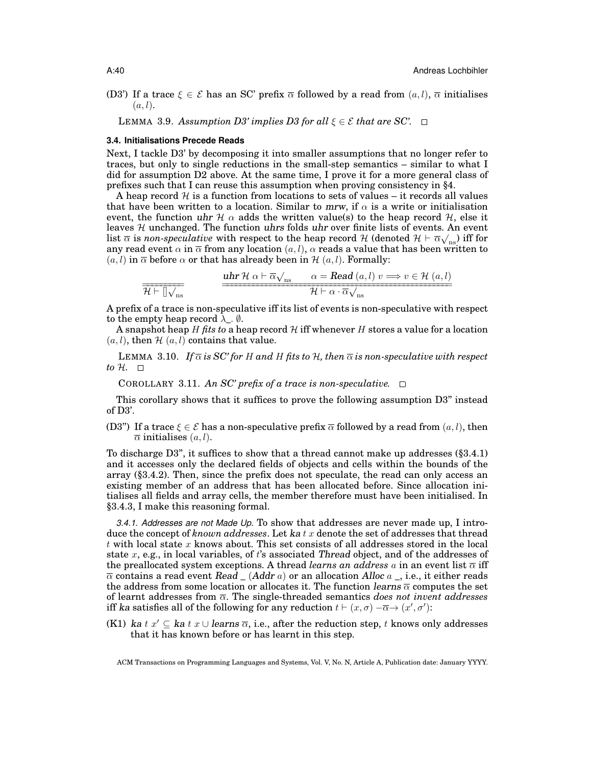<span id="page-39-1"></span>[\(D3'\)](#page-39-1) If a trace  $\xi \in \mathcal{E}$  has an SC' prefix  $\overline{\alpha}$  followed by a read from  $(a, l)$ ,  $\overline{\alpha}$  initialises  $(a, l).$ 

**LEMMA 3.9.** *Assumption [D3'](#page-39-1) implies [D3](#page-38-0) for all*  $\xi \in \mathcal{E}$  *that are SC'.*  $\Box$ 

#### <span id="page-39-0"></span>**3.4. Initialisations Precede Reads**

Next, I tackle [D3'](#page-39-1) by decomposing it into smaller assumptions that no longer refer to traces, but only to single reductions in the small-step semantics – similar to what I did for assumption [D2](#page-33-2) above. At the same time, I prove it for a more general class of prefixes such that I can reuse this assumption when proving consistency in [§4.](#page-46-0)

A heap record  $\mathcal H$  is a function from locations to sets of values – it records all values that have been written to a location. Similar to mrw, if  $\alpha$  is a write or initialisation event, the function uhr H  $\alpha$  adds the written value(s) to the heap record H, else it leaves H unchanged. The function uhrs folds uhr over finite lists of events. An event  ${\rm list}\ \overline{\alpha}$  is *non-speculative* with respect to the heap record  ${\cal H}$  (denoted  ${\cal H} \vdash \overline{\alpha}\surd_{\rm ns})$  iff for any read event  $\alpha$  in  $\overline{\alpha}$  from any location  $(a, l)$ ,  $\alpha$  reads a value that has been written to  $(a, l)$  in  $\overline{\alpha}$  before  $\alpha$  or that has already been in  $\mathcal{H}(a, l)$ . Formally:

<span id="page-39-5"></span>
$$
\frac{\mathbf{uhr} \mathcal{H} \alpha \vdash \overline{\alpha}_{\sqrt{\text{ns}}} \qquad \alpha = \text{Read} \ (a, l) \ v \Longrightarrow v \in \mathcal{H} \ (a, l)}{\mathcal{H} \vdash \alpha \cdot \overline{\alpha}_{\sqrt{\text{ns}}}}
$$

A prefix of a trace is non-speculative iff its list of events is non-speculative with respect to the empty heap record  $\lambda$ .  $\emptyset$ .

A snapshot heap  $H$  *fits to* a heap record  $H$  iff whenever  $H$  stores a value for a location  $(a, l)$ , then  $H(a, l)$  contains that value.

**LEMMA** 3.10. If  $\overline{\alpha}$  *is* SC' for H and H fits to H, then  $\overline{\alpha}$  *is non-speculative with respect*  $to \mathcal{H}$ .  $\square$ 

COROLLARY 3.11. An SC' prefix of a trace is non-speculative.  $\Box$ 

This corollary shows that it suffices to prove the following assumption [D3''](#page-39-2) instead of [D3'.](#page-39-1)

<span id="page-39-2"></span>(D3") If a trace  $\xi \in \mathcal{E}$  has a non-speculative prefix  $\overline{\alpha}$  followed by a read from  $(a, l)$ , then  $\overline{\alpha}$  initialises  $(a, l)$ .

To discharge [D3'',](#page-39-2) it suffices to show that a thread cannot make up addresses ([§3.4.1\)](#page-39-4) and it accesses only the declared fields of objects and cells within the bounds of the array ([§3.4.2\)](#page-41-0). Then, since the prefix does not speculate, the read can only access an existing member of an address that has been allocated before. Since allocation initialises all fields and array cells, the member therefore must have been initialised. In [§3.4.3,](#page-42-1) I make this reasoning formal.

<span id="page-39-4"></span>*3.4.1. Addresses are not Made Up.* To show that addresses are never made up, I introduce the concept of *known addresses*. Let ka t x denote the set of addresses that thread  $t$  with local state x knows about. This set consists of all addresses stored in the local state x, e.g., in local variables, of t's associated Thread object, and of the addresses of the preallocated system exceptions. A thread *learns an address* a in an event list  $\bar{\alpha}$  iff  $\overline{\alpha}$  contains a read event Read  $\overline{\Delta}$  (Addr a) or an allocation Alloc a  $\overline{\Delta}$ , i.e., it either reads the address from some location or allocates it. The function learns  $\overline{\alpha}$  computes the set of learnt addresses from  $\overline{\alpha}$ . The single-threaded semantics *does not invent addresses* iff ka satisfies all of the following for any reduction  $t \vdash (x, \sigma) - \overline{\alpha} \rightarrow (x', \sigma')$ :

<span id="page-39-3"></span>(K1) ka t  $x' \subseteq$  ka t  $x \cup$  learns  $\overline{\alpha}$ , i.e., after the reduction step, t knows only addresses that it has known before or has learnt in this step.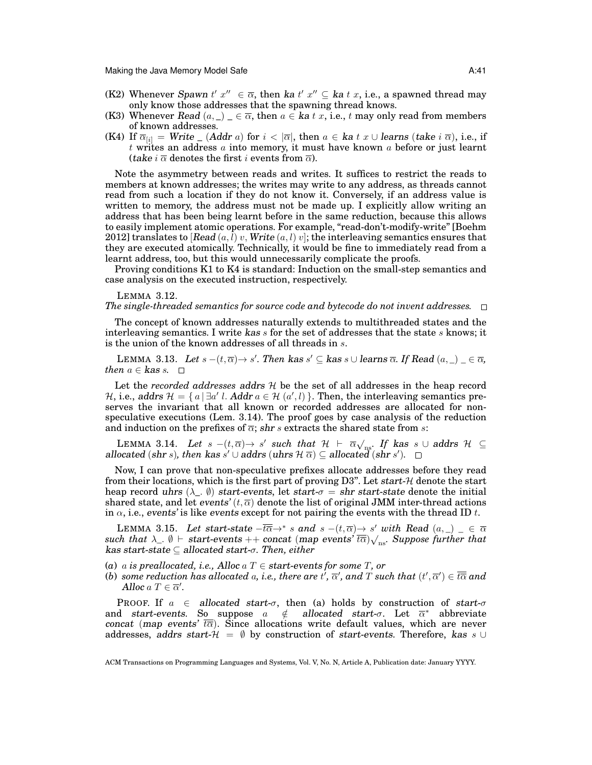- <span id="page-40-6"></span>(K2) Whenever Spawn  $t'$   $x''$   $\in \overline{\alpha}$ , then ka  $t'$   $x'' \subseteq$  ka  $t$   $x$ , i.e., a spawned thread may only know those addresses that the spawning thread knows.
- (K3) Whenever Read  $(a, )_ \in \overline{\alpha}$ , then  $a \in \overline{k}$  at x, i.e., t may only read from members of known addresses.
- <span id="page-40-0"></span>(K4) If  $\overline{\alpha}_{[i]} =$  Write  $\overline{\alpha}$  (Addr a) for  $i < |\overline{\alpha}|$ , then  $a \in$  ka  $t \in \overline{x} \cup$  learns (take  $i \overline{\alpha}$ ), i.e., if  $t$  writes an address  $a$  into memory, it must have known  $a$  before or just learnt (take  $i \bar{\alpha}$  denotes the first i events from  $\bar{\alpha}$ ).

Note the asymmetry between reads and writes. It suffices to restrict the reads to members at known addresses; the writes may write to any address, as threads cannot read from such a location if they do not know it. Conversely, if an address value is written to memory, the address must not be made up. I explicitly allow writing an address that has been being learnt before in the same reduction, because this allows to easily implement atomic operations. For example, "read-don't-modify-write" [\[Boehm](#page-62-10) [2012\]](#page-62-10) translates to [Read  $(a, l)$  v, Write  $(a, l)$  v]; the interleaving semantics ensures that they are executed atomically. Technically, it would be fine to immediately read from a learnt address, too, but this would unnecessarily complicate the proofs.

Proving conditions [K1](#page-39-3) to [K4](#page-40-0) is standard: Induction on the small-step semantics and case analysis on the executed instruction, respectively.

#### LEMMA 3.12.

## *The single-threaded semantics for source code and bytecode do not invent addresses.*

The concept of known addresses naturally extends to multithreaded states and the interleaving semantics. I write kas s for the set of addresses that the state s knows; it is the union of the known addresses of all threads in s.

<span id="page-40-3"></span>**LEMMA** 3.13. Let  $s - (t, \overline{\alpha}) \rightarrow s'$ . Then kas  $s' \subseteq$  kas  $s \cup$  learns  $\overline{\alpha}$ . If Read  $(a, \_) \_ \in \overline{\alpha}$ , *then*  $a \in \textbf{kas } s$ .  $\Box$ 

Let the *recorded addresses* addrs  $H$  be the set of all addresses in the heap record H, i.e., addrs  $\mathcal{H} = \{a \mid \exists a' \ l. \text{ Addr } a \in \mathcal{H} (a', l) \}$ . Then, the interleaving semantics preserves the invariant that all known or recorded addresses are allocated for nonspeculative executions (Lem. [3.14\)](#page-40-1). The proof goes by case analysis of the reduction and induction on the prefixes of  $\overline{\alpha}$ ; shr s extracts the shared state from s:

<span id="page-40-1"></span>LEMMA 3.14. *Let*  $s -(t, \overline{\alpha}) \rightarrow s'$  such that  $H \vdash \overline{\alpha} \sqrt{n} s$ . If kas  $s \cup$  addrs  $H \subseteq$ allocated (shr s), then kas  $s' \cup$  addrs (uhrs  $H \overline{\alpha}$ )  $\subseteq$  allocated (shr s').

Now, I can prove that non-speculative prefixes allocate addresses before they read from their locations, which is the first part of proving  $D3$ ". Let start- $H$  denote the start heap record uhrs  $(\lambda \cdot \emptyset)$  start-events, let start- $\sigma =$  shr start-state denote the initial shared state, and let events'  $(t, \overline{\alpha})$  denote the list of original JMM inter-thread actions in  $\alpha$ , i.e., events' is like events except for not pairing the events with the thread ID t.

<span id="page-40-5"></span>LEMMA 3.15. Let start-state  $-\overline{t\overline{\alpha}} \rightarrow^* s$  and  $s - (t, \overline{\alpha}) \rightarrow s'$  with Read  $(a, \_) \_ \in \overline{\alpha}$ **EXAMA 3.15.** Let start-state  $-i\alpha \rightarrow s$  and  $s - (t, \alpha) \rightarrow s$  with Read  $(a, ) \rightarrow c$   $\alpha$ <br>such that  $\lambda_{-}$ .  $\emptyset \vdash$  start-events  $++$  concat (map events'  $t\overline{\alpha}$ ) $\sqrt{n}s$ . Suppose further that kas start-state ⊆ allocated start-σ*. Then, either*

- <span id="page-40-2"></span>(*a*) a *is preallocated, i.e.,* Alloc a T ∈ start-events *for some* T*, or*
- <span id="page-40-4"></span>(*b*) some reduction has allocated a, i.e., there are  $t'$ ,  $\overline{\alpha}'$ , and  $T$  such that  $(t',\overline{\alpha}')\in\overline{t\overline{\alpha}}$  and Alloc  $a T \in \overline{\alpha}'$ .

PROOF. If  $a \in allocated \ start-\sigma$ , then [\(a\)](#page-40-2) holds by construction of start- $\sigma$ and start-events. So suppose  $a \notin$  allocated start- $\sigma$ . Let  $\overline{\alpha}^*$  abbreviate concat (map events'  $\overline{t\overline{\alpha}}$ ). Since allocations write default values, which are never addresses, addrs start-H =  $\emptyset$  by construction of start-events. Therefore, kas s ∪

ACM Transactions on Programming Languages and Systems, Vol. V, No. N, Article A, Publication date: January YYYY.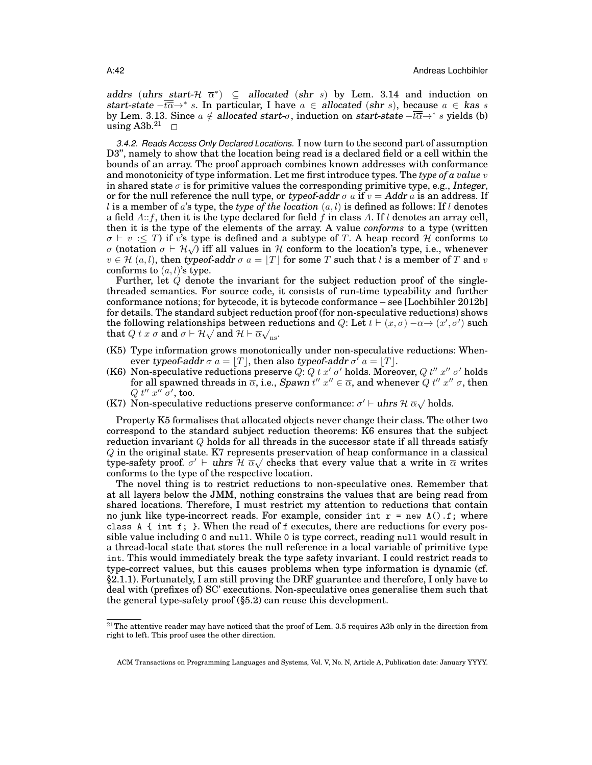addrs (uhrs start- $H(\bar{\alpha}^*) \subseteq$  allocated (shr s) by Lem. [3.14](#page-40-1) and induction on start-state  $-\overline{t\overline{\alpha}}$  → \* s. In particular, I have  $a \in$  allocated (shr s), because  $a \in$  kas s by Lem. [3.13.](#page-40-3) Since  $a \notin \text{allocated start-} \sigma$ , induction on start-state  $-\overline{t\overline{\alpha}} \rightarrow^* s$  yields [\(b\)](#page-40-4) using  $A3b$ .<sup>21</sup>

<span id="page-41-0"></span>*3.4.2. Reads Access Only Declared Locations.* I now turn to the second part of assumption [D3'',](#page-39-2) namely to show that the location being read is a declared field or a cell within the bounds of an array. The proof approach combines known addresses with conformance and monotonicity of type information. Let me first introduce types. The *type of a value* v in shared state  $\sigma$  is for primitive values the corresponding primitive type, e.g., Integer, or for the null reference the null type, or type of-addr  $\sigma$  a if  $v =$  Addr a is an address. If l is a member of a's type, the *type of the location*  $(a, l)$  is defined as follows: If l denotes a field  $A::f$ , then it is the type declared for field f in class A. If l denotes an array cell, then it is the type of the elements of the array. A value *conforms* to a type (written  $\sigma \vdash v : \leq T$ ) if v's type is defined and a subtype of T. A heap record H conforms to  $\sigma \vdash v : \leq 1$ ) if vs type is defined and a subtype of 1. A neap record  $\pi$  conforms to  $\sigma$  (notation  $\sigma \vdash \mathcal{H}_\mathcal{V}$ ) iff all values in  $\mathcal{H}$  conform to the location's type, i.e., whenever  $v \in \mathcal{H}(a, l)$ , then typeof-addr  $\sigma a = |T|$  for some T such that l is a member of T and v conforms to  $(a, l)$ 's type.

Further, let  $Q$  denote the invariant for the subject reduction proof of the singlethreaded semantics. For source code, it consists of run-time typeability and further conformance notions; for bytecode, it is bytecode conformance – see [\[Lochbihler 2012b\]](#page-63-2) for details. The standard subject reduction proof (for non-speculative reductions) shows the following relationships between reductions and Q: Let  $t \vdash (x, \sigma) - \overline{\alpha} \rightarrow (x', \sigma')$  such the following relationships between red<br>that Q t x  $\sigma$  and  $\sigma \vdash \mathcal{H} \sqrt{\text{ and } \mathcal{H} \vdash \overline{\alpha} \sqrt{\overline{\alpha}}}$ .

- <span id="page-41-1"></span>(K5) Type information grows monotonically under non-speculative reductions: Whenever typeof-addr  $\sigma a = |T|$ , then also typeof-addr  $\sigma^T a = |T|$ .
- <span id="page-41-2"></span>(K6) Non-speculative reductions preserve  $Q: Q t x' \sigma'$  holds. Moreover,  $Q t'' x'' \sigma'$  holds for all spawned threads in  $\overline{\alpha}$ , i.e., Spawn  $t''$   $x'' \in \overline{\alpha}$ , and whenever  $Q$   $t''$   $x''$   $\sigma$ , then  $Q t^{\prime\prime} x^{\prime\prime} \bar\sigma^\prime$ , too.
- <span id="page-41-3"></span>(K7) Non-speculative reductions preserve conformance:  $σ' \vdash uhrs$   $\mathcal{H} \overline{\alpha} \sqrt{\text{ holds}}$ .

Property [K5](#page-41-1) formalises that allocated objects never change their class. The other two correspond to the standard subject reduction theorems: [K6](#page-41-2) ensures that the subject reduction invariant Q holds for all threads in the successor state if all threads satisfy Q in the original state. [K7](#page-41-3) represents preservation of heap conformance in a classical type-safety proof.  $\sigma' \vdash$  uhrs  $\mathcal{H} \overline{\alpha} \sqrt{\alpha}$  checks that every value that a write in  $\overline{\alpha}$  writes conforms to the type of the respective location.

The novel thing is to restrict reductions to non-speculative ones. Remember that at all layers below the JMM, nothing constrains the values that are being read from shared locations. Therefore, I must restrict my attention to reductions that contain no junk like type-incorrect reads. For example, consider int  $r = new A() . f$ ; where class  $A \{ int f; \}$ . When the read of f executes, there are reductions for every possible value including 0 and null. While 0 is type correct, reading null would result in a thread-local state that stores the null reference in a local variable of primitive type int. This would immediately break the type safety invariant. I could restrict reads to type-correct values, but this causes problems when type information is dynamic (cf. [§2.1.1\)](#page-12-0). Fortunately, I am still proving the DRF guarantee and therefore, I only have to deal with (prefixes of) SC' executions. Non-speculative ones generalise them such that the general type-safety proof ([§5.2\)](#page-49-2) can reuse this development.

 $^{21}$ The attentive reader may have noticed that the proof of Lem. [3.5](#page-37-4) requires [A3b](#page-37-2) only in the direction from right to left. This proof uses the other direction.

ACM Transactions on Programming Languages and Systems, Vol. V, No. N, Article A, Publication date: January YYYY.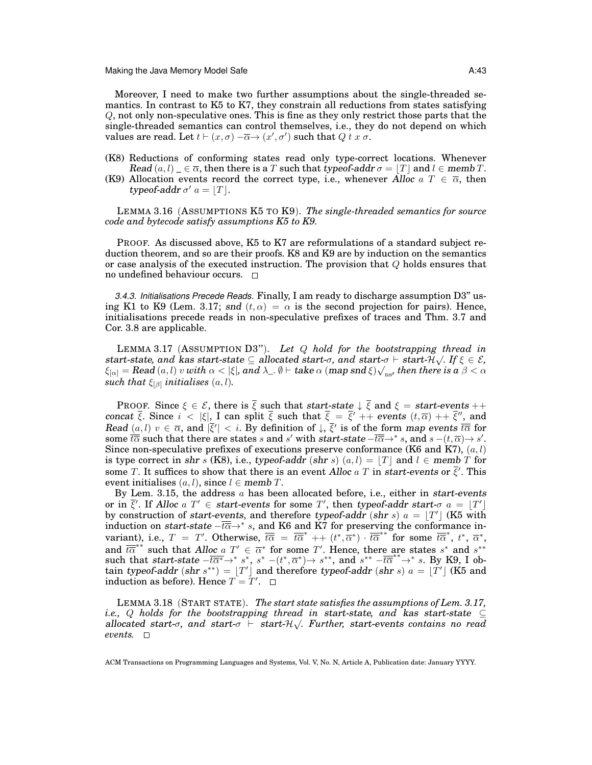Making the Java Memory Model Safe A:43

Moreover, I need to make two further assumptions about the single-threaded semantics. In contrast to [K5](#page-41-1) to [K7,](#page-41-3) they constrain all reductions from states satisfying Q, not only non-speculative ones. This is fine as they only restrict those parts that the single-threaded semantics can control themselves, i.e., they do not depend on which values are read. Let  $t \vdash (x, \sigma) - \overline{\alpha} \rightarrow (x', \sigma')$  such that Q t x  $\sigma$ .

- <span id="page-42-2"></span>(K8) Reductions of conforming states read only type-correct locations. Whenever Read  $(a, l) \subseteq \overline{\alpha}$ , then there is a T such that typeof-addr  $\sigma = [T]$  and  $l \in \text{memb }T$ .
- <span id="page-42-0"></span>(K9) Allocation events record the correct type, i.e., whenever Alloc a  $T \in \overline{\alpha}$ , then typeof-addr  $\sigma'$  a = |T|.

LEMMA 3.16 (ASSUMPTIONS [K5](#page-41-1) TO [K9](#page-42-0)). *The single-threaded semantics for source code and bytecode satisfy assumptions [K5](#page-41-1) to [K9.](#page-42-0)*

PROOF. As discussed above, [K5](#page-41-1) to [K7](#page-41-3) are reformulations of a standard subject reduction theorem, and so are their proofs. [K8](#page-42-2) and [K9](#page-42-0) are by induction on the semantics or case analysis of the executed instruction. The provision that Q holds ensures that no undefined behaviour occurs.

<span id="page-42-1"></span>*3.4.3. Initialisations Precede Reads.* Finally, I am ready to discharge assumption [D3''](#page-39-2) us-ing [K1](#page-39-3) to [K9](#page-42-0) (Lem. [3.17;](#page-42-3) snd  $(t, \alpha) = \alpha$  is the second projection for pairs). Hence, initialisations precede reads in non-speculative prefixes of traces and Thm. [3.7](#page-38-3) and Cor. [3.8](#page-38-4) are applicable.

<span id="page-42-3"></span>LEMMA 3.17 (ASSUMPTION [D3''](#page-39-2)). *Let* Q *hold for the bootstrapping thread in* √ start-state, and kas start-state  $\subseteq$  allocated start- $\sigma$ , and start- $\sigma \vdash$  start- $\mathcal{H} \vee$ . If  $\xi \in \mathcal{E}$ ,  $\xi_{[\alpha]} = \textit{Read}\,(a,l) \, v \, with \, \alpha < |\xi|, \textit{and} \, \lambda_-. \, \emptyset \vdash \textit{take} \, \alpha \, (\textit{map} \, \textit{snd} \, \xi) \sqrt{\vphantom{|}}_{\textit{ns}} , \textit{then there is a} \, \beta < \alpha$  $\mathbf{such that} \xi_{\left[\beta\right]}$  initialises  $(a, l)$ .

PROOF. Since  $\xi \in \mathcal{E}$ , there is  $\xi$  such that start-state  $\downarrow \xi$  and  $\xi =$  start-events  $++$ concat  $\bar{\xi}$ . Since  $i < |\xi|$ , I can split  $\bar{\xi}$  such that  $\bar{\xi} = \bar{\xi}' + i$  events  $(t, \bar{\alpha}) + i \bar{\xi}''$ , and Read  $(a, l)$   $v \in \overline{\alpha}$ , and  $|\overline{\xi}'| < i$ . By definition of  $\downarrow$ ,  $\overline{\xi}'$  is of the form map events  $\overline{t\overline{\alpha}}$  for some  $t\overline{\overline{\alpha}}$  such that there are states s and s' with start-state  $-\overline{t\overline{\alpha}}$   $\rightarrow$  \* s, and s  $-(t,\overline{\alpha})$   $\rightarrow$  s'. Since non-speculative prefixes of executions preserve conformance [\(K6](#page-41-2) and [K7\)](#page-41-3),  $(a, l)$ is type correct in shr s [\(K8\)](#page-42-2), i.e., typeof-addr (shr s)  $(a, l) = |T|$  and  $l \in$  memb T for some T. It suffices to show that there is an event Alloc a T in start-events or  $\bar{\xi}'$ . This event initialises  $(a, l)$ , since  $l \in \text{memb } T$ .

By Lem. [3.15,](#page-40-5) the address a has been allocated before, i.e., either in start-events or in  $\bar{\xi}'$ . If Alloc a  $T' \in$  start-events for some T', then typeof-addr start- $\sigma$  a = |T'| by construction of start-events, and therefore typeof-addr (shr s)  $a = \lfloor T' \rfloor$  [\(K5](#page-41-1) with induction on start-state  $-\overline{t\overline{\alpha}}$  → \* s, and [K6](#page-41-2) and [K7](#page-41-3) for preserving the conformance invariant), i.e.,  $T = T'$ . Otherwise,  $\overline{t\overline{\alpha}} = \overline{t\overline{\alpha}}^* + (t^*, \overline{\alpha}^*) \cdot \overline{t\overline{\alpha}}^{**}$  for some  $\overline{t\overline{\alpha}}^*, t^*, \overline{\alpha}^*,$ and  $\overline{t\overline{\alpha}}^{**}$  such that Alloc a  $T' \in \overline{\alpha}^*$  for some T'. Hence, there are states s<sup>\*</sup> and s<sup>\*\*</sup> such that start-state  $-\overline{t\overline{\alpha}}^* \rightarrow^* s^*$ ,  $s^* - (t^*, \overline{\alpha}^*) \rightarrow s^{**}$ , and  $s^{**} - t\overline{\overline{\alpha}}^{**} \rightarrow^* s$ . By [K9,](#page-42-0) I obtain typeof-addr (shr s<sup>\*\*</sup>) = |T'| and therefore typeof-addr (shr s)  $a = |T'|$  [\(K5](#page-41-1) and induction as before). Hence  $T = T'$ .

<span id="page-42-4"></span>LEMMA 3.18 (START STATE). *The start state satisfies the assumptions of Lem. [3.17,](#page-42-3) i.e.*, Q *holds for the bootstrapping thread in start-state, and kas start-state* ⊆ allocated start- $\sigma$ , and start- $\sigma$   $\vdash$  start- $\mathcal{H}\sqrt{$ . Further, start-events contains no read *events.*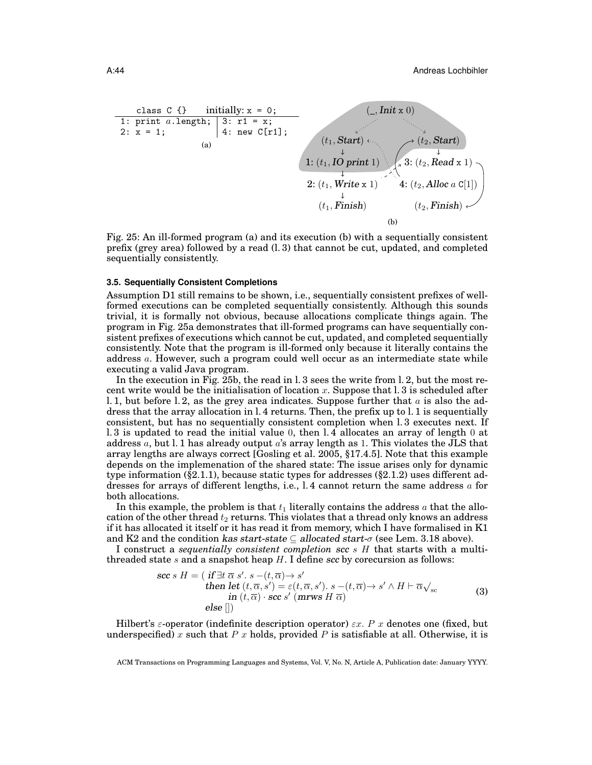<span id="page-43-2"></span><span id="page-43-1"></span><span id="page-43-0"></span>

Fig. 25: An ill-formed program [\(a\)](#page-43-1) and its execution [\(b\)](#page-43-2) with a sequentially consistent prefix (grey area) followed by a read (l. 3) that cannot be cut, updated, and completed sequentially consistently.

#### **3.5. Sequentially Consistent Completions**

Assumption [D1](#page-33-3) still remains to be shown, i.e., sequentially consistent prefixes of wellformed executions can be completed sequentially consistently. Although this sounds trivial, it is formally not obvious, because allocations complicate things again. The program in Fig. [25a](#page-43-1) demonstrates that ill-formed programs can have sequentially consistent prefixes of executions which cannot be cut, updated, and completed sequentially consistently. Note that the program is ill-formed only because it literally contains the address a. However, such a program could well occur as an intermediate state while executing a valid Java program.

In the execution in Fig. [25b,](#page-43-2) the read in l. 3 sees the write from l. 2, but the most recent write would be the initialisation of location  $x$ . Suppose that  $l, 3$  is scheduled after 1. 1, but before 1. 2, as the grey area indicates. Suppose further that  $a$  is also the address that the array allocation in l. 4 returns. Then, the prefix up to l. 1 is sequentially consistent, but has no sequentially consistent completion when l. 3 executes next. If 1.3 is updated to read the initial value 0, then  $l \cdot 4$  allocates an array of length 0 at address a, but l. 1 has already output a's array length as 1. This violates the JLS that array lengths are always correct [\[Gosling et al. 2005,](#page-63-0) §17.4.5]. Note that this example depends on the implemenation of the shared state: The issue arises only for dynamic type information  $(\$2.1.1)$ , because static types for addresses  $(\$2.1.2)$  uses different addresses for arrays of different lengths, i.e., l. 4 cannot return the same address a for both allocations.

In this example, the problem is that  $t_1$  literally contains the address a that the allocation of the other thread  $t_2$  returns. This violates that a thread only knows an address if it has allocated it itself or it has read it from memory, which I have formalised in [K1](#page-39-3) and [K2](#page-40-6) and the condition kas start-state  $\subseteq$  allocated start- $\sigma$  (see Lem. [3.18](#page-42-4) above).

I construct a *sequentially consistent completion* scc s H that starts with a multithreaded state s and a snapshot heap  $H$ . I define scc by corecursion as follows:

<span id="page-43-3"></span>
$$
\begin{array}{ll}\n\sec s \ H = & \text{if } \exists t \ \overline{\alpha} \ s'. \ s - (t, \overline{\alpha}) \rightarrow s' \\
\text{then let } (t, \overline{\alpha}, s') = \varepsilon(t, \overline{\alpha}, s'). \ s - (t, \overline{\alpha}) \rightarrow s' \land H \vdash \overline{\alpha} \sqrt{\varepsilon} \\
& \text{in } (t, \overline{\alpha}) \cdot \sec s' \ (\text{mrvs } H \ \overline{\alpha}) \\
\text{else } ||)\n\end{array} \tag{3}
$$

Hilbert's  $\varepsilon$ -operator (indefinite description operator)  $\varepsilon x$ . P x denotes one (fixed, but underspecified) x such that P x holds, provided P is satisfiable at all. Otherwise, it is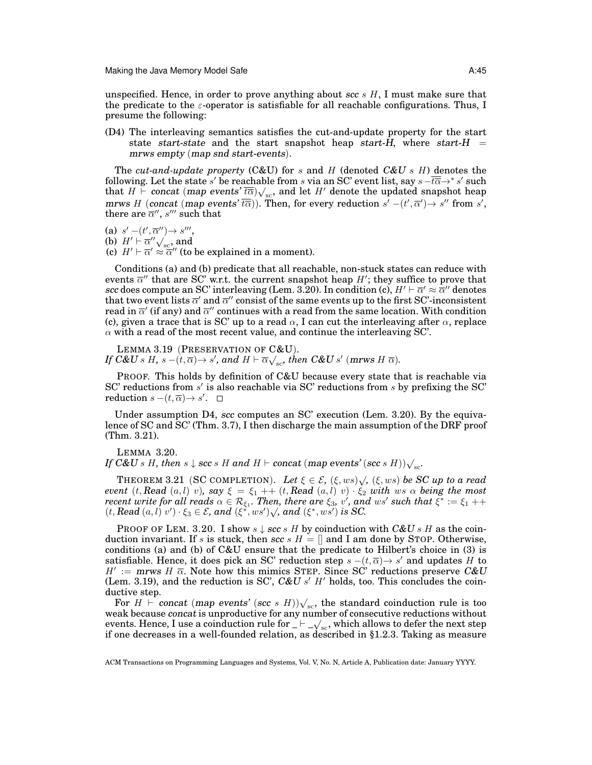Making the Java Memory Model Safe A:45

unspecified. Hence, in order to prove anything about  $\sec s H$ , I must make sure that the predicate to the  $\varepsilon$ -operator is satisfiable for all reachable configurations. Thus, I presume the following:

<span id="page-44-1"></span>(D4) The interleaving semantics satisfies the cut-and-update property for the start state start-state and the start snapshot heap start- $H$ , where start- $H =$ mrws empty (map snd start-events).

The *cut-and-update property* (C&U) for s and H (denoted C&U s H) denotes the following. Let the state s' be reachable from s via an SC' event list, say  $s-\overline{t\overline{\alpha}}\rightarrow s'$  such that  $H \vdash \textit{concat}~(\textit{map events'}~\overline{t\overline{\alpha}}) \sqrt{\vphantom{t}^{\phantom{\dagger}}}_{\rm sc},$  and let  $H'$  denote the updated snapshot heap mrws H (concat (map events'  $\overline{t\overline{\alpha}}$ )). Then, for every reduction  $s' - (t', \overline{\alpha}') \rightarrow s''$  from  $s'$ , there are  $\overline{\alpha}^{\prime\prime}, s^{\prime\prime\prime}$  such that

<span id="page-44-2"></span>(a)  $s'-(t',\overline{\alpha}'') \rightarrow s'''$ ,

<span id="page-44-3"></span>(a)  $s - (t, \alpha') \rightarrow s$ <br>
(b)  $H' \vdash \overline{\alpha''} \sqrt{\atop \alpha s}$ , and

<span id="page-44-4"></span>(c)  $H' \vdash \overline{\alpha}' \approx \overline{\alpha}''$  (to be explained in a moment).

Conditions [\(a\)](#page-44-2) and [\(b\)](#page-44-3) predicate that all reachable, non-stuck states can reduce with events  $\overline{\alpha}''$  that are SC' w.r.t. the current snapshot heap H'; they suffice to prove that scc does compute an SC' interleaving (Lem. [3.20\)](#page-44-0). In condition [\(c\)](#page-44-4),  $H' \vdash \overline{\alpha}' \approx \overline{\alpha}''$  denotes that two event lists  $\overline{\alpha}'$  and  $\overline{\alpha}''$  consist of the same events up to the first SC'-inconsistent read in  $\overline{\alpha}'$  (if any) and  $\overline{\alpha}''$  continues with a read from the same location. With condition [\(c\)](#page-44-4), given a trace that is SC' up to a read  $\alpha$ , I can cut the interleaving after  $\alpha$ , replace  $\alpha$  with a read of the most recent value, and continue the interleaving SC'.

<span id="page-44-6"></span>LEMMA 3.19 (PRESERVATION OF  $C&U$ ). *If* C&U s H,  $s - (t, \overline{\alpha}) \rightarrow s'$ , and  $H \vdash \overline{\alpha}_{\bigvee_{\text{SC}}}$ , then C&U s' (mrws H  $\overline{\alpha}$ ).

PROOF. This holds by definition of C&U because every state that is reachable via SC' reductions from  $s'$  is also reachable via SC' reductions from  $s$  by prefixing the SC' reduction  $s - (t, \overline{\alpha}) \rightarrow s'.$ 

Under assumption [D4,](#page-44-1) scc computes an SC' execution (Lem. [3.20\)](#page-44-0). By the equivalence of SC and SC' (Thm. [3.7\)](#page-38-3), I then discharge the main assumption of the DRF proof (Thm. [3.21\)](#page-44-5).

<span id="page-44-0"></span>LEMMA 3.20.

*If* C&U s H, then  $s \downarrow$  scc s H and  $H \vdash$  concat (map events' (scc s H)) $\sqrt{\text{sc}}$ .

<span id="page-44-5"></span>THEOREM 3.21 (SC COMPLETION). Let  $\xi \in \mathcal{E}$ ,  $(\xi, ws) \sqrt{2}$ ,  $(\xi, ws)$  be SC up to a read *event*  $(t, Read (a, l) v)$ *, say*  $\xi = \xi_1 + (t, Read (a, l) v) \cdot \xi_2$  *with* ws  $\alpha$  *being the most*  $\vec{r}$  recent write for all reads  $\alpha \in \mathcal{R}_{\xi_1}$ . Then, there are  $\xi_3$ ,  $v'$ , and  $ws'$  such that  $\bar{\xi^*}:=\xi_1++\bar{\xi}_2$ *recent write for all reads*  $\alpha \in \mathcal{K}_{\xi_1}$ . *Inen, there are*  $\xi_3$ , v, and  $(t, \text{Read}(a, l) v') \cdot \xi_3 \in \mathcal{E}$ , and  $(\xi^*, ws') \sqrt{y}$ , and  $(\xi^*, ws')$  is SC.

PROOF OF LEM. [3.20.](#page-44-0) I show  $s \downarrow \sec s$  H by coinduction with  $C\&U s$  H as the coinduction invariant. If s is stuck, then scc s  $H = \parallel$  and I am done by S[TOP](#page-16-2). Otherwise, conditions [\(a\)](#page-44-2) and [\(b\)](#page-44-3) of C&U ensure that the predicate to Hilbert's choice in [\(3\)](#page-43-3) is satisfiable. Hence, it does pick an SC' reduction step  $s-(t, \overline{\alpha}) \rightarrow s'$  and updates H to  $H' := m$ rws  $H \bar{\alpha}$ . Note how this mimics S[TEP](#page-16-3). Since SC' reductions preserve C&U (Lem. [3.19\)](#page-44-6), and the reduction is SC', C&U s' H' holds, too. This concludes the coinductive step.

For  $H \vdash$  concat (map events' (scc s H)) $\sqrt{\ }_{sc}$ , the standard coinduction rule is too weak because *concat* is unproductive for any number of consecutive reductions without events. Hence, I use a coinduction rule for \_  $\vdash \_,\!_{\rm sc}',$  which allows to defer the next step if one decreases in a well-founded relation, as described in [§1.2.3.](#page-10-3) Taking as measure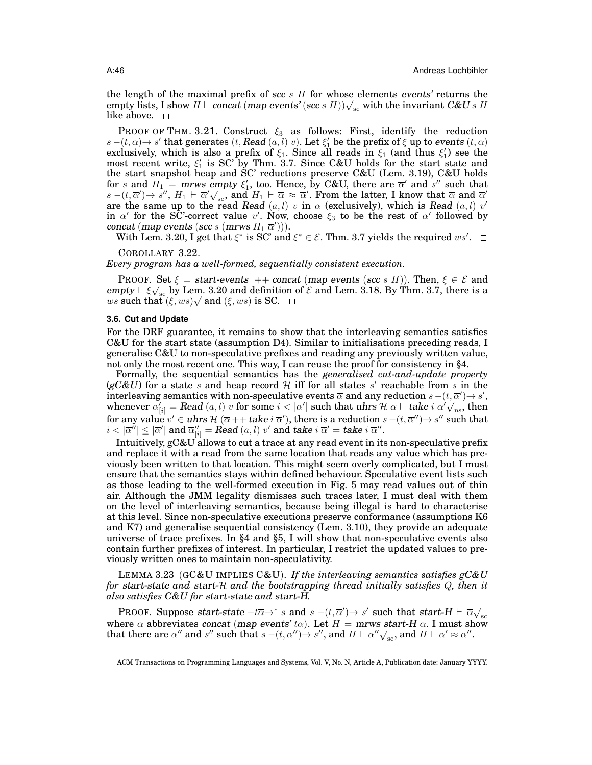the length of the maximal prefix of scc  $s$  H for whose elements events' returns the the length of the maximal prefix of scc s H for whose elements events returns the empty lists, I show  $H \vdash$  concat (map events' (scc s H)) $\sqrt{\varepsilon}$  with the invariant C&U s H like above. □

PROOF OF THM. [3.21.](#page-44-5) Construct  $\xi_3$  as follows: First, identify the reduction  $s-(t,\overline{\alpha})\rightarrow s'$  that generates  $(t, Read (a, l) v)$ . Let  $\xi'_1$  be the prefix of  $\xi$  up to events  $(t,\overline{\alpha})$ exclusively, which is also a prefix of  $\xi_1$ . Since all reads in  $\xi_1$  (and thus  $\xi_1$ ) see the most recent write,  $\xi_1'$  is SC' by Thm. [3.7.](#page-38-3) Since C&U holds for the start state and the start snapshot heap and SC' reductions preserve C&U (Lem. [3.19\)](#page-44-6), C&U holds for s and  $H_1 =$  mrws empty  $\xi_1'$ , too. Hence, by C&U, there are  $\overline{\alpha}'$  and s'' such that for s and  $H_1 =$  mrws empty  $\xi_1$ , too. Hence, by C&O, there are  $\alpha$  and s such that  $s - (t, \overline{\alpha}') \rightarrow s''$ ,  $H_1 \vdash \overline{\alpha}' \sqrt{\epsilon}$ , and  $H_1 \vdash \overline{\alpha} \approx \overline{\alpha}'$ . From the latter, I know that  $\overline{\alpha}$  and  $\overline{\alpha}'$ are the same up to the read Read  $(a, l)$  v in  $\overline{\alpha}$  (exclusively), which is Read  $(a, l)$  v' in  $\overline{\alpha}'$  for the SC'-correct value v'. Now, choose  $\xi_3$  to be the rest of  $\overline{\alpha}'$  followed by concat (map events (scc s (mrws  $H_1(\overline{\alpha}'))$ ).

With Lem. [3.20,](#page-44-0) I get that  $\xi^*$  is SC' and  $\xi^* \in \mathcal{E}$ . Thm. [3.7](#page-38-3) yields the required  $ws'.$ 

<span id="page-45-1"></span>COROLLARY 3.22.

*Every program has a well-formed, sequentially consistent execution.*

PROOF. Set  $\xi =$  start-events  $+$  concat (map events (scc s H)). Then,  $\xi \in \mathcal{E}$  and empty  $\vdash \xi \vee_{\text{sc}}$  by Lem. [3.20](#page-44-0) and definition of  $\mathcal{E}$  and Lem. [3.18.](#page-42-4) By Thm. [3.7,](#page-38-3) there is a ws such that  $(\xi, ws) \sqrt{\text{and } (\xi, ws)}$  is SC.

## <span id="page-45-0"></span>**3.6. Cut and Update**

For the DRF guarantee, it remains to show that the interleaving semantics satisfies C&U for the start state (assumption [D4\)](#page-44-1). Similar to initialisations preceding reads, I generalise C&U to non-speculative prefixes and reading any previously written value, not only the most recent one. This way, I can reuse the proof for consistency in [§4.](#page-46-0)

Formally, the sequential semantics has the *generalised cut-and-update property* ( $gC&U$ ) for a state s and heap record  $H$  iff for all states s' reachable from s in the interleaving semantics with non-speculative events  $\overline{\alpha}$  and any reduction  $s - (t, \overline{\alpha}') \rightarrow s'$ , interieaving semantics with non-speculative events  $\alpha$  and any reduction  $s - (t, \alpha') \rightarrow s$ ,<br>whenever  $\overline{\alpha}'_{[i]} = \text{Read}(a, l) v$  for some  $i < |\overline{\alpha}'|$  such that  $uhrs \mathcal{H} \overline{\alpha} \vdash \text{take } i \overline{\alpha}' \sqrt{\ }_{ns}$ , then for any value  $v'\in$  uhrs  $\mathcal H$   $(\overline\alpha++$  take  $i\ \overline\alpha'),$  there is a reduction  $s- (t, \overline\alpha'')$   $\to$  s" such that  $i < |\overline{\alpha}'| \leq |\overline{\alpha}'|$  and  $\overline{\alpha}_{[i]}'' = \textit{Read}\ (a, l)\ v'$  and  $\textit{take}\ i\ \overline{\alpha}' = \textit{take}\ i\ \overline{\alpha}'' .$ 

Intuitively,  $gC\&U$  allows to cut a trace at any read event in its non-speculative prefix and replace it with a read from the same location that reads any value which has previously been written to that location. This might seem overly complicated, but I must ensure that the semantics stays within defined behaviour. Speculative event lists such as those leading to the well-formed execution in Fig. [5](#page-7-3) may read values out of thin air. Although the JMM legality dismisses such traces later, I must deal with them on the level of interleaving semantics, because being illegal is hard to characterise at this level. Since non-speculative executions preserve conformance (assumptions [K6](#page-41-2) and [K7\)](#page-41-3) and generalise sequential consistency (Lem. [3.10\)](#page-39-5), they provide an adequate universe of trace prefixes. In [§4](#page-46-0) and [§5,](#page-49-1) I will show that non-speculative events also contain further prefixes of interest. In particular, I restrict the updated values to previously written ones to maintain non-speculativity.

LEMMA 3.23 (GC&U IMPLIES C&U). *If the interleaving semantics satisfies gC&U for* start-state *and* start-H *and the bootstrapping thread initially satisfies* Q*, then it also satisfies C&U for* start-state *and* start-H*.*

PROOF. Suppose start-state  $-\overline{t\overline{\alpha}}$   $\rightarrow$  \* s and s  $-(t,\overline{\alpha}') \rightarrow s'$  such that start- $H \vdash \overline{\alpha}$   $\sqrt{s}$ sc where  $\overline{\alpha}$  abbreviates concat (map events'  $\overline{t\overline{\alpha}}$ ). Let  $H =$  mrws start-H  $\overline{\alpha}$ . I must show that there are  $\overline{\alpha}''$  and  $e''$  such that  $e^{-(t-\overline{\alpha}'')}\rightarrow e''$  and  $H \vdash \overline{\alpha}''$  (exception  $H \vdash \overline{\alpha}' \sim \overline{\alpha}'''$ that there are  $\overline{\alpha}''$  and  $s''$  such that  $s-(t,\overline{\alpha}'')\overline{\rightarrow}s''$ , and  $H \vdash \overline{\alpha}''\sqrt{_{\rm sc}}$ , and  $H \vdash \overline{\alpha}' \approx \overline{\alpha}''$ .

ACM Transactions on Programming Languages and Systems, Vol. V, No. N, Article A, Publication date: January YYYY.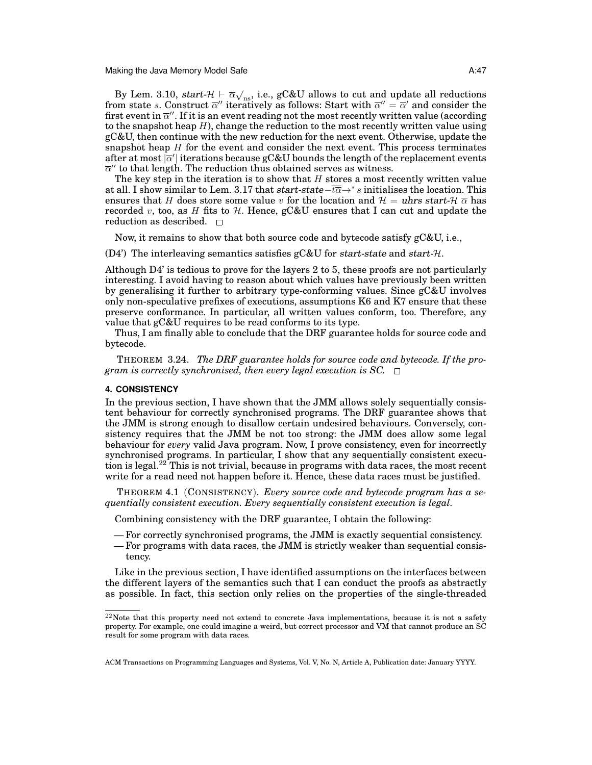Making the Java Memory Model Safe A:47

By Lem. [3.10,](#page-39-5) start- $\mathcal{H} \vdash \overline{\alpha}_{\bigvee_{\text{ns}}}$ , i.e., gC&U allows to cut and update all reductions from state s. Construct  $\overline{\alpha}''$  iteratively as follows: Start with  $\overline{\alpha}'' = \overline{\alpha}'$  and consider the first event in  $\overline{\alpha}^{\prime\prime}.$  If it is an event reading not the most recently written value (according to the snapshot heap  $H$ ), change the reduction to the most recently written value using gC&U, then continue with the new reduction for the next event. Otherwise, update the snapshot heap H for the event and consider the next event. This process terminates after at most  $|\overline{\alpha}'|$  iterations because gC&U bounds the length of the replacement events  $\overline{\alpha}''$  to that length. The reduction thus obtained serves as witness.

The key step in the iteration is to show that  $H$  stores a most recently written value at all. I show similar to Lem. [3.17](#page-42-3) that start-state− $t\overline{\overline{\alpha}}$ →\* s initialises the location. This ensures that H does store some value v for the location and  $\mathcal{H} =$  uhrs start-H  $\overline{\alpha}$  has recorded v, too, as H fits to  $H$ . Hence, gC&U ensures that I can cut and update the reduction as described.  $\square$ 

Now, it remains to show that both source code and bytecode satisfy gC&U, i.e.,

<span id="page-46-2"></span>(D4) The interleaving semantics satisfies  $\gamma$  gC&U for start-state and start- $\mathcal{H}$ .

Although [D4'](#page-46-2) is tedious to prove for the layers 2 to 5, these proofs are not particularly interesting. I avoid having to reason about which values have previously been written by generalising it further to arbitrary type-conforming values. Since gC&U involves only non-speculative prefixes of executions, assumptions [K6](#page-41-2) and [K7](#page-41-3) ensure that these preserve conformance. In particular, all written values conform, too. Therefore, any value that gC&U requires to be read conforms to its type.

Thus, I am finally able to conclude that the DRF guarantee holds for source code and bytecode.

<span id="page-46-1"></span>THEOREM 3.24. *The DRF guarantee holds for source code and bytecode. If the program is correctly synchronised, then every legal execution is SC.*

### <span id="page-46-0"></span>**4. CONSISTENCY**

In the previous section, I have shown that the JMM allows solely sequentially consistent behaviour for correctly synchronised programs. The DRF guarantee shows that the JMM is strong enough to disallow certain undesired behaviours. Conversely, consistency requires that the JMM be not too strong: the JMM does allow some legal behaviour for *every* valid Java program. Now, I prove consistency, even for incorrectly synchronised programs. In particular, I show that any sequentially consistent execution is legal.<sup>22</sup> This is not trivial, because in programs with data races, the most recent write for a read need not happen before it. Hence, these data races must be justified.

THEOREM 4.1 (CONSISTENCY). *Every source code and bytecode program has a sequentially consistent execution. Every sequentially consistent execution is legal.*

Combining consistency with the DRF guarantee, I obtain the following:

- For correctly synchronised programs, the JMM is exactly sequential consistency.
- For programs with data races, the JMM is strictly weaker than sequential consistency.

Like in the previous section, I have identified assumptions on the interfaces between the different layers of the semantics such that I can conduct the proofs as abstractly as possible. In fact, this section only relies on the properties of the single-threaded

 $^{22}$ Note that this property need not extend to concrete Java implementations, because it is not a safety property. For example, one could imagine a weird, but correct processor and VM that cannot produce an SC result for some program with data races.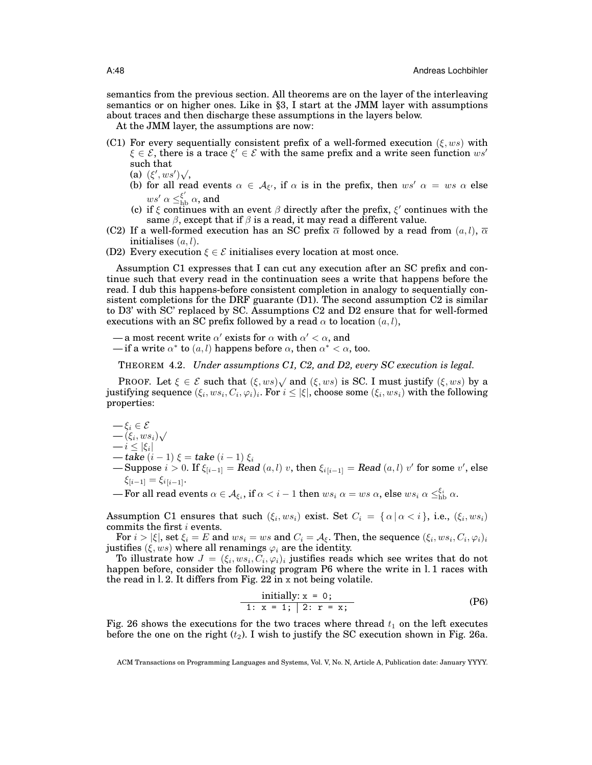semantics from the previous section. All theorems are on the layer of the interleaving semantics or on higher ones. Like in [§3,](#page-31-0) I start at the JMM layer with assumptions about traces and then discharge these assumptions in the layers below.

At the JMM layer, the assumptions are now:

- <span id="page-47-0"></span>(C1) For every sequentially consistent prefix of a well-formed execution  $(\xi, ws)$  with  $\xi \in \mathcal{E}$ , there is a trace  $\xi' \in \mathcal{E}$  with the same prefix and a write seen function  $ws'$ such that such that<br>(a)  $(\xi', ws')\sqrt{2}$ ,
	-
	- (b) for all read events  $\alpha \in A_{\xi'}$ , if  $\alpha$  is in the prefix, then  $ws'$   $\alpha = ws \alpha$  else  $ws' \alpha \leq^{ \xi'}_{\text{hb}} \alpha$ , and
	- (c) if  $\xi$  continues with an event  $\beta$  directly after the prefix,  $\xi'$  continues with the same  $\beta$ , except that if  $\beta$  is a read, it may read a different value.
- <span id="page-47-1"></span>(C2) If a well-formed execution has an SC prefix  $\overline{\alpha}$  followed by a read from  $(a, l)$ ,  $\overline{\alpha}$ initialises  $(a, l)$ .
- [\(D2\)](#page-33-2) Every execution  $\xi \in \mathcal{E}$  initialises every location at most once.

Assumption [C1](#page-47-0) expresses that I can cut any execution after an SC prefix and continue such that every read in the continuation sees a write that happens before the read. I dub this happens-before consistent completion in analogy to sequentially consistent completions for the DRF guarante [\(D1\)](#page-33-3). The second assumption [C2](#page-47-1) is similar to [D3'](#page-39-1) with SC' replaced by SC. Assumptions [C2](#page-47-1) and [D2](#page-33-2) ensure that for well-formed executions with an SC prefix followed by a read  $\alpha$  to location  $(a, l)$ ,

— a most recent write  $\alpha'$  exists for  $\alpha$  with  $\alpha' < \alpha$ , and

— if a write  $\alpha^*$  to  $(a, l)$  happens before  $\alpha$ , then  $\alpha^* < \alpha$ , too.

<span id="page-47-3"></span>THEOREM 4.2. *Under assumptions [C1,](#page-47-0) [C2,](#page-47-1) and [D2,](#page-33-2) every SC execution is legal.*

PROOF. Let  $\xi \in \mathcal{E}$  such that  $(\xi, ws) \sqrt{\text{and } (\xi, ws)}$  is SC. I must justify  $(\xi, ws)$  by a justifying sequence  $(\xi_i,ws_i,C_i,\varphi_i)_i.$  For  $i\leq |\xi|,$  choose some  $(\xi_i,ws_i)$  with the following properties:

$$
-\xi_i\in\mathcal{E}
$$

$$
-(\xi_i, ws_i)
$$

 $-i \leq |\xi_i|$ 

√

- take  $(i 1) \xi =$  take  $(i 1) \xi_i$
- Suppose  $i > 0$ . If  $\xi_{[i-1]} =$  Read  $(a, l)$  v, then  $\xi_{i[i-1]} =$  Read  $(a, l)$  v' for some v', else  $\xi_{[i-1]} = \xi_{i[i-1]}$ .
- For all read events  $\alpha \in A_{\xi_i}$ , if  $\alpha < i-1$  then  $ws_i$   $\alpha = ws$   $\alpha$ , else  $ws_i$   $\alpha \leq^{\xi_i}_{\text{hb}} \alpha$ .

Assumption [C1](#page-47-0) ensures that such  $(\xi_i, ws_i)$  exist. Set  $C_i = {\alpha | \alpha < i}$ , i.e.,  $(\xi_i, ws_i)$ commits the first i events.

For  $i>|\xi|$ , set  $\xi_i=E$  and  $ws_i=ws$  and  $C_i=\mathcal{A}_\xi.$  Then, the sequence  $(\xi_i,ws_i,C_i,\varphi_i)_i$ justifies  $(\xi, ws)$  where all renamings  $\varphi_i$  are the identity.

To illustrate how  $J = (\xi_i, ws_i, C_i, \varphi_i)_i$  justifies reads which see writes that do not happen before, consider the following program [P6](#page-47-2) where the write in l. 1 races with the read in l. 2. It differs from Fig. [22](#page-33-0) in x not being volatile.

<span id="page-47-2"></span>
$$
\frac{\text{initially: } x = 0;}{1: x = 1; \quad 2: r = x;}
$$
\n(P6)

Fig. [26](#page-48-0) shows the executions for the two traces where thread  $t_1$  on the left executes before the one on the right  $(t_2)$ . I wish to justify the SC execution shown in Fig. [26a.](#page-48-1)

ACM Transactions on Programming Languages and Systems, Vol. V, No. N, Article A, Publication date: January YYYY.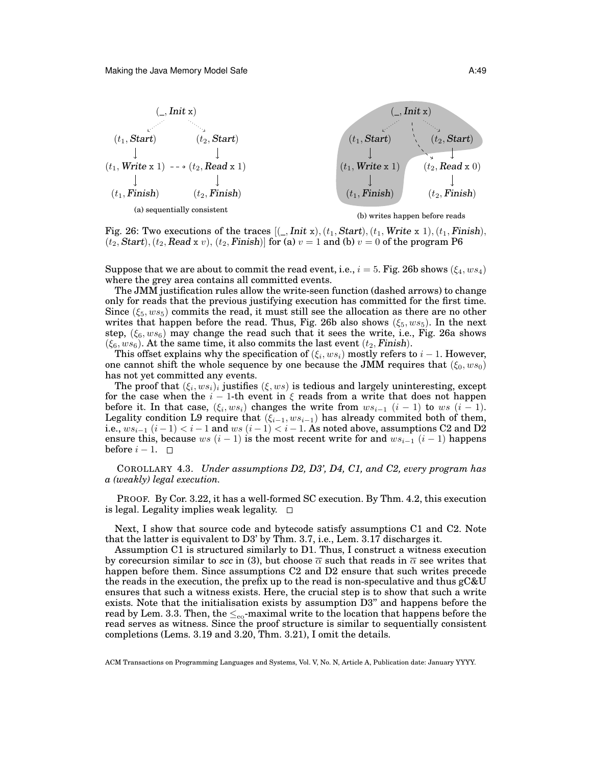<span id="page-48-2"></span><span id="page-48-1"></span><span id="page-48-0"></span>

Fig. 26: Two executions of the traces  $[(-, \text{Init x}), (t_1, \text{Start}), (t_1, \text{Write x 1}), (t_1, \text{Finish}),$  $(t_2, Start), (t_2, Read \times v), (t_2, Finish)$  for [\(a\)](#page-48-1)  $v = 1$  and [\(b\)](#page-48-2)  $v = 0$  of the program [P6](#page-47-2)

Suppose that we are about to commit the read event, i.e.,  $i = 5$ . Fig. [26b](#page-48-2) shows ( $\xi_4, ws_4$ ) where the grey area contains all committed events.

The JMM justification rules allow the write-seen function (dashed arrows) to change only for reads that the previous justifying execution has committed for the first time. Since  $(\xi_5, ws_5)$  commits the read, it must still see the allocation as there are no other writes that happen before the read. Thus, Fig. [26b](#page-48-2) also shows ( $\xi_5, \omega s_5$ ). In the next step,  $(\xi_6, \omega s_6)$  may change the read such that it sees the write, i.e., Fig. [26a](#page-48-1) shows  $(\xi_6, ws_6)$ . At the same time, it also commits the last event  $(t_2, Finish)$ .

This offset explains why the specification of  $(\xi_i,ws_i)$  mostly refers to  $i-1.$  However, one cannot shift the whole sequence by one because the JMM requires that  $(\xi_0, ws_0)$ has not yet committed any events.

The proof that  $(\xi_i, w s_i)_i$  justifies  $(\xi, ws)$  is tedious and largely uninteresting, except for the case when the  $i - 1$ -th event in  $\xi$  reads from a write that does not happen before it. In that case,  $(\xi_i, ws_i)$  changes the write from  $ws_{i-1}$   $(i-1)$  to  $ws(i-1)$ . Legality condition [L9](#page-21-9) require that  $(\xi_{i-1}, ws_{i-1})$  has already commited both of them, i.e.,  $ws_{i-1}$   $(i-1) < i-1$  and  $ws$   $(i-1) < i-1$ . As noted above, assumptions [C2](#page-47-1) and [D2](#page-33-2) ensure this, because ws  $(i - 1)$  is the most recent write for and  $ws_{i-1}$   $(i - 1)$  happens before  $i - 1$ . □

COROLLARY 4.3. *Under assumptions [D2,](#page-33-2) [D3',](#page-39-1) [D4,](#page-44-1) [C1,](#page-47-0) and [C2,](#page-47-1) every program has a (weakly) legal execution.*

PROOF. By Cor. [3.22,](#page-45-1) it has a well-formed SC execution. By Thm. [4.2,](#page-47-3) this execution is legal. Legality implies weak legality.  $\Box$ 

Next, I show that source code and bytecode satisfy assumptions [C1](#page-47-0) and [C2.](#page-47-1) Note that the latter is equivalent to [D3'](#page-39-1) by Thm. [3.7,](#page-38-3) i.e., Lem. [3.17](#page-42-3) discharges it.

Assumption [C1](#page-47-0) is structured similarly to [D1.](#page-33-3) Thus, I construct a witness execution by corecursion similar to scc in [\(3\)](#page-43-3), but choose  $\overline{\alpha}$  such that reads in  $\overline{\alpha}$  see writes that happen before them. Since assumptions [C2](#page-47-1) and [D2](#page-33-2) ensure that such writes precede the reads in the execution, the prefix up to the read is non-speculative and thus gC&U ensures that such a witness exists. Here, the crucial step is to show that such a write exists. Note that the initialisation exists by assumption [D3''](#page-39-2) and happens before the read by Lem. [3.3.](#page-34-1) Then, the  $\leq_{\rm co}$ -maximal write to the location that happens before the read serves as witness. Since the proof structure is similar to sequentially consistent completions (Lems. [3.19](#page-44-6) and [3.20,](#page-44-0) Thm. [3.21\)](#page-44-5), I omit the details.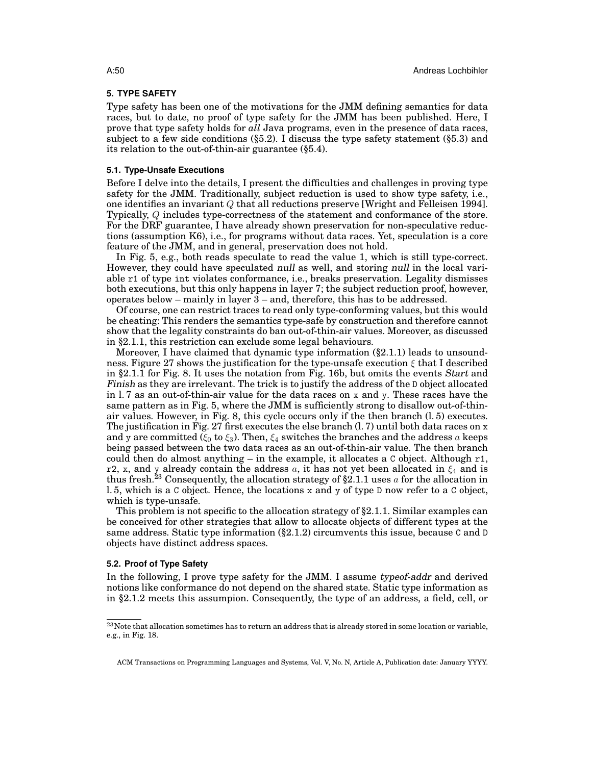#### <span id="page-49-1"></span>**5. TYPE SAFETY**

Type safety has been one of the motivations for the JMM defining semantics for data races, but to date, no proof of type safety for the JMM has been published. Here, I prove that type safety holds for *all* Java programs, even in the presence of data races, subject to a few side conditions  $(\S 5.2)$ . I discuss the type safety statement  $(\S 5.3)$  and its relation to the out-of-thin-air guarantee ([§5.4\)](#page-54-0).

## <span id="page-49-0"></span>**5.1. Type-Unsafe Executions**

Before I delve into the details, I present the difficulties and challenges in proving type safety for the JMM. Traditionally, subject reduction is used to show type safety, i.e., one identifies an invariant Q that all reductions preserve [\[Wright and Felleisen 1994\]](#page-64-3). Typically, Q includes type-correctness of the statement and conformance of the store. For the DRF guarantee, I have already shown preservation for non-speculative reductions (assumption [K6\)](#page-41-2), i.e., for programs without data races. Yet, speculation is a core feature of the JMM, and in general, preservation does not hold.

In Fig. [5,](#page-7-3) e.g., both reads speculate to read the value 1, which is still type-correct. However, they could have speculated null as well, and storing null in the local variable r1 of type int violates conformance, i.e., breaks preservation. Legality dismisses both executions, but this only happens in layer 7; the subject reduction proof, however, operates below – mainly in layer 3 – and, therefore, this has to be addressed.

Of course, one can restrict traces to read only type-conforming values, but this would be cheating: This renders the semantics type-safe by construction and therefore cannot show that the legality constraints do ban out-of-thin-air values. Moreover, as discussed in [§2.1.1,](#page-12-0) this restriction can exclude some legal behaviours.

Moreover, I have claimed that dynamic type information  $(\S 2.1.1)$  leads to unsound-ness. Figure [27](#page-50-0) shows the justification for the type-unsafe execution  $\xi$  that I described in [§2.1.1](#page-12-0) for Fig. [8.](#page-13-1) It uses the notation from Fig. [16b,](#page-25-1) but omits the events Start and Finish as they are irrelevant. The trick is to justify the address of the D object allocated in l. 7 as an out-of-thin-air value for the data races on x and y. These races have the same pattern as in Fig. [5,](#page-7-3) where the JMM is sufficiently strong to disallow out-of-thinair values. However, in Fig. [8,](#page-13-1) this cycle occurs only if the then branch (l. 5) executes. The justification in Fig. [27](#page-50-0) first executes the else branch  $(1, 7)$  until both data races on x and y are committed ( $\xi_0$  to  $\xi_3$ ). Then,  $\xi_4$  switches the branches and the address a keeps being passed between the two data races as an out-of-thin-air value. The then branch could then do almost anything – in the example, it allocates a C object. Although r1, r2, x, and y already contain the address a, it has not yet been allocated in  $\xi_4$  and is thus fresh.<sup>23</sup> Consequently, the allocation strategy of [§2.1.1](#page-12-0) uses a for the allocation in l. 5, which is a C object. Hence, the locations x and y of type D now refer to a C object, which is type-unsafe.

This problem is not specific to the allocation strategy of [§2.1.1.](#page-12-0) Similar examples can be conceived for other strategies that allow to allocate objects of different types at the same address. Static type information ([§2.1.2\)](#page-13-0) circumvents this issue, because C and D objects have distinct address spaces.

## <span id="page-49-2"></span>**5.2. Proof of Type Safety**

In the following, I prove type safety for the JMM. I assume typeof-addr and derived notions like conformance do not depend on the shared state. Static type information as in [§2.1.2](#page-13-0) meets this assumpion. Consequently, the type of an address, a field, cell, or

 $^{23}$ Note that allocation sometimes has to return an address that is already stored in some location or variable, e.g., in Fig. [18.](#page-27-1)

ACM Transactions on Programming Languages and Systems, Vol. V, No. N, Article A, Publication date: January YYYY.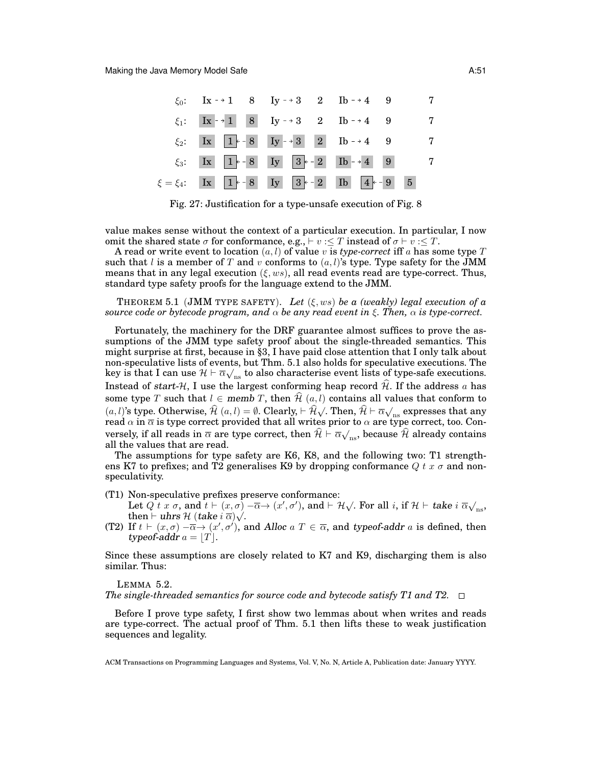<span id="page-50-0"></span>

| $\xi_0$ : Ix - > 1 8 Iy - > 3 2 Ib - > 4 9                                                                |  |   |
|-----------------------------------------------------------------------------------------------------------|--|---|
| $\xi_1$ : $\text{Ix} \rightarrow 1$ 8 $\text{Iy} \rightarrow 3$ 2 $\text{Ib} \rightarrow 4$ 9             |  | 7 |
| $\xi_2$ : $\text{Ix}$ $1 \div -8$ $\text{Iy} \rightarrow 3$ $2$ $\text{Ib} \rightarrow 4$ 9               |  | 7 |
| $\xi_3$ : $\text{Ix}$ $1 \left  1 \right $ + - 8 $\text{Iy}$ $3 \left  3 \right $ - 2 $\text{Ib}$ - + 4 9 |  |   |
| $\xi = \xi_4$ : Ix $1 \times -8$ Iy $3 \times -2$ Ib $4 \times -9$ 5                                      |  |   |

Fig. 27: Justification for a type-unsafe execution of Fig. [8](#page-13-1)

value makes sense without the context of a particular execution. In particular, I now omit the shared state  $\sigma$  for conformance, e.g.,  $\vdash v : \leq T$  instead of  $\sigma \vdash v : \leq T$ .

A read or write event to location (a, l) of value v is *type-correct* iff a has some type T such that l is a member of T and v conforms to  $(a, l)$ 's type. Type safety for the JMM means that in any legal execution  $(\xi, ws)$ , all read events read are type-correct. Thus, standard type safety proofs for the language extend to the JMM.

<span id="page-50-1"></span>THEOREM 5.1 (JMM TYPE SAFETY). Let  $(\xi, ws)$  be a (weakly) legal execution of a *source code or bytecode program, and*  $\alpha$  *be any read event in*  $\xi$ *. Then,*  $\alpha$  *is type-correct.* 

Fortunately, the machinery for the DRF guarantee almost suffices to prove the assumptions of the JMM type safety proof about the single-threaded semantics. This might surprise at first, because in [§3,](#page-31-0) I have paid close attention that I only talk about non-speculative lists of events, but Thm.  $5.1$  also holds for speculative executions. The key is that I can use  $\mathcal{H} \vdash \overline{\alpha}_{\bigvee_{\text{ns}}}$  to also characterise event lists of type-safe executions. Instead of start-H, I use the largest conforming heap record  $\hat{\mathcal{H}}$ . If the address a has some type T such that  $l \in \text{memb } T$ , then  $\hat{\mathcal{H}}(a, l)$  contains all values that conform to (a, l)'s type. Otherwise,  $\hat{\mathcal{H}}(a, l) = \emptyset$ . Clearly,  $\vdash \hat{\mathcal{H}} \vee \downarrow$ . Then,  $\hat{\mathcal{H}} \vdash \overline{\alpha} \vee \vert_{\text{ns}}$  expresses that any  $\text{mod } \mathcal{H}$  is  $\overline{\alpha}$  is type. Otherwise,  $\hat{\mathcal{H}}(a, l) = \emptyset$ . Clearly,  $\vdash \hat{\mathcal{H}}$ read  $\alpha$  in  $\overline{\alpha}$  is type correct provided that all writes prior to  $\alpha$  are type correct, too. Conversely, if all reads in  $\overline{\alpha}$  are type correct, then  $\mathcal{H} \vdash \overline{\alpha}_{\text{v}}$ , because H already contains all the values that are read.

The assumptions for type safety are [K6,](#page-41-2) [K8,](#page-42-2) and the following two: [T1](#page-50-2) strength-ens [K7](#page-41-3) to prefixes; and [T2](#page-50-3) generalises [K9](#page-42-0) by dropping conformance  $Q t x \sigma$  and nonspeculativity.

<span id="page-50-2"></span>(T1) Non-speculative prefixes preserve conformance:

- Non-speculative prefixes preserve comormance:<br>Let  $Q$  t  $x$   $\sigma$ , and  $t \vdash (x, \sigma) \overline{\alpha} \rightarrow (x', \sigma')$ , and  $\vdash \mathcal{H}\sqrt{y}$ . For all  $i$ , if  $\mathcal{H} \vdash$  take  $i \overline{\alpha} \sqrt{y}$ , then  $\vdash$  uhrs  $\mathcal H$  (take  $i\bar{\alpha}$ ) $\sqrt{ }$ .
- <span id="page-50-3"></span>(T2) If  $t \vdash (x, \sigma) - \overline{\alpha} \rightarrow (x', \sigma')$ , and Alloc  $a \ T \in \overline{\alpha}$ , and type of-addr  $a$  is defined, then typeof-addr  $a = |T|$ .

Since these assumptions are closely related to [K7](#page-41-3) and [K9,](#page-42-0) discharging them is also similar. Thus:

LEMMA 5.2.

*The single-threaded semantics for source code and bytecode satisfy [T1](#page-50-2) and [T2.](#page-50-3)*

<span id="page-50-4"></span>Before I prove type safety, I first show two lemmas about when writes and reads are type-correct. The actual proof of Thm. [5.1](#page-50-1) then lifts these to weak justification sequences and legality.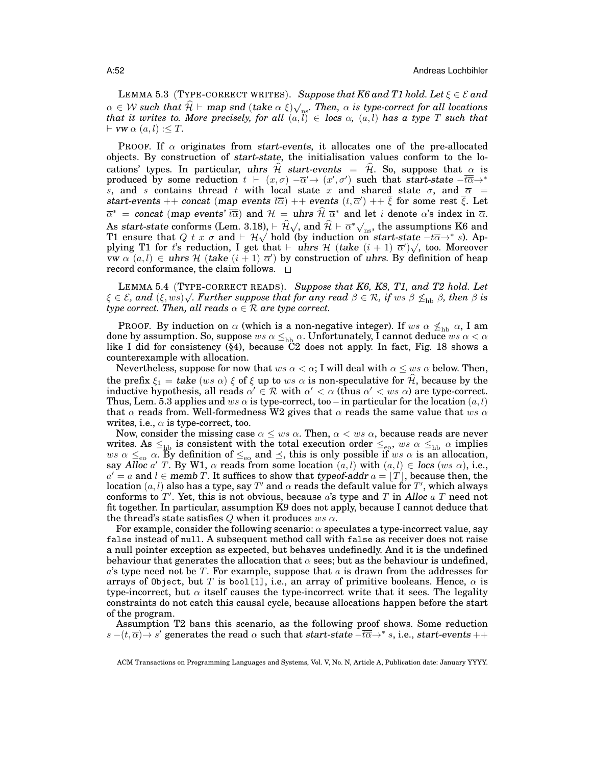**LEMMA 5.3** (TYPE-CORRECT WRITES). *Suppose that*  $K6$  *and*  $T1$  *hold. Let*  $\xi \in \mathcal{E}$  *and*  $\alpha \in W$  such that  $\hat{\mathcal{H}} \vdash$  map snd (take  $\alpha \xi \vee_{\text{ns}}'$ . Then,  $\alpha$  is type-correct for all locations<br>that it with the Mere president for all  $(\alpha, \beta)$ .  $\bar{\epsilon}$  here  $\alpha$ ,  $(\alpha, \beta)$  has a tupe  $\bar{T}$  such that *that it writes to. More precisely, for all*  $(a, \bar{l}) \in \text{locs } \alpha$ ,  $(a, l)$  has a type T such that  $\vdash$  vw  $\alpha$   $(a, l) : \leq T$ .

PROOF. If  $\alpha$  originates from start-events, it allocates one of the pre-allocated objects. By construction of start-state, the initialisation values conform to the locations' types. In particular, uhrs  $\hat{\mathcal{H}}$  start-events =  $\hat{\mathcal{H}}$ . So, suppose that  $\alpha$  is produced by some reduction  $t \vdash (x, \sigma) \neg \overline{\alpha}' \rightarrow (x', \sigma')$  such that start-state  $-\overline{t\overline{\alpha}} \rightarrow^*$ s, and s contains thread t with local state x and shared state  $\sigma$ , and  $\overline{\alpha}$  = start-events  $++$  concat (map events  $\overline{t\overline{\alpha}}$ )  $++$  events  $(t,\overline{\alpha}')$   $++$   $\overline{\xi}$  for some rest  $\overline{\xi}$ . Let  $\overline{\alpha}^* = \text{concat} \text{ (map events' } \overline{t\overline{\alpha}}) \text{ and } \mathcal{H} = \text{uhrs } \widehat{\mathcal{H}} \overline{\alpha}^* \text{ and let } i \text{ denote } \alpha$ 's index in  $\overline{\alpha}$ . As start-state conforms (Lem. [3.18\)](#page-42-4),  $\vdash \hat{\mathcal{H}}\check{\vee}$ , and  $\hat{\mathcal{H}} \vdash \overline{\alpha}^*\check{\vee}_{\text{ns}}$ , the assumptions [K6](#page-41-2) and [T1](#page-50-2) ensure that  $Q \, t \, x \, \sigma$  and  $\vdash \mathcal{H}\check{\vee}$  hold (by induction on start-state  $-t\overline{\alpha}\rightarrow^* s$ ). App plying [T1](#page-50-2) for t's reduction, I get that  $\vdash$  uhrs H (take  $(i + 1)$   $\overline{\alpha}'$ ) $\sqrt{ }$ , too. Moreover  $vw \alpha(a,l) \in u$ hrs  $\mathcal H$  (take  $(i + 1) \overline{\alpha}'$ ) by construction of uhrs. By definition of heap record conformance, the claim follows.  $\Box$ 

<span id="page-51-0"></span>LEMMA 5.4 (TYPE-CORRECT READS). *Suppose that [K6,](#page-41-2) [K8,](#page-42-2) [T1,](#page-50-2) and [T2](#page-50-3) hold. Let* √  $\xi\in\mathcal{E}$ , and  $(\xi,ws)\sqrt{ }$ . Further suppose that for any read  $\beta\in\mathcal{R}$ , if  $ws$   $\beta$   $\not\leq_{\text{hb}}\beta$ , then  $\beta$  is *type correct. Then, all reads*  $\alpha \in \mathcal{R}$  *are type correct.* 

PROOF. By induction on  $\alpha$  (which is a non-negative integer). If  $ws \alpha \nleq_{hb} \alpha$ , I am done by assumption. So, suppose  $ws$   $\alpha \leq_{\text{hb}} \alpha$ . Unfortunately, I cannot deduce  $ws$   $\alpha < \alpha$ like I did for consistency ([§4\)](#page-46-0), because [C2](#page-47-1) does not apply. In fact, Fig. [18](#page-27-1) shows a counterexample with allocation.

Nevertheless, suppose for now that  $ws \alpha < \alpha$ ; I will deal with  $\alpha \leq ws \alpha$  below. Then, the prefix  $\xi_1 = \text{take } (ws \alpha) \xi$  of  $\xi$  up to ws  $\alpha$  is non-speculative for H, because by the inductive hypothesis, all reads  $\alpha' \in \mathcal{R}$  with  $\alpha' < \alpha$  (thus  $\alpha' < ws \alpha$ ) are type-correct. Thus, Lem. [5.3](#page-50-4) applies and ws  $\alpha$  is type-correct, too – in particular for the location  $(a, l)$ that  $\alpha$  reads from. Well-formedness [W2](#page-20-5) gives that  $\alpha$  reads the same value that  $ws \alpha$ writes, i.e.,  $\alpha$  is type-correct, too.

Now, consider the missing case  $\alpha \leq ws \alpha$ . Then,  $\alpha < ws \alpha$ , because reads are never writes. As  $\leq_{\text{hb}}$  is consistent with the total execution order  $\leq_{\text{eo}}$ , ws  $\alpha \leq_{\text{hb}} \alpha$  implies ws  $\alpha \leq_{\text{eo}} \alpha$ . By definition of  $\leq_{\text{eo}}$  and  $\preceq$ , this is only possible if ws  $\alpha$  is an allocation, say Alloc a' T. By [W1,](#page-20-6)  $\alpha$  reads from some location  $(a, l)$  with  $(a, l) \in \text{locs } (ws \alpha)$ , i.e.,  $a' = a$  and  $l \in \text{memb } T$ . It suffices to show that typeof-addr  $a = \lfloor T \rfloor$ , because then, the location  $(a,l)$  also has a type, say  $T'$  and  $\alpha$  reads the default value for  $T'$ , which always conforms to  $T'$ . Yet, this is not obvious, because a's type and T in Alloc a T need not fit together. In particular, assumption [K9](#page-42-0) does not apply, because I cannot deduce that the thread's state satisfies Q when it produces  $ws \alpha$ .

For example, consider the following scenario:  $\alpha$  speculates a type-incorrect value, say false instead of null. A subsequent method call with false as receiver does not raise a null pointer exception as expected, but behaves undefinedly. And it is the undefined behaviour that generates the allocation that  $\alpha$  sees; but as the behaviour is undefined,  $a$ 's type need not be T. For example, suppose that  $a$  is drawn from the addresses for arrays of Object, but T is bool[1], i.e., an array of primitive booleans. Hence,  $\alpha$  is type-incorrect, but  $\alpha$  itself causes the type-incorrect write that it sees. The legality constraints do not catch this causal cycle, because allocations happen before the start of the program.

Assumption [T2](#page-50-3) bans this scenario, as the following proof shows. Some reduction  $s-(t, \overline{\alpha})\rightarrow s'$  generates the read  $\alpha$  such that start-state  $-\overline{t\overline{\alpha}}\rightarrow^* s$ , i.e., start-events  $++$ 

ACM Transactions on Programming Languages and Systems, Vol. V, No. N, Article A, Publication date: January YYYY.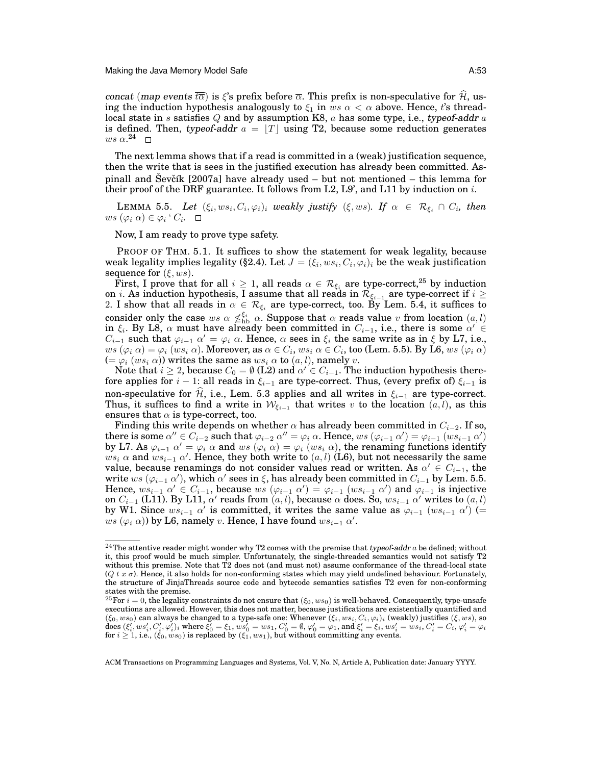concat (map events  $\overline{t\overline{\alpha}}$ ) is  $\xi$ 's prefix before  $\overline{\alpha}$ . This prefix is non-speculative for  $\hat{\mathcal{H}}$ , using the induction hypothesis analogously to  $\xi_1$  in ws  $\alpha < \alpha$  above. Hence, t's threadlocal state in s satisfies  $Q$  and by assumption [K8,](#page-42-2)  $a$  has some type, i.e., typeof-addr  $a$ is defined. Then, typeof-addr  $a = |T|$  using [T2,](#page-50-3) because some reduction generates  $ws \alpha$ <sup>24</sup>

The next lemma shows that if a read is committed in a (weak) justification sequence, then the write that is sees in the justified execution has already been committed. [As](#page-62-0)pinall and Ševčík  $[2007a]$  have already used – but not mentioned – this lemma for their proof of the DRF guarantee. It follows from [L2,](#page-21-2) [L9',](#page-22-2) and [L11](#page-21-5) by induction on i.

<span id="page-52-0"></span>LEMMA 5.5. Let  $(\xi_i, ws_i, C_i, \varphi_i)_i$  weakly justify  $(\xi, ws)$ . If  $\alpha \in \mathcal{R}_{\xi_i} \cap C_i$ , then  $ws(\varphi_i \alpha) \in \varphi_i \cdot C_i.$ 

Now, I am ready to prove type safety.

PROOF OF THM. [5.1.](#page-50-1) It suffices to show the statement for weak legality, because weak legality implies legality ([§2.4\)](#page-18-0). Let  $J = (\xi_i, ws_i, C_i, \varphi_i)_i$  be the weak justification sequence for  $(\xi, ws)$ .

First, I prove that for all  $i \geq 1$ , all reads  $\alpha \in \mathcal{R}_{\xi_i}$  are type-correct,<sup>25</sup> by induction on  $i.$  As induction hypothesis, I assume that all reads in  $\mathcal{R}_{\xi_{i-1}}$  are type-correct if  $i \geq$ 2. I show that all reads in  $\alpha \in \mathcal{R}_{\xi_i}$  are type-correct, too. By Lem. [5.4,](#page-51-0) it suffices to consider only the case  $ws \alpha \nleq^{i} \alpha$ . Suppose that  $\alpha$  reads value v from location  $(a, l)$ in  $\xi_i$ . By [L8,](#page-21-6)  $\alpha$  must have already been committed in  $C_{i-1}$ , i.e., there is some  $\alpha' \in$  $C_{i-1}$  such that  $\varphi_{i-1}$   $\alpha' = \varphi_i$   $\alpha$ . Hence,  $\alpha$  sees in  $\xi_i$  the same write as in  $\xi$  by [L7,](#page-21-10) i.e.,  $ws(\varphi_i|\alpha) = \varphi_i(w s_i|\alpha)$ . Moreover, as  $\alpha \in C_i$ ,  $ws_i|\alpha \in C_i$ , too (Lem. [5.5\)](#page-52-0). By [L6,](#page-21-11)  $ws(\varphi_i|\alpha)$  $(=\varphi_i$   $(ws_i\ \alpha))$  writes the same as  $ws_i\ \alpha$  to  $(a, l)$ , namely  $v$ .

Note that  $i\geq 2$ , because  $C_0=\emptyset$  [\(L2\)](#page-21-2) and  $\alpha'\in C_{i-1}.$  The induction hypothesis therefore applies for  $i - 1$ : all reads in  $\xi_{i-1}$  are type-correct. Thus, (every prefix of)  $\xi_{i-1}$  is non-speculative for  $\hat{\mathcal{H}}$ , i.e., Lem. [5.3](#page-50-4) applies and all writes in  $\xi_{i-1}$  are type-correct. Thus, it suffices to find a write in  $W_{\xi_{i-1}}$  that writes v to the location  $(a, l)$ , as this ensures that  $\alpha$  is type-correct, too.

Finding this write depends on whether  $\alpha$  has already been committed in  $C_{i-2}$ . If so, there is some  $\alpha'' \in C_{i-2}$  such that  $\varphi_{i-2} \alpha'' = \varphi_i \alpha$ . Hence,  $ws (\varphi_{i-1} \alpha') = \varphi_{i-1} (ws_{i-1} \alpha')$ by [L7.](#page-21-10) As  $\varphi_{i-1}$   $\alpha' = \varphi_i$   $\alpha$  and  $ws$   $(\varphi_i \alpha) = \varphi_i$   $(ws_i \alpha)$ , the renaming functions identify  $ws_i \alpha$  and  $ws_{i-1} \alpha'$ . Hence, they both write to  $(a, l)$  [\(L6\)](#page-21-11), but not necessarily the same value, because renamings do not consider values read or written. As  $\alpha' \in C_{i-1}$ , the write  $ws$  ( $\varphi_{i-1}$   $\alpha'$ ), which  $\alpha'$  sees in  $\xi$ , has already been committed in  $C_{i-1}$  by Lem. [5.5.](#page-52-0) Hence,  $ws_{i-1} \alpha' \in C_{i-1}$ , because  $ws (\varphi_{i-1} \alpha') = \varphi_{i-1} (ws_{i-1} \alpha')$  and  $\varphi_{i-1}$  is injective on  $C_{i-1}$  [\(L11\)](#page-21-5). By [L11,](#page-21-5)  $\alpha'$  reads from  $(a, l)$ , because  $\alpha$  does. So,  $ws_{i-1}$   $\alpha'$  writes to  $(a, l)$ by [W1.](#page-20-6) Since  $ws_{i-1} \alpha'$  is committed, it writes the same value as  $\varphi_{i-1}$   $(ws_{i-1} \alpha')$  (=  $ws\left(\varphi_{i}\right. \alpha\right))$  by [L6,](#page-21-11) namely  $v.$  Hence, I have found  $ws_{i-1}$   $\alpha'.$ 

<sup>&</sup>lt;sup>24</sup>The attentive reader might wonder why [T2](#page-50-3) comes with the premise that typeof-addr  $a$  be defined; without it, this proof would be much simpler. Unfortunately, the single-threaded semantics would not satisfy [T2](#page-50-3) without this premise. Note that [T2](#page-50-3) does not (and must not) assume conformance of the thread-local state  $(Q t x \sigma)$ . Hence, it also holds for non-conforming states which may yield undefined behaviour. Fortunately, the structure of JinjaThreads source code and bytecode semantics satisfies [T2](#page-50-3) even for non-conforming states with the premise.

 $^{25}$ For  $i = 0$ , the legality constraints do not ensure that  $(\xi_0, ws_0)$  is well-behaved. Consequently, type-unsafe executions are allowed. However, this does not matter, because justifications are existentially quantified and  $(\xi_0, ws_0)$  can always be changed to a type-safe one: Whenever  $(\xi_i, ws_i, C_i, \varphi_i)_i$  (weakly) justifies  $(\xi, ws)$ , so  $\text{does } (\xi'_i, ws'_i, C'_i, \varphi'_i)_i \text{ where } \xi'_0 = \xi_1, ws'_0 = ws_1, C'_0 = \emptyset, \varphi'_0 = \varphi_1 \text{, and } \xi'_i = \xi_i, ws'_i = ws_i, C'_i = C_i, \varphi'_i = \varphi_i$ <br>  $\text{for } i \geq 1, \text{ i.e., } (\xi_0, ws_0) \text{ is replaced by } (\xi_1, ws_1), \text{ but without commuting any events.}$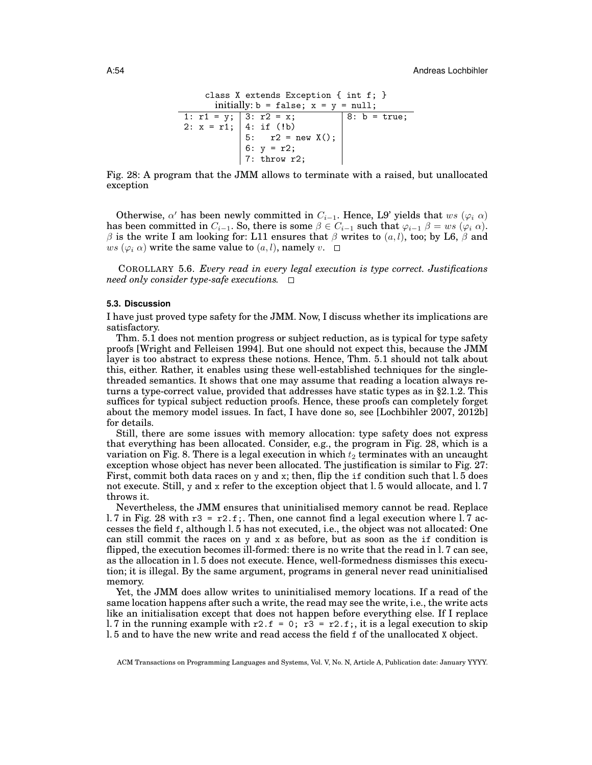```
class X extends Exception { int f; }
      initially: b = false; x = y = null;
1: r1 = y;
3: r2 = x;
2: x = r1;|4: if (!b)
            5: r2 = new X();
            6: y = r2;
           7: throw r2;
                               8: b = true;
```
Fig. 28: A program that the JMM allows to terminate with a raised, but unallocated exception

Otherwise,  $\alpha'$  has been newly committed in  $C_{i-1}$ . Hence, [L9'](#page-22-2) yields that ws  $(\varphi_i \alpha)$ has been committed in  $C_{i-1}$ . So, there is some  $\beta \in C_{i-1}$  such that  $\varphi_{i-1} \beta = ws \ (\varphi_i \alpha)$ . β is the write I am looking for: [L11](#page-21-5) ensures that β writes to  $(a, l)$ , too; by [L6,](#page-21-11) β and  $ws (\varphi_i \alpha)$  write the same value to  $(a, l)$ , namely  $v$ .  $\Box$ 

COROLLARY 5.6. *Every read in every legal execution is type correct. Justifications need only consider type-safe executions.*

## <span id="page-53-0"></span>**5.3. Discussion**

I have just proved type safety for the JMM. Now, I discuss whether its implications are satisfactory.

Thm. [5.1](#page-50-1) does not mention progress or subject reduction, as is typical for type safety proofs [\[Wright and Felleisen 1994\]](#page-64-3). But one should not expect this, because the JMM layer is too abstract to express these notions. Hence, Thm. [5.1](#page-50-1) should not talk about this, either. Rather, it enables using these well-established techniques for the singlethreaded semantics. It shows that one may assume that reading a location always returns a type-correct value, provided that addresses have static types as in [§2.1.2.](#page-13-0) This suffices for typical subject reduction proofs. Hence, these proofs can completely forget about the memory model issues. In fact, I have done so, see [\[Lochbihler 2007,](#page-63-12) [2012b\]](#page-63-2) for details.

Still, there are some issues with memory allocation: type safety does not express that everything has been allocated. Consider, e.g., the program in Fig. [28,](#page-53-1) which is a variation on Fig. [8.](#page-13-1) There is a legal execution in which  $t_2$  terminates with an uncaught exception whose object has never been allocated. The justification is similar to Fig. [27:](#page-50-0) First, commit both data races on y and x; then, flip the if condition such that l. 5 does not execute. Still, y and x refer to the exception object that l. 5 would allocate, and l. 7 throws it.

Nevertheless, the JMM ensures that uninitialised memory cannot be read. Replace 1.7 in Fig. [28](#page-53-1) with  $r3 = r2.f$ ;. Then, one cannot find a legal execution where 1.7 accesses the field f, although l. 5 has not executed, i.e., the object was not allocated: One can still commit the races on y and x as before, but as soon as the if condition is flipped, the execution becomes ill-formed: there is no write that the read in l. 7 can see, as the allocation in l. 5 does not execute. Hence, well-formedness dismisses this execution; it is illegal. By the same argument, programs in general never read uninitialised memory.

Yet, the JMM does allow writes to uninitialised memory locations. If a read of the same location happens after such a write, the read may see the write, i.e., the write acts like an initialisation except that does not happen before everything else. If I replace l. 7 in the running example with  $r2.f = 0$ ;  $r3 = r2.f$ ;, it is a legal execution to skip l. 5 and to have the new write and read access the field f of the unallocated X object.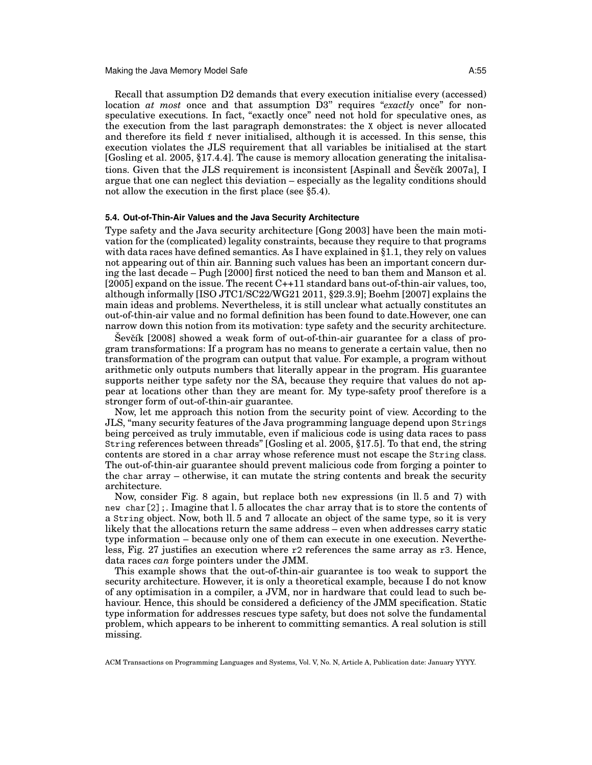Recall that assumption [D2](#page-33-2) demands that every execution initialise every (accessed) location *at most* once and that assumption D3" requires "*exactly* once" for nonspeculative executions. In fact, "exactly once" need not hold for speculative ones, as the execution from the last paragraph demonstrates: the X object is never allocated and therefore its field f never initialised, although it is accessed. In this sense, this execution violates the JLS requirement that all variables be initialised at the start [\[Gosling et al. 2005,](#page-63-0) §17.4.4]. The cause is memory allocation generating the initalisations. Given that the JLS requirement is inconsistent [Aspinall and Ševčík 2007a], I argue that one can neglect this deviation – especially as the legality conditions should not allow the execution in the first place (see [§5.4\)](#page-54-0).

## <span id="page-54-0"></span>**5.4. Out-of-Thin-Air Values and the Java Security Architecture**

Type safety and the Java security architecture [\[Gong 2003\]](#page-63-20) have been the main motivation for the (complicated) legality constraints, because they require to that programs with data races have defined semantics. As I have explained in [§1.1,](#page-2-0) they rely on values not appearing out of thin air. Banning such values has been an important concern during the last decade – [Pugh \[2000\]](#page-64-0) first noticed the need to ban them and [Manson et al.](#page-63-8) [\[2005\]](#page-63-8) expand on the issue. The recent C++11 standard bans out-of-thin-air values, too, although informally [\[ISO JTC1/SC22/WG21 2011,](#page-63-21) §29.3.9]; [Boehm \[2007\]](#page-62-11) explains the main ideas and problems. Nevertheless, it is still unclear what actually constitutes an out-of-thin-air value and no formal definition has been found to date.However, one can narrow down this notion from its motivation: type safety and the security architecture.

 $\text{Sevčik}$  [2008] showed a weak form of out-of-thin-air guarantee for a class of program transformations: If a program has no means to generate a certain value, then no transformation of the program can output that value. For example, a program without arithmetic only outputs numbers that literally appear in the program. His guarantee supports neither type safety nor the SA, because they require that values do not appear at locations other than they are meant for. My type-safety proof therefore is a stronger form of out-of-thin-air guarantee.

Now, let me approach this notion from the security point of view. According to the JLS, "many security features of the Java programming language depend upon Strings being perceived as truly immutable, even if malicious code is using data races to pass String references between threads" [\[Gosling et al. 2005,](#page-63-0) §17.5]. To that end, the string contents are stored in a char array whose reference must not escape the String class. The out-of-thin-air guarantee should prevent malicious code from forging a pointer to the char array – otherwise, it can mutate the string contents and break the security architecture.

Now, consider Fig. [8](#page-13-1) again, but replace both new expressions (in ll. 5 and 7) with new char[2];. Imagine that l. 5 allocates the char array that is to store the contents of a String object. Now, both ll. 5 and 7 allocate an object of the same type, so it is very likely that the allocations return the same address – even when addresses carry static type information – because only one of them can execute in one execution. Nevertheless, Fig. [27](#page-50-0) justifies an execution where r2 references the same array as r3. Hence, data races *can* forge pointers under the JMM.

This example shows that the out-of-thin-air guarantee is too weak to support the security architecture. However, it is only a theoretical example, because I do not know of any optimisation in a compiler, a JVM, nor in hardware that could lead to such behaviour. Hence, this should be considered a deficiency of the JMM specification. Static type information for addresses rescues type safety, but does not solve the fundamental problem, which appears to be inherent to committing semantics. A real solution is still missing.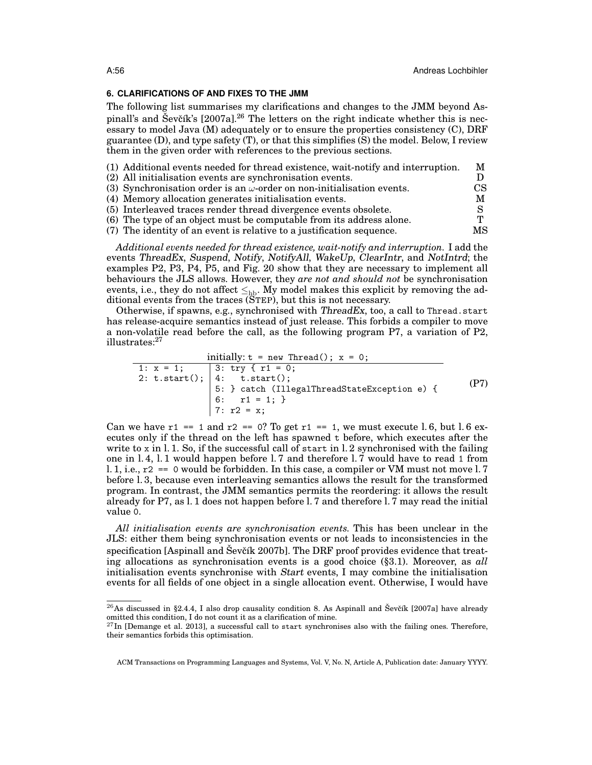#### <span id="page-55-0"></span>**6. CLARIFICATIONS OF AND FIXES TO THE JMM**

The following list summarises my clarifications and changes to the JMM beyond Aspinall's and Ševčík's  $[2007a]$  $[2007a]$ .<sup>26</sup> The letters on the right indicate whether this is necessary to model Java (M) adequately or to ensure the properties consistency (C), DRF guarantee (D), and type safety (T), or that this simplifies (S) the model. Below, I review them in the given order with references to the previous sections.

| (1) Additional events needed for thread existence, wait-notify and interruption. | M   |
|----------------------------------------------------------------------------------|-----|
| (2) All initialisation events are synchronisation events.                        |     |
| (3) Synchronisation order is an $\omega$ -order on non-initialisation events.    | CS. |
| (4) Memory allocation generates initialisation events.                           | M   |
| (5) Interleaved traces render thread divergence events obsolete.                 |     |
| (6) The type of an object must be computable from its address alone.             | T.  |
| (7) The identity of an event is relative to a justification sequence.            | MS  |
|                                                                                  |     |

<span id="page-55-1"></span>*Additional events needed for thread existence, wait-notify and interruption.* I add the events ThreadEx, Suspend, Notify, NotifyAll, WakeUp, ClearIntr, and NotIntrd; the examples [P2,](#page-15-1) [P3,](#page-16-1) [P4,](#page-30-0) [P5,](#page-31-2) and Fig. [20](#page-30-1) show that they are necessary to implement all behaviours the JLS allows. However, they *are not and should not* be synchronisation events, i.e., they do not affect  $\leq_\text{hb}$ . My model makes this explicit by removing the additional events from the traces (S[TEP](#page-16-3)), but this is not necessary.

Otherwise, if spawns, e.g., synchronised with ThreadEx, too, a call to Thread.start has release-acquire semantics instead of just release. This forbids a compiler to move a non-volatile read before the call, as the following program [P7,](#page-55-3) a variation of [P2,](#page-15-1) illustrates:<sup>27</sup>

<span id="page-55-3"></span>initially:  $t = new Thread()$ ;  $x = 0$ ;  $\frac{1}{1: x = 1;}$ 2: t.start(); 4: t.start();  $3: try f r1 = 0;$ 5: } catch (IllegalThreadStateException e) { 6: r1 = 1; } 7: r2 = x; (P7)

Can we have r1 == 1 and r2 == 0? To get r1 == 1, we must execute l.6, but l.6 executes only if the thread on the left has spawned t before, which executes after the write to x in  $l$ . 1. So, if the successful call of start in  $l$ . 2 synchronised with the failing one in l. 4, l. 1 would happen before l. 7 and therefore l. 7 would have to read 1 from l. 1, i.e.,  $r^2 = 0$  would be forbidden. In this case, a compiler or VM must not move l. 7 before l. 3, because even interleaving semantics allows the result for the transformed program. In contrast, the JMM semantics permits the reordering: it allows the result already for [P7,](#page-55-3) as l. 1 does not happen before l. 7 and therefore l. 7 may read the initial value 0.

<span id="page-55-2"></span>*All initialisation events are synchronisation events.* This has been unclear in the JLS: either them being synchronisation events or not leads to inconsistencies in the specification [Aspinall and Sevčík 2007b]. The DRF proof provides evidence that treating allocations as synchronisation events is a good choice ([§3.1\)](#page-32-0). Moreover, as *all* initialisation events synchronise with Start events, I may combine the initialisation events for all fields of one object in a single allocation event. Otherwise, I would have

 $^{26}$ As discussed in [§2.4.4,](#page-21-0) I also drop causality condition 8. As Aspinall and Ševčík [2007a] have already omitted this condition, I do not count it as a clarification of mine.

 $^{27}$ In [\[Demange et al. 2013\]](#page-62-12), a successful call to start synchronises also with the failing ones. Therefore, their semantics forbids this optimisation.

ACM Transactions on Programming Languages and Systems, Vol. V, No. N, Article A, Publication date: January YYYY.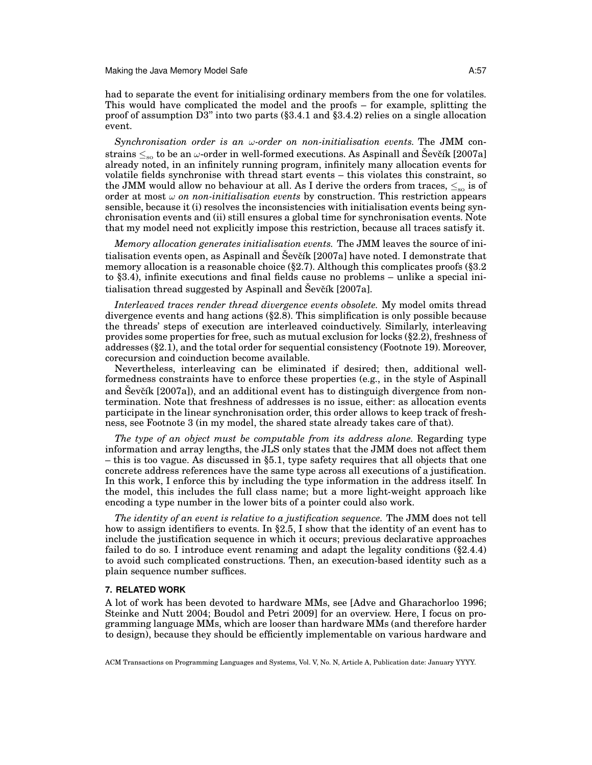had to separate the event for initialising ordinary members from the one for volatiles. This would have complicated the model and the proofs – for example, splitting the proof of assumption [D3''](#page-39-2) into two parts ([§3.4.1](#page-39-4) and [§3.4.2\)](#page-41-0) relies on a single allocation event.

<span id="page-56-1"></span>*Synchronisation order is an* ω*-order on non-initialisation events.* The JMM constrains  $\leq_{\text{so}}$  to be an  $\omega$ -order in well-formed executions. As Aspinall and Ševčík [[2007a\]](#page-62-0) already noted, in an infinitely running program, infinitely many allocation events for volatile fields synchronise with thread start events – this violates this constraint, so the JMM would allow no behaviour at all. As I derive the orders from traces,  $\leq_{\text{so}}$  is of order at most ω *on non-initialisation events* by construction. This restriction appears sensible, because it (i) resolves the inconsistencies with initialisation events being synchronisation events and (ii) still ensures a global time for synchronisation events. Note that my model need not explicitly impose this restriction, because all traces satisfy it.

<span id="page-56-2"></span>*Memory allocation generates initialisation events.* The JMM leaves the source of initialisation events open, as Aspinall and Ševčík  $[2007a]$  have noted. I demonstrate that memory allocation is a reasonable choice  $(\S 2.7)$ . Although this complicates proofs  $(\S 3.2)$ to [§3.4\)](#page-39-0), infinite executions and final fields cause no problems – unlike a special initialisation thread suggested by Aspinall and Ševčík  $[2007a]$ .

<span id="page-56-3"></span>*Interleaved traces render thread divergence events obsolete.* My model omits thread divergence events and hang actions ([§2.8\)](#page-28-0). This simplification is only possible because the threads' steps of execution are interleaved coinductively. Similarly, interleaving provides some properties for free, such as mutual exclusion for locks ([§2.2\)](#page-14-0), freshness of addresses ([§2.1\)](#page-11-1), and the total order for sequential consistency (Footnote [19\)](#page-32-1). Moreover, corecursion and coinduction become available.

Nevertheless, interleaving can be eliminated if desired; then, additional wellformedness constraints have to enforce these properties (e.g., in the style of [Aspinall](#page-62-0) and Sevčík [2007a]), and an additional event has to distinguigh divergence from nontermination. Note that freshness of addresses is no issue, either: as allocation events participate in the linear synchronisation order, this order allows to keep track of freshness, see Footnote [3](#page-4-0) (in my model, the shared state already takes care of that).

<span id="page-56-4"></span>*The type of an object must be computable from its address alone.* Regarding type information and array lengths, the JLS only states that the JMM does not affect them – this is too vague. As discussed in [§5.1,](#page-49-0) type safety requires that all objects that one concrete address references have the same type across all executions of a justification. In this work, I enforce this by including the type information in the address itself. In the model, this includes the full class name; but a more light-weight approach like encoding a type number in the lower bits of a pointer could also work.

<span id="page-56-5"></span>*The identity of an event is relative to a justification sequence.* The JMM does not tell how to assign identifiers to events. In [§2.5,](#page-22-0) I show that the identity of an event has to include the justification sequence in which it occurs; previous declarative approaches failed to do so. I introduce event renaming and adapt the legality conditions ([§2.4.4\)](#page-21-0) to avoid such complicated constructions. Then, an execution-based identity such as a plain sequence number suffices.

## <span id="page-56-0"></span>**7. RELATED WORK**

A lot of work has been devoted to hardware MMs, see [\[Adve and Gharachorloo 1996;](#page-62-5) [Steinke and Nutt 2004;](#page-64-16) [Boudol and Petri 2009\]](#page-62-13) for an overview. Here, I focus on programming language MMs, which are looser than hardware MMs (and therefore harder to design), because they should be efficiently implementable on various hardware and

ACM Transactions on Programming Languages and Systems, Vol. V, No. N, Article A, Publication date: January YYYY.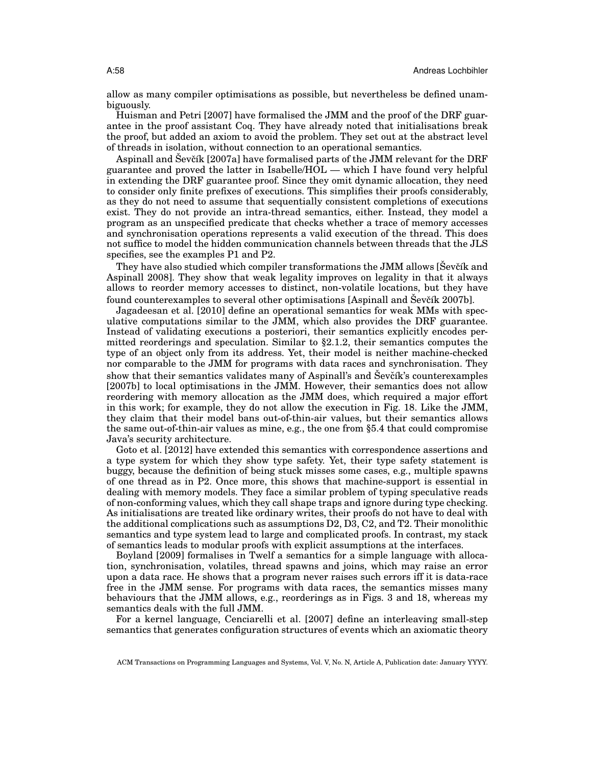allow as many compiler optimisations as possible, but nevertheless be defined unambiguously.

[Huisman and Petri \[2007\]](#page-63-3) have formalised the JMM and the proof of the DRF guarantee in the proof assistant Coq. They have already noted that initialisations break the proof, but added an axiom to avoid the problem. They set out at the abstract level of threads in isolation, without connection to an operational semantics.

Aspinall and Ševčík  $[2007a]$  have formalised parts of the JMM relevant for the DRF guarantee and proved the latter in Isabelle/HOL — which I have found very helpful in extending the DRF guarantee proof. Since they omit dynamic allocation, they need to consider only finite prefixes of executions. This simplifies their proofs considerably, as they do not need to assume that sequentially consistent completions of executions exist. They do not provide an intra-thread semantics, either. Instead, they model a program as an unspecified predicate that checks whether a trace of memory accesses and synchronisation operations represents a valid execution of the thread. This does not suffice to model the hidden communication channels between threads that the JLS specifies, see the examples [P1](#page-13-2) and [P2.](#page-15-1)

They have also studied which compiler transformations the JMM allows [Sevčík and [Aspinall 2008\]](#page-64-4). They show that weak legality improves on legality in that it always allows to reorder memory accesses to distinct, non-volatile locations, but they have found counterexamples to several other optimisations [Aspinall and Ševčík 2007b].

[Jagadeesan et al. \[2010\]](#page-63-22) define an operational semantics for weak MMs with speculative computations similar to the JMM, which also provides the DRF guarantee. Instead of validating executions a posteriori, their semantics explicitly encodes permitted reorderings and speculation. Similar to [§2.1.2,](#page-13-0) their semantics computes the type of an object only from its address. Yet, their model is neither machine-checked nor comparable to the JMM for programs with data races and synchronisation. They show that their semantics validates many of Aspinall's and Ševčík's counterexamples [\[2007b\]](#page-62-8) to local optimisations in the JMM. However, their semantics does not allow reordering with memory allocation as the JMM does, which required a major effort in this work; for example, they do not allow the execution in Fig. [18.](#page-27-1) Like the JMM, they claim that their model bans out-of-thin-air values, but their semantics allows the same out-of-thin-air values as mine, e.g., the one from [§5.4](#page-54-0) that could compromise Java's security architecture.

[Goto et al. \[2012\]](#page-63-10) have extended this semantics with correspondence assertions and a type system for which they show type safety. Yet, their type safety statement is buggy, because the definition of being stuck misses some cases, e.g., multiple spawns of one thread as in [P2.](#page-15-1) Once more, this shows that machine-support is essential in dealing with memory models. They face a similar problem of typing speculative reads of non-conforming values, which they call shape traps and ignore during type checking. As initialisations are treated like ordinary writes, their proofs do not have to deal with the additional complications such as assumptions [D2,](#page-33-2) [D3,](#page-38-0) [C2,](#page-47-1) and [T2.](#page-50-3) Their monolithic semantics and type system lead to large and complicated proofs. In contrast, my stack of semantics leads to modular proofs with explicit assumptions at the interfaces.

[Boyland \[2009\]](#page-62-2) formalises in Twelf a semantics for a simple language with allocation, synchronisation, volatiles, thread spawns and joins, which may raise an error upon a data race. He shows that a program never raises such errors iff it is data-race free in the JMM sense. For programs with data races, the semantics misses many behaviours that the JMM allows, e.g., reorderings as in Figs. [3](#page-5-3) and [18,](#page-27-1) whereas my semantics deals with the full JMM.

For a kernel language, [Cenciarelli et al. \[2007\]](#page-62-1) define an interleaving small-step semantics that generates configuration structures of events which an axiomatic theory

ACM Transactions on Programming Languages and Systems, Vol. V, No. N, Article A, Publication date: January YYYY.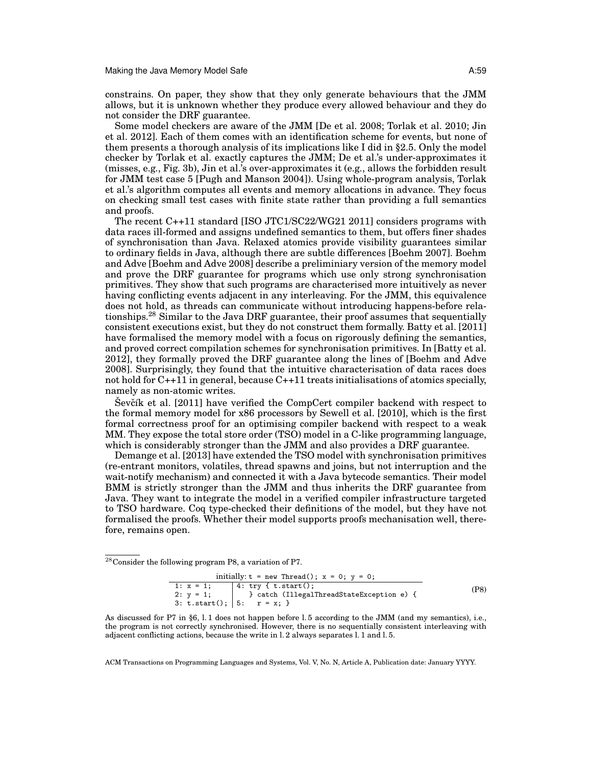constrains. On paper, they show that they only generate behaviours that the JMM allows, but it is unknown whether they produce every allowed behaviour and they do not consider the DRF guarantee.

Some model checkers are aware of the JMM [\[De et al. 2008;](#page-62-14) [Torlak et al. 2010;](#page-64-5) [Jin](#page-63-18) [et al. 2012\]](#page-63-18). Each of them comes with an identification scheme for events, but none of them presents a thorough analysis of its implications like I did in [§2.5.](#page-22-0) Only the model checker by Torlak et al. exactly captures the JMM; De et al.'s under-approximates it (misses, e.g., Fig. [3b\)](#page-5-2), Jin et al.'s over-approximates it (e.g., allows the forbidden result for JMM test case 5 [\[Pugh and Manson 2004\]](#page-64-12)). Using whole-program analysis, Torlak et al.'s algorithm computes all events and memory allocations in advance. They focus on checking small test cases with finite state rather than providing a full semantics and proofs.

The recent C++11 standard [\[ISO JTC1/SC22/WG21 2011\]](#page-63-21) considers programs with data races ill-formed and assigns undefined semantics to them, but offers finer shades of synchronisation than Java. Relaxed atomics provide visibility guarantees similar to ordinary fields in Java, although there are subtle differences [\[Boehm 2007\]](#page-62-11). Boehm and Adve [\[Boehm and Adve 2008\]](#page-62-4) describe a preliminiary version of the memory model and prove the DRF guarantee for programs which use only strong synchronisation primitives. They show that such programs are characterised more intuitively as never having conflicting events adjacent in any interleaving. For the JMM, this equivalence does not hold, as threads can communicate without introducing happens-before relationships.<sup>28</sup> Similar to the Java DRF guarantee, their proof assumes that sequentially consistent executions exist, but they do not construct them formally. [Batty et al. \[2011\]](#page-62-15) have formalised the memory model with a focus on rigorously defining the semantics, and proved correct compilation schemes for synchronisation primitives. In [\[Batty et al.](#page-62-16) [2012\]](#page-62-16), they formally proved the DRF guarantee along the lines of [\[Boehm and Adve](#page-62-4) [2008\]](#page-62-4). Surprisingly, they found that the intuitive characterisation of data races does not hold for C++11 in general, because C++11 treats initialisations of atomics specially, namely as non-atomic writes.

Sevčík et al.  $[2011]$  have verified the CompCert compiler backend with respect to the formal memory model for x86 processors by [Sewell et al. \[2010\]](#page-64-18), which is the first formal correctness proof for an optimising compiler backend with respect to a weak MM. They expose the total store order (TSO) model in a C-like programming language, which is considerably stronger than the JMM and also provides a DRF guarantee.

[Demange et al. \[2013\]](#page-62-12) have extended the TSO model with synchronisation primitives (re-entrant monitors, volatiles, thread spawns and joins, but not interruption and the wait-notify mechanism) and connected it with a Java bytecode semantics. Their model BMM is strictly stronger than the JMM and thus inherits the DRF guarantee from Java. They want to integrate the model in a verified compiler infrastructure targeted to TSO hardware. Coq type-checked their definitions of the model, but they have not formalised the proofs. Whether their model supports proofs mechanisation well, therefore, remains open.

<sup>28</sup>Consider the following program [P8,](#page-58-0) a variation of [P7.](#page-55-3)

<span id="page-58-0"></span>

|                              | initially: $t = new Thread()$ ; $x = 0$ ; $y = 0$ ; |      |
|------------------------------|-----------------------------------------------------|------|
| $1: x = 1:$                  | $\vert$ 4: try { t.start();                         | (P8) |
| $2: v = 1:$                  | } catch (IllegalThreadStateException e) {           |      |
| 3: t.start(); $ 5: r = x;$ } |                                                     |      |

As discussed for [P7](#page-55-3) in [§6,](#page-55-0) l. 1 does not happen before l. 5 according to the JMM (and my semantics), i.e., the program is not correctly synchronised. However, there is no sequentially consistent interleaving with adjacent conflicting actions, because the write in l. 2 always separates l. 1 and l. 5.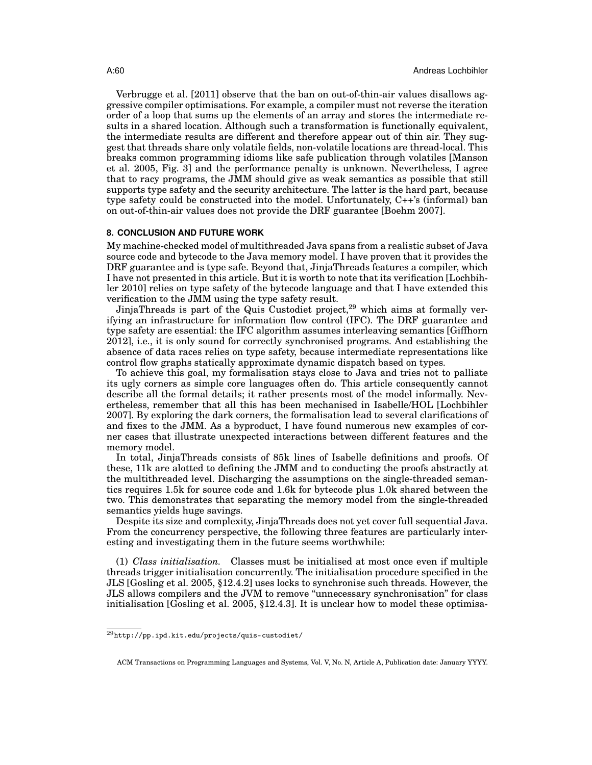[Verbrugge et al. \[2011\]](#page-64-19) observe that the ban on out-of-thin-air values disallows aggressive compiler optimisations. For example, a compiler must not reverse the iteration order of a loop that sums up the elements of an array and stores the intermediate results in a shared location. Although such a transformation is functionally equivalent, the intermediate results are different and therefore appear out of thin air. They suggest that threads share only volatile fields, non-volatile locations are thread-local. This breaks common programming idioms like safe publication through volatiles [\[Manson](#page-63-8) [et al. 2005,](#page-63-8) Fig. 3] and the performance penalty is unknown. Nevertheless, I agree that to racy programs, the JMM should give as weak semantics as possible that still supports type safety and the security architecture. The latter is the hard part, because type safety could be constructed into the model. Unfortunately, C++'s (informal) ban on out-of-thin-air values does not provide the DRF guarantee [\[Boehm 2007\]](#page-62-11).

## **8. CONCLUSION AND FUTURE WORK**

My machine-checked model of multithreaded Java spans from a realistic subset of Java source code and bytecode to the Java memory model. I have proven that it provides the DRF guarantee and is type safe. Beyond that, JinjaThreads features a compiler, which I have not presented in this article. But it is worth to note that its verification [\[Lochbih](#page-63-14)[ler 2010\]](#page-63-14) relies on type safety of the bytecode language and that I have extended this verification to the JMM using the type safety result.

JinjaThreads is part of the Quis Custodiet project, $29$  which aims at formally verifying an infrastructure for information flow control (IFC). The DRF guarantee and type safety are essential: the IFC algorithm assumes interleaving semantics [\[Giffhorn](#page-63-23) [2012\]](#page-63-23), i.e., it is only sound for correctly synchronised programs. And establishing the absence of data races relies on type safety, because intermediate representations like control flow graphs statically approximate dynamic dispatch based on types.

To achieve this goal, my formalisation stays close to Java and tries not to palliate its ugly corners as simple core languages often do. This article consequently cannot describe all the formal details; it rather presents most of the model informally. Nevertheless, remember that all this has been mechanised in Isabelle/HOL [\[Lochbihler](#page-63-12) [2007\]](#page-63-12). By exploring the dark corners, the formalisation lead to several clarifications of and fixes to the JMM. As a byproduct, I have found numerous new examples of corner cases that illustrate unexpected interactions between different features and the memory model.

In total, JinjaThreads consists of 85k lines of Isabelle definitions and proofs. Of these, 11k are alotted to defining the JMM and to conducting the proofs abstractly at the multithreaded level. Discharging the assumptions on the single-threaded semantics requires 1.5k for source code and 1.6k for bytecode plus 1.0k shared between the two. This demonstrates that separating the memory model from the single-threaded semantics yields huge savings.

Despite its size and complexity, JinjaThreads does not yet cover full sequential Java. From the concurrency perspective, the following three features are particularly interesting and investigating them in the future seems worthwhile:

(1) *Class initialisation.* Classes must be initialised at most once even if multiple threads trigger initialisation concurrently. The initialisation procedure specified in the JLS [\[Gosling et al. 2005,](#page-63-0) §12.4.2] uses locks to synchronise such threads. However, the JLS allows compilers and the JVM to remove "unnecessary synchronisation" for class initialisation [\[Gosling et al. 2005,](#page-63-0) §12.4.3]. It is unclear how to model these optimisa-

 $^{29}$ <http://pp.ipd.kit.edu/projects/quis-custodiet/>

ACM Transactions on Programming Languages and Systems, Vol. V, No. N, Article A, Publication date: January YYYY.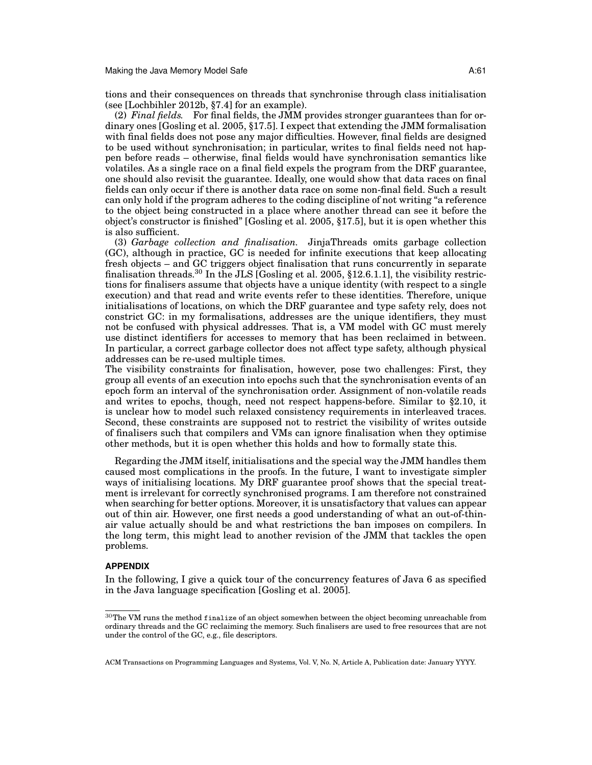tions and their consequences on threads that synchronise through class initialisation (see [\[Lochbihler 2012b,](#page-63-2) §7.4] for an example).

(2) *Final fields.* For final fields, the JMM provides stronger guarantees than for ordinary ones [\[Gosling et al. 2005,](#page-63-0) §17.5]. I expect that extending the JMM formalisation with final fields does not pose any major difficulties. However, final fields are designed to be used without synchronisation; in particular, writes to final fields need not happen before reads – otherwise, final fields would have synchronisation semantics like volatiles. As a single race on a final field expels the program from the DRF guarantee, one should also revisit the guarantee. Ideally, one would show that data races on final fields can only occur if there is another data race on some non-final field. Such a result can only hold if the program adheres to the coding discipline of not writing "a reference to the object being constructed in a place where another thread can see it before the object's constructor is finished" [\[Gosling et al. 2005,](#page-63-0) §17.5], but it is open whether this is also sufficient.

(3) *Garbage collection and finalisation.* JinjaThreads omits garbage collection (GC), although in practice, GC is needed for infinite executions that keep allocating fresh objects – and GC triggers object finalisation that runs concurrently in separate finalisation threads.<sup>30</sup> In the JLS [\[Gosling et al. 2005,](#page-63-0) §12.6.1.1], the visibility restrictions for finalisers assume that objects have a unique identity (with respect to a single execution) and that read and write events refer to these identities. Therefore, unique initialisations of locations, on which the DRF guarantee and type safety rely, does not constrict GC: in my formalisations, addresses are the unique identifiers, they must not be confused with physical addresses. That is, a VM model with GC must merely use distinct identifiers for accesses to memory that has been reclaimed in between. In particular, a correct garbage collector does not affect type safety, although physical addresses can be re-used multiple times.

The visibility constraints for finalisation, however, pose two challenges: First, they group all events of an execution into epochs such that the synchronisation events of an epoch form an interval of the synchronisation order. Assignment of non-volatile reads and writes to epochs, though, need not respect happens-before. Similar to [§2.10,](#page-31-1) it is unclear how to model such relaxed consistency requirements in interleaved traces. Second, these constraints are supposed not to restrict the visibility of writes outside of finalisers such that compilers and VMs can ignore finalisation when they optimise other methods, but it is open whether this holds and how to formally state this.

Regarding the JMM itself, initialisations and the special way the JMM handles them caused most complications in the proofs. In the future, I want to investigate simpler ways of initialising locations. My DRF guarantee proof shows that the special treatment is irrelevant for correctly synchronised programs. I am therefore not constrained when searching for better options. Moreover, it is unsatisfactory that values can appear out of thin air. However, one first needs a good understanding of what an out-of-thinair value actually should be and what restrictions the ban imposes on compilers. In the long term, this might lead to another revision of the JMM that tackles the open problems.

#### **APPENDIX**

In the following, I give a quick tour of the concurrency features of Java 6 as specified in the Java language specification [\[Gosling et al. 2005\]](#page-63-0).

 $30$ The VM runs the method finalize of an object somewhen between the object becoming unreachable from ordinary threads and the GC reclaiming the memory. Such finalisers are used to free resources that are not under the control of the GC, e.g., file descriptors.

ACM Transactions on Programming Languages and Systems, Vol. V, No. N, Article A, Publication date: January YYYY.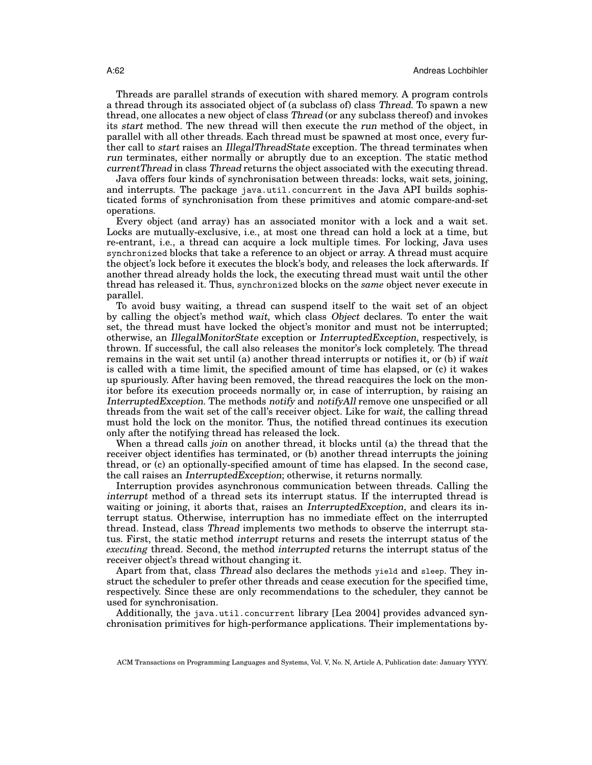Threads are parallel strands of execution with shared memory. A program controls a thread through its associated object of (a subclass of) class Thread. To spawn a new thread, one allocates a new object of class Thread (or any subclass thereof) and invokes its start method. The new thread will then execute the run method of the object, in parallel with all other threads. Each thread must be spawned at most once, every further call to start raises an IllegalThreadState exception. The thread terminates when run terminates, either normally or abruptly due to an exception. The static method currentThread in class Thread returns the object associated with the executing thread.

Java offers four kinds of synchronisation between threads: locks, wait sets, joining, and interrupts. The package java.util.concurrent in the Java API builds sophisticated forms of synchronisation from these primitives and atomic compare-and-set operations.

Every object (and array) has an associated monitor with a lock and a wait set. Locks are mutually-exclusive, i.e., at most one thread can hold a lock at a time, but re-entrant, i.e., a thread can acquire a lock multiple times. For locking, Java uses synchronized blocks that take a reference to an object or array. A thread must acquire the object's lock before it executes the block's body, and releases the lock afterwards. If another thread already holds the lock, the executing thread must wait until the other thread has released it. Thus, synchronized blocks on the *same* object never execute in parallel.

To avoid busy waiting, a thread can suspend itself to the wait set of an object by calling the object's method wait, which class Object declares. To enter the wait set, the thread must have locked the object's monitor and must not be interrupted; otherwise, an IllegalMonitorState exception or InterruptedException, respectively, is thrown. If successful, the call also releases the monitor's lock completely. The thread remains in the wait set until (a) another thread interrupts or notifies it, or (b) if wait is called with a time limit, the specified amount of time has elapsed, or (c) it wakes up spuriously. After having been removed, the thread reacquires the lock on the monitor before its execution proceeds normally or, in case of interruption, by raising an InterruptedException. The methods notify and notifyAll remove one unspecified or all threads from the wait set of the call's receiver object. Like for wait, the calling thread must hold the lock on the monitor. Thus, the notified thread continues its execution only after the notifying thread has released the lock.

When a thread calls *join* on another thread, it blocks until (a) the thread that the receiver object identifies has terminated, or (b) another thread interrupts the joining thread, or (c) an optionally-specified amount of time has elapsed. In the second case, the call raises an InterruptedException; otherwise, it returns normally.

Interruption provides asynchronous communication between threads. Calling the interrupt method of a thread sets its interrupt status. If the interrupted thread is waiting or joining, it aborts that, raises an *InterruptedException*, and clears its interrupt status. Otherwise, interruption has no immediate effect on the interrupted thread. Instead, class Thread implements two methods to observe the interrupt status. First, the static method interrupt returns and resets the interrupt status of the *executing* thread. Second, the method interrupted returns the interrupt status of the receiver object's thread without changing it.

Apart from that, class Thread also declares the methods yield and sleep. They instruct the scheduler to prefer other threads and cease execution for the specified time, respectively. Since these are only recommendations to the scheduler, they cannot be used for synchronisation.

Additionally, the java.util.concurrent library [\[Lea 2004\]](#page-63-24) provides advanced synchronisation primitives for high-performance applications. Their implementations by-

ACM Transactions on Programming Languages and Systems, Vol. V, No. N, Article A, Publication date: January YYYY.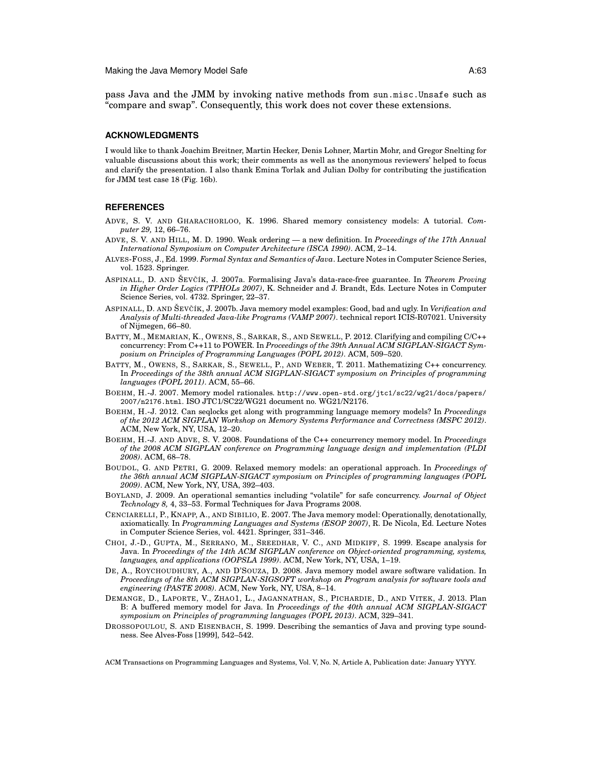pass Java and the JMM by invoking native methods from sun.misc.Unsafe such as "compare and swap". Consequently, this work does not cover these extensions.

#### **ACKNOWLEDGMENTS**

I would like to thank Joachim Breitner, Martin Hecker, Denis Lohner, Martin Mohr, and Gregor Snelting for valuable discussions about this work; their comments as well as the anonymous reviewers' helped to focus and clarify the presentation. I also thank Emina Torlak and Julian Dolby for contributing the justification for JMM test case 18 (Fig. [16b\)](#page-25-1).

#### **REFERENCES**

- <span id="page-62-5"></span>ADVE, S. V. AND GHARACHORLOO, K. 1996. Shared memory consistency models: A tutorial. *Computer 29,* 12, 66–76.
- <span id="page-62-6"></span>ADVE, S. V. AND HILL, M. D. 1990. Weak ordering — a new definition. In *Proceedings of the 17th Annual International Symposium on Computer Architecture (ISCA 1990)*. ACM, 2–14.
- <span id="page-62-7"></span>ALVES-FOSS, J., Ed. 1999. *Formal Syntax and Semantics of Java*. Lecture Notes in Computer Science Series, vol. 1523. Springer.
- <span id="page-62-0"></span>ASPINALL, D. AND ŠEVČÍK, J. 2007a. Formalising Java's data-race-free guarantee. In *Theorem Proving in Higher Order Logics (TPHOLs 2007)*, K. Schneider and J. Brandt, Eds. Lecture Notes in Computer Science Series, vol. 4732. Springer, 22–37.
- <span id="page-62-8"></span>ASPINALL, D. AND ŠEVČÍK, J. 2007b. Java memory model examples: Good, bad and ugly. In *Verification and Analysis of Multi-threaded Java-like Programs (VAMP 2007)*. technical report ICIS-R07021. University of Nijmegen, 66–80.
- <span id="page-62-16"></span>BATTY, M., MEMARIAN, K., OWENS, S., SARKAR, S., AND SEWELL, P. 2012. Clarifying and compiling C/C++ concurrency: From C++11 to POWER. In *Proceedings of the 39th Annual ACM SIGPLAN-SIGACT Symposium on Principles of Programming Languages (POPL 2012)*. ACM, 509–520.
- <span id="page-62-15"></span>BATTY, M., OWENS, S., SARKAR, S., SEWELL, P., AND WEBER, T. 2011. Mathematizing C++ concurrency. In *Proceedings of the 38th annual ACM SIGPLAN-SIGACT symposium on Principles of programming languages (POPL 2011)*. ACM, 55–66.
- <span id="page-62-11"></span>BOEHM, H.-J. 2007. Memory model rationales. [http://www.open-std.org/jtc1/sc22/wg21/docs/papers/](http://www.open-std.org/jtc1/sc22/wg21/docs/papers/2007/n2176.html) [2007/n2176.html](http://www.open-std.org/jtc1/sc22/wg21/docs/papers/2007/n2176.html). ISO JTC1/SC22/WG21 document no. WG21/N2176.
- <span id="page-62-10"></span>BOEHM, H.-J. 2012. Can seqlocks get along with programming language memory models? In *Proceedings of the 2012 ACM SIGPLAN Workshop on Memory Systems Performance and Correctness (MSPC 2012)*. ACM, New York, NY, USA, 12–20.
- <span id="page-62-4"></span>BOEHM, H.-J. AND ADVE, S. V. 2008. Foundations of the C++ concurrency memory model. In *Proceedings of the 2008 ACM SIGPLAN conference on Programming language design and implementation (PLDI 2008)*. ACM, 68–78.
- <span id="page-62-13"></span>BOUDOL, G. AND PETRI, G. 2009. Relaxed memory models: an operational approach. In *Proceedings of the 36th annual ACM SIGPLAN-SIGACT symposium on Principles of programming languages (POPL 2009)*. ACM, New York, NY, USA, 392–403.
- <span id="page-62-2"></span>BOYLAND, J. 2009. An operational semantics including "volatile" for safe concurrency. *Journal of Object Technology 8,* 4, 33–53. Formal Techniques for Java Programs 2008.
- <span id="page-62-1"></span>CENCIARELLI, P., KNAPP, A., AND SIBILIO, E. 2007. The Java memory model: Operationally, denotationally, axiomatically. In *Programming Languages and Systems (ESOP 2007)*, R. De Nicola, Ed. Lecture Notes in Computer Science Series, vol. 4421. Springer, 331–346.
- <span id="page-62-9"></span>CHOI, J.-D., GUPTA, M., SERRANO, M., SREEDHAR, V. C., AND MIDKIFF, S. 1999. Escape analysis for Java. In *Proceedings of the 14th ACM SIGPLAN conference on Object-oriented programming, systems, languages, and applications (OOPSLA 1999)*. ACM, New York, NY, USA, 1–19.
- <span id="page-62-14"></span>DE, A., ROYCHOUDHURY, A., AND D'SOUZA, D. 2008. Java memory model aware software validation. In *Proceedings of the 8th ACM SIGPLAN-SIGSOFT workshop on Program analysis for software tools and engineering (PASTE 2008)*. ACM, New York, NY, USA, 8–14.
- <span id="page-62-12"></span>DEMANGE, D., LAPORTE, V., ZHAO1, L., JAGANNATHAN, S., PICHARDIE, D., AND VITEK, J. 2013. Plan B: A buffered memory model for Java. In *Proceedings of the 40th annual ACM SIGPLAN-SIGACT symposium on Principles of programming languages (POPL 2013)*. ACM, 329–341.
- <span id="page-62-3"></span>DROSSOPOULOU, S. AND EISENBACH, S. 1999. Describing the semantics of Java and proving type soundness. See [Alves-Foss \[1999\]](#page-62-7), 542–542.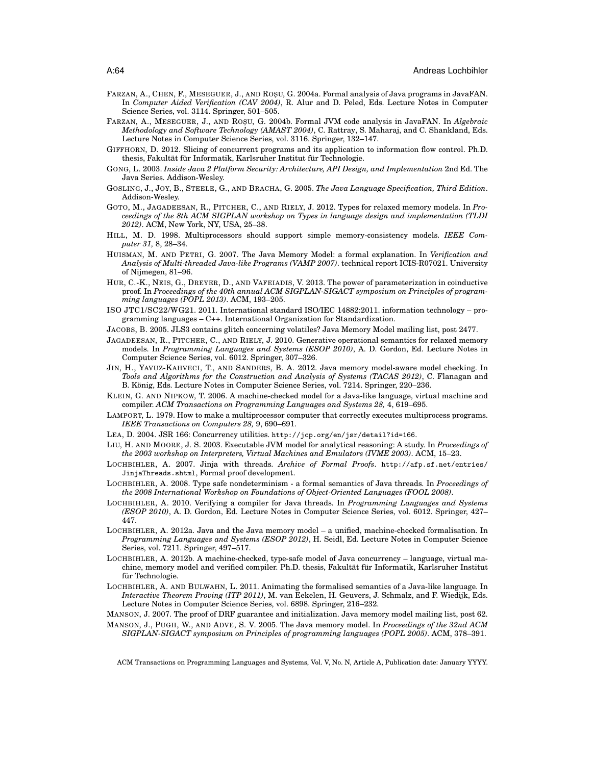- <span id="page-63-5"></span>FARZAN, A., CHEN, F., MESEGUER, J., AND ROSU, G. 2004a. Formal analysis of Java programs in JavaFAN. In *Computer Aided Verification (CAV 2004)*, R. Alur and D. Peled, Eds. Lecture Notes in Computer Science Series, vol. 3114. Springer, 501–505.
- <span id="page-63-6"></span>FARZAN, A., MESEGUER, J., AND ROȘU, G. 2004b. Formal JVM code analysis in JavaFAN. In Algebraic *Methodology and Software Technology (AMAST 2004)*, C. Rattray, S. Maharaj, and C. Shankland, Eds. Lecture Notes in Computer Science Series, vol. 3116. Springer, 132–147.
- <span id="page-63-23"></span>GIFFHORN, D. 2012. Slicing of concurrent programs and its application to information flow control. Ph.D. thesis, Fakultät für Informatik, Karlsruher Institut für Technologie.
- <span id="page-63-20"></span>GONG, L. 2003. *Inside Java 2 Platform Security: Architecture, API Design, and Implementation* 2nd Ed. The Java Series. Addison-Wesley.
- <span id="page-63-0"></span>GOSLING, J., JOY, B., STEELE, G., AND BRACHA, G. 2005. *The Java Language Specification, Third Edition*. Addison-Wesley.
- <span id="page-63-10"></span>GOTO, M., JAGADEESAN, R., PITCHER, C., AND RIELY, J. 2012. Types for relaxed memory models. In *Proceedings of the 8th ACM SIGPLAN workshop on Types in language design and implementation (TLDI 2012)*. ACM, New York, NY, USA, 25–38.
- <span id="page-63-13"></span>HILL, M. D. 1998. Multiprocessors should support simple memory-consistency models. *IEEE Computer 31,* 8, 28–34.
- <span id="page-63-3"></span>HUISMAN, M. AND PETRI, G. 2007. The Java Memory Model: a formal explanation. In *Verification and Analysis of Multi-threaded Java-like Programs (VAMP 2007)*. technical report ICIS-R07021. University of Nijmegen, 81–96.
- <span id="page-63-16"></span>HUR, C.-K., NEIS, G., DREYER, D., AND VAFEIADIS, V. 2013. The power of parameterization in coinductive proof. In *Proceedings of the 40th annual ACM SIGPLAN-SIGACT symposium on Principles of programming languages (POPL 2013)*. ACM, 193–205.
- <span id="page-63-21"></span>ISO JTC1/SC22/WG21. 2011. International standard ISO/IEC 14882:2011. information technology – programming languages – C++. International Organization for Standardization.
- <span id="page-63-9"></span>JACOBS, B. 2005. JLS3 contains glitch concerning volatiles? Java Memory Model mailing list, post 2477.
- <span id="page-63-22"></span>JAGADEESAN, R., PITCHER, C., AND RIELY, J. 2010. Generative operational semantics for relaxed memory models. In *Programming Languages and Systems (ESOP 2010)*, A. D. Gordon, Ed. Lecture Notes in Computer Science Series, vol. 6012. Springer, 307–326.
- <span id="page-63-18"></span>JIN, H., YAVUZ-KAHVECI, T., AND SANDERS, B. A. 2012. Java memory model-aware model checking. In *Tools and Algorithms for the Construction and Analysis of Systems (TACAS 2012)*, C. Flanagan and B. König, Eds. Lecture Notes in Computer Science Series, vol. 7214. Springer, 220–236.
- <span id="page-63-17"></span>KLEIN, G. AND NIPKOW, T. 2006. A machine-checked model for a Java-like language, virtual machine and compiler. *ACM Transactions on Programming Languages and Systems 28,* 4, 619–695.
- <span id="page-63-7"></span>LAMPORT, L. 1979. How to make a multiprocessor computer that correctly executes multiprocess programs. *IEEE Transactions on Computers 28,* 9, 690–691.
- <span id="page-63-24"></span>LEA, D. 2004. JSR 166: Concurrency utilities. <http://jcp.org/en/jsr/detail?id=166>.
- <span id="page-63-4"></span>LIU, H. AND MOORE, J. S. 2003. Executable JVM model for analytical reasoning: A study. In *Proceedings of the 2003 workshop on Interpreters, Virtual Machines and Emulators (IVME 2003)*. ACM, 15–23.
- <span id="page-63-12"></span>LOCHBIHLER, A. 2007. Jinja with threads. *Archive of Formal Proofs*. [http://afp.sf.net/entries/](http://afp.sf.net/entries/JinjaThreads.shtml) [JinjaThreads.shtml](http://afp.sf.net/entries/JinjaThreads.shtml), Formal proof development.
- <span id="page-63-11"></span>LOCHBIHLER, A. 2008. Type safe nondeterminism - a formal semantics of Java threads. In *Proceedings of the 2008 International Workshop on Foundations of Object-Oriented Languages (FOOL 2008)*.
- <span id="page-63-14"></span>LOCHBIHLER, A. 2010. Verifying a compiler for Java threads. In *Programming Languages and Systems (ESOP 2010)*, A. D. Gordon, Ed. Lecture Notes in Computer Science Series, vol. 6012. Springer, 427– 447.
- <span id="page-63-1"></span>LOCHBIHLER, A. 2012a. Java and the Java memory model – a unified, machine-checked formalisation. In *Programming Languages and Systems (ESOP 2012)*, H. Seidl, Ed. Lecture Notes in Computer Science Series, vol. 7211. Springer, 497–517.
- <span id="page-63-2"></span>LOCHBIHLER, A. 2012b. A machine-checked, type-safe model of Java concurrency – language, virtual machine, memory model and verified compiler. Ph.D. thesis, Fakultät für Informatik, Karlsruher Institut für Technologie.
- <span id="page-63-15"></span>LOCHBIHLER, A. AND BULWAHN, L. 2011. Animating the formalised semantics of a Java-like language. In *Interactive Theorem Proving (ITP 2011)*, M. van Eekelen, H. Geuvers, J. Schmalz, and F. Wiedijk, Eds. Lecture Notes in Computer Science Series, vol. 6898. Springer, 216–232.
- <span id="page-63-19"></span>MANSON, J. 2007. The proof of DRF guarantee and initialization. Java memory model mailing list, post 62.
- <span id="page-63-8"></span>MANSON, J., PUGH, W., AND ADVE, S. V. 2005. The Java memory model. In *Proceedings of the 32nd ACM SIGPLAN-SIGACT symposium on Principles of programming languages (POPL 2005)*. ACM, 378–391.